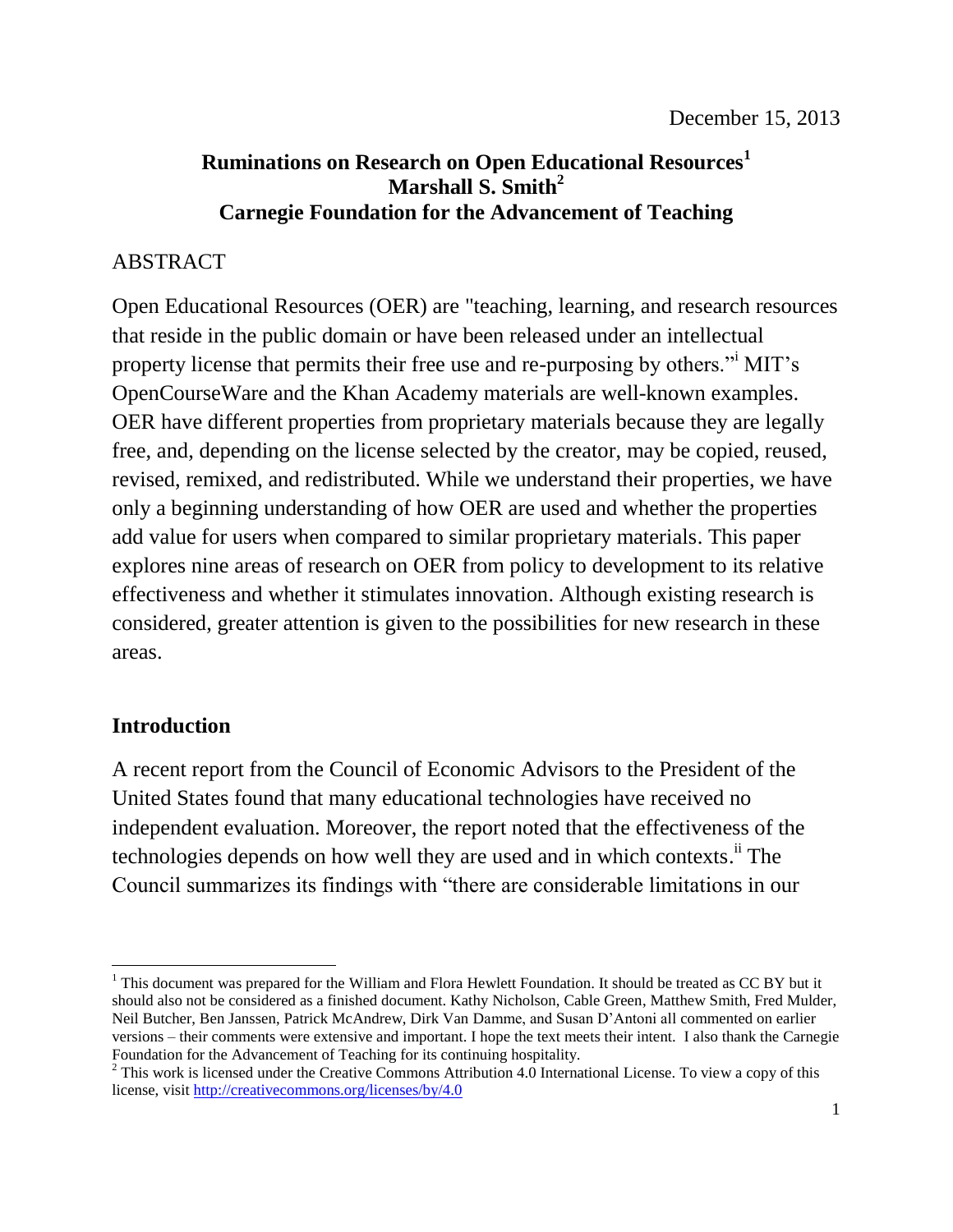### **Ruminations on Research on Open Educational Resources<sup>1</sup> Marshall S. Smith<sup>2</sup> Carnegie Foundation for the Advancement of Teaching**

### ABSTRACT

Open Educational Resources (OER) are "teaching, learning, and research resources that reside in the public domain or have been released under an intellectual property license that permits their free use and re-purposing by others."<sup>i</sup> MIT's OpenCourseWare and the Khan Academy materials are well-known examples. OER have different properties from proprietary materials because they are legally free, and, depending on the license selected by the creator, may be copied, reused, revised, remixed, and redistributed. While we understand their properties, we have only a beginning understanding of how OER are used and whether the properties add value for users when compared to similar proprietary materials. This paper explores nine areas of research on OER from policy to development to its relative effectiveness and whether it stimulates innovation. Although existing research is considered, greater attention is given to the possibilities for new research in these areas.

### **Introduction**

A recent report from the Council of Economic Advisors to the President of the United States found that many educational technologies have received no independent evaluation. Moreover, the report noted that the effectiveness of the technologies depends on how well they are used and in which contexts.<sup>ii</sup> The Council summarizes its findings with "there are considerable limitations in our

 $\overline{a}$ <sup>1</sup> This document was prepared for the William and Flora Hewlett Foundation. It should be treated as CC BY but it should also not be considered as a finished document. Kathy Nicholson, Cable Green, Matthew Smith, Fred Mulder, Neil Butcher, Ben Janssen, Patrick McAndrew, Dirk Van Damme, and Susan D'Antoni all commented on earlier versions – their comments were extensive and important. I hope the text meets their intent. I also thank the Carnegie Foundation for the Advancement of Teaching for its continuing hospitality.

 $2$  This work is licensed under the Creative Commons Attribution 4.0 International License. To view a copy of this license, visit<http://creativecommons.org/licenses/by/4.0>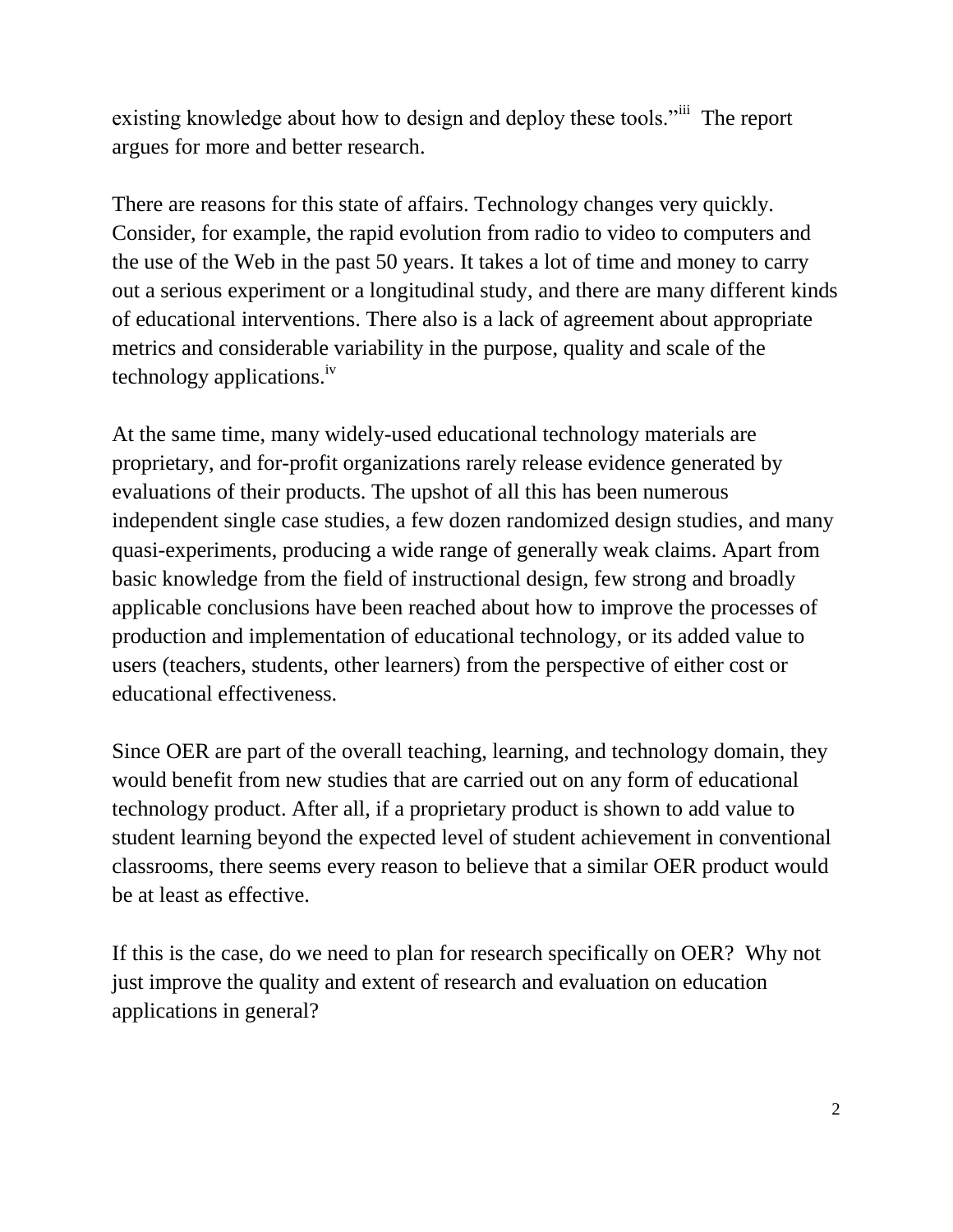existing knowledge about how to design and deploy these tools."<sup>iii</sup> The report argues for more and better research.

There are reasons for this state of affairs. Technology changes very quickly. Consider, for example, the rapid evolution from radio to video to computers and the use of the Web in the past 50 years. It takes a lot of time and money to carry out a serious experiment or a longitudinal study, and there are many different kinds of educational interventions. There also is a lack of agreement about appropriate metrics and considerable variability in the purpose, quality and scale of the technology applications.iv

At the same time, many widely-used educational technology materials are proprietary, and for-profit organizations rarely release evidence generated by evaluations of their products. The upshot of all this has been numerous independent single case studies, a few dozen randomized design studies, and many quasi-experiments, producing a wide range of generally weak claims. Apart from basic knowledge from the field of instructional design, few strong and broadly applicable conclusions have been reached about how to improve the processes of production and implementation of educational technology, or its added value to users (teachers, students, other learners) from the perspective of either cost or educational effectiveness.

Since OER are part of the overall teaching, learning, and technology domain, they would benefit from new studies that are carried out on any form of educational technology product. After all, if a proprietary product is shown to add value to student learning beyond the expected level of student achievement in conventional classrooms, there seems every reason to believe that a similar OER product would be at least as effective.

If this is the case, do we need to plan for research specifically on OER? Why not just improve the quality and extent of research and evaluation on education applications in general?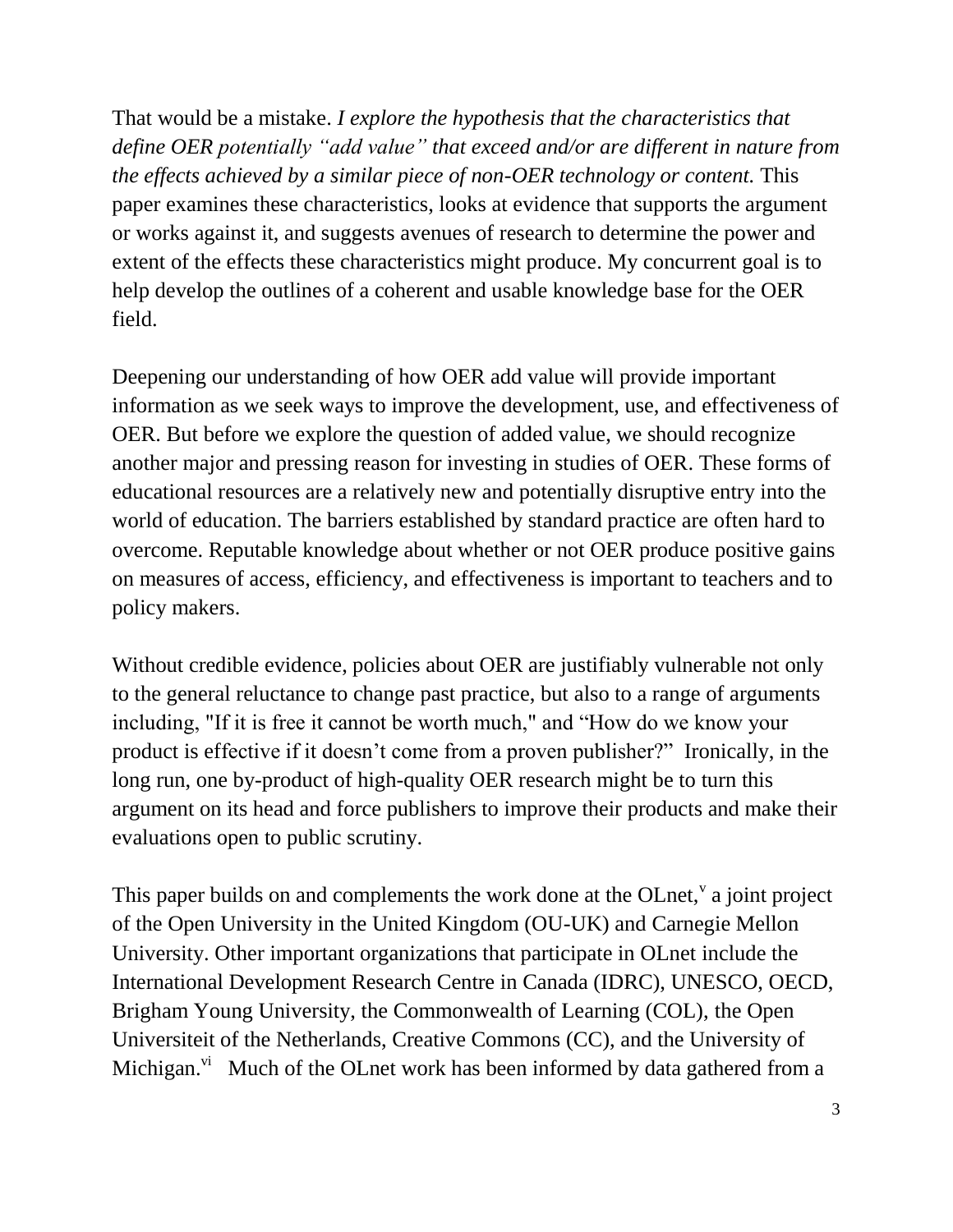That would be a mistake. *I explore the hypothesis that the characteristics that define OER potentially "add value" that exceed and/or are different in nature from the effects achieved by a similar piece of non-OER technology or content.* This paper examines these characteristics, looks at evidence that supports the argument or works against it, and suggests avenues of research to determine the power and extent of the effects these characteristics might produce. My concurrent goal is to help develop the outlines of a coherent and usable knowledge base for the OER field.

Deepening our understanding of how OER add value will provide important information as we seek ways to improve the development, use, and effectiveness of OER. But before we explore the question of added value, we should recognize another major and pressing reason for investing in studies of OER. These forms of educational resources are a relatively new and potentially disruptive entry into the world of education. The barriers established by standard practice are often hard to overcome. Reputable knowledge about whether or not OER produce positive gains on measures of access, efficiency, and effectiveness is important to teachers and to policy makers.

Without credible evidence, policies about OER are justifiably vulnerable not only to the general reluctance to change past practice, but also to a range of arguments including, "If it is free it cannot be worth much," and "How do we know your product is effective if it doesn't come from a proven publisher?" Ironically, in the long run, one by-product of high-quality OER research might be to turn this argument on its head and force publishers to improve their products and make their evaluations open to public scrutiny.

This paper builds on and complements the work done at the OLnet,  $\alpha$  joint project of the Open University in the United Kingdom (OU-UK) and Carnegie Mellon University. Other important organizations that participate in OLnet include the International Development Research Centre in Canada (IDRC), UNESCO, OECD, Brigham Young University, the Commonwealth of Learning (COL), the Open Universiteit of the Netherlands, Creative Commons (CC), and the University of Michigan. $\overline{v}$  Much of the OLnet work has been informed by data gathered from a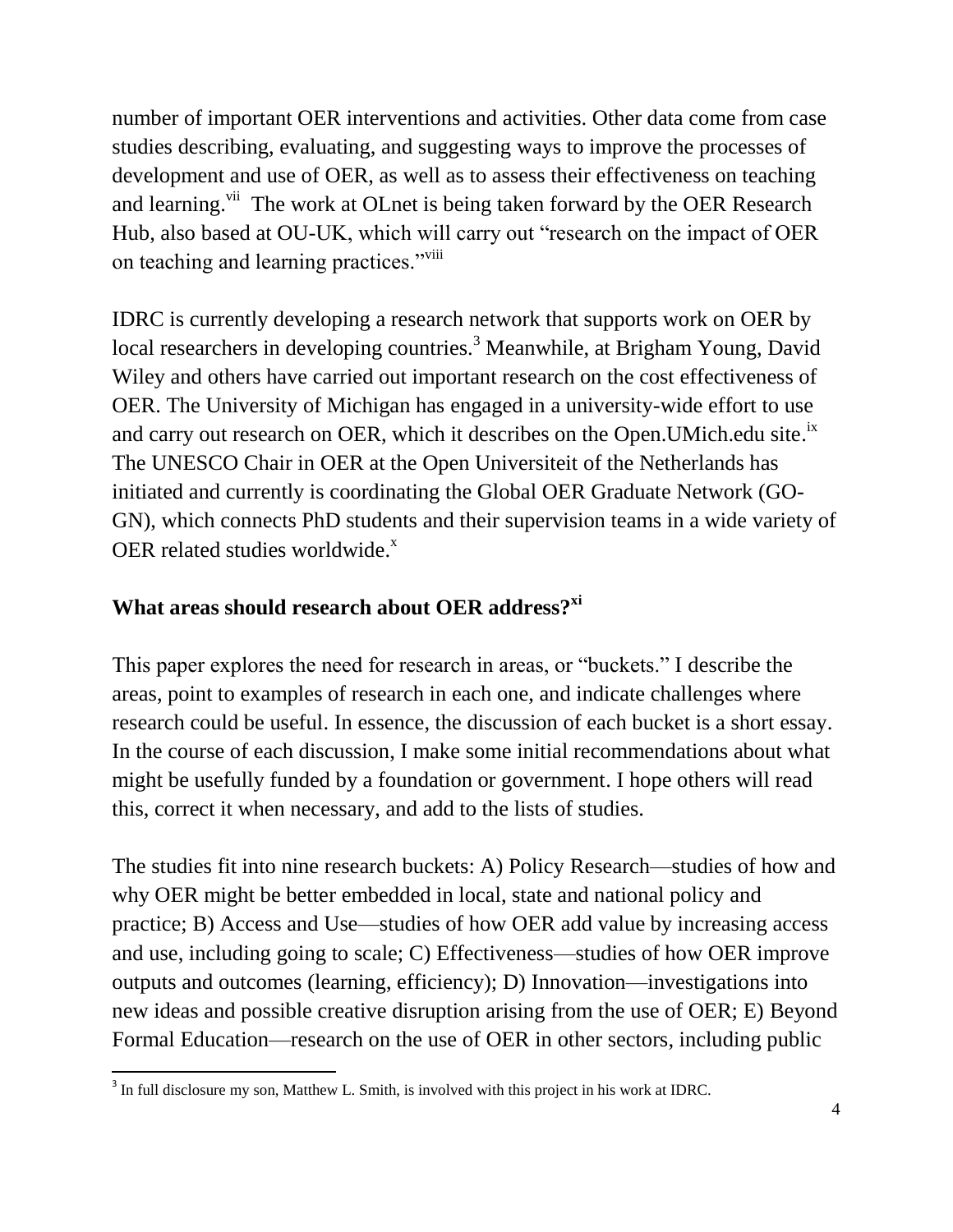number of important OER interventions and activities. Other data come from case studies describing, evaluating, and suggesting ways to improve the processes of development and use of OER, as well as to assess their effectiveness on teaching and learning.<sup>vii</sup> The work at OLnet is being taken forward by the OER Research Hub, also based at OU-UK, which will carry out "research on the impact of OER on teaching and learning practices."<sup>viii</sup>

IDRC is currently developing a research network that supports work on OER by local researchers in developing countries.<sup>3</sup> Meanwhile, at Brigham Young, David Wiley and others have carried out important research on the cost effectiveness of OER. The University of Michigan has engaged in a university-wide effort to use and carry out research on OER, which it describes on the Open. UMich.edu site.<sup>ix</sup> The UNESCO Chair in OER at the Open Universiteit of the Netherlands has initiated and currently is coordinating the Global OER Graduate Network (GO-GN), which connects PhD students and their supervision teams in a wide variety of OER related studies worldwide.<sup>x</sup>

### **What areas should research about OER address?xi**

This paper explores the need for research in areas, or "buckets." I describe the areas, point to examples of research in each one, and indicate challenges where research could be useful. In essence, the discussion of each bucket is a short essay. In the course of each discussion, I make some initial recommendations about what might be usefully funded by a foundation or government. I hope others will read this, correct it when necessary, and add to the lists of studies.

The studies fit into nine research buckets: A) Policy Research—studies of how and why OER might be better embedded in local, state and national policy and practice; B) Access and Use—studies of how OER add value by increasing access and use, including going to scale; C) Effectiveness—studies of how OER improve outputs and outcomes (learning, efficiency); D) Innovation—investigations into new ideas and possible creative disruption arising from the use of OER; E) Beyond Formal Education—research on the use of OER in other sectors, including public

<sup>&</sup>lt;sup>3</sup> In full disclosure my son, Matthew L. Smith, is involved with this project in his work at IDRC.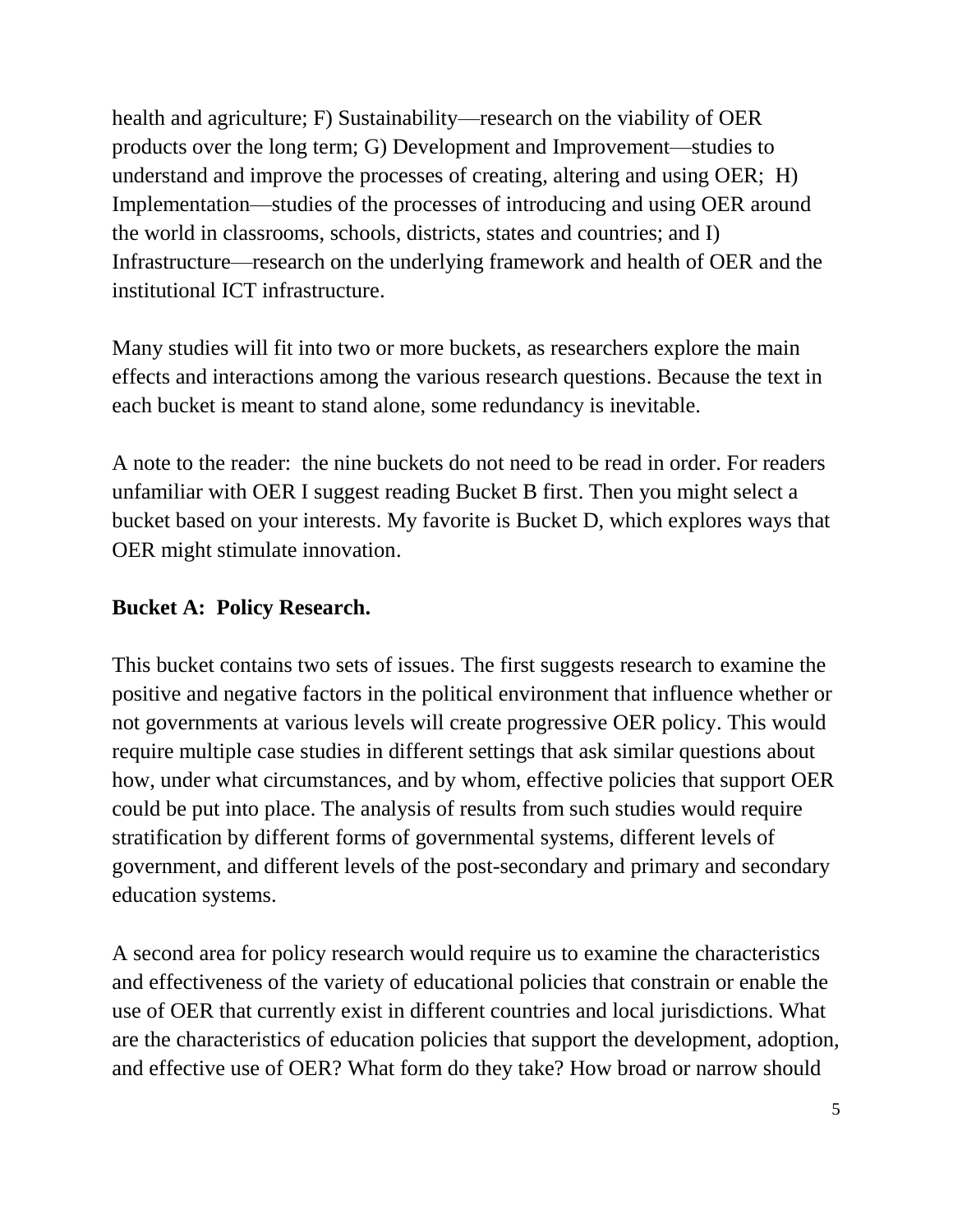health and agriculture; F) Sustainability—research on the viability of OER products over the long term; G) Development and Improvement—studies to understand and improve the processes of creating, altering and using OER; H) Implementation—studies of the processes of introducing and using OER around the world in classrooms, schools, districts, states and countries; and I) Infrastructure—research on the underlying framework and health of OER and the institutional ICT infrastructure.

Many studies will fit into two or more buckets, as researchers explore the main effects and interactions among the various research questions. Because the text in each bucket is meant to stand alone, some redundancy is inevitable.

A note to the reader: the nine buckets do not need to be read in order. For readers unfamiliar with OER I suggest reading Bucket B first. Then you might select a bucket based on your interests. My favorite is Bucket D, which explores ways that OER might stimulate innovation.

### **Bucket A: Policy Research.**

This bucket contains two sets of issues. The first suggests research to examine the positive and negative factors in the political environment that influence whether or not governments at various levels will create progressive OER policy. This would require multiple case studies in different settings that ask similar questions about how, under what circumstances, and by whom, effective policies that support OER could be put into place. The analysis of results from such studies would require stratification by different forms of governmental systems, different levels of government, and different levels of the post-secondary and primary and secondary education systems.

A second area for policy research would require us to examine the characteristics and effectiveness of the variety of educational policies that constrain or enable the use of OER that currently exist in different countries and local jurisdictions. What are the characteristics of education policies that support the development, adoption, and effective use of OER? What form do they take? How broad or narrow should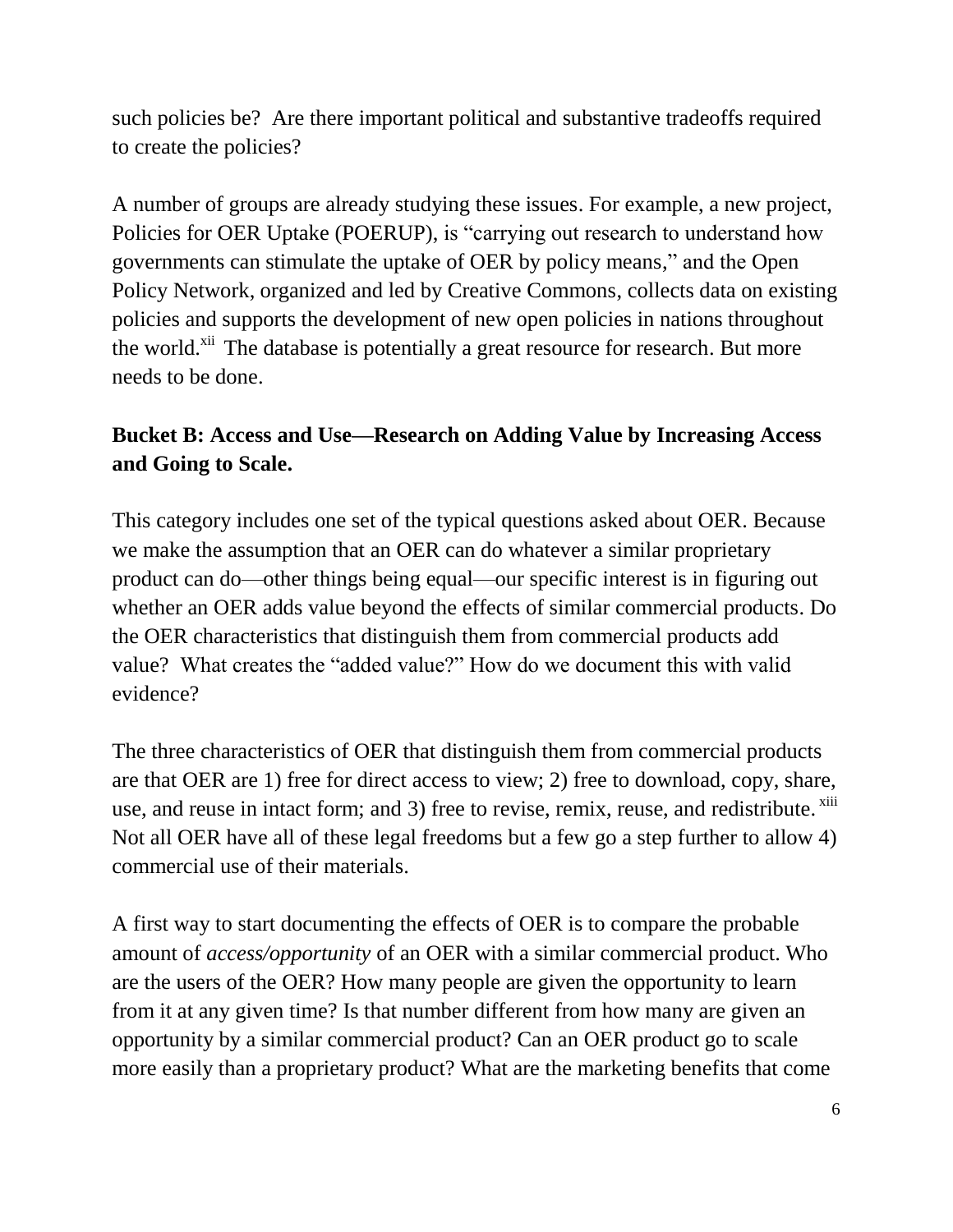such policies be? Are there important political and substantive tradeoffs required to create the policies?

A number of groups are already studying these issues. For example, a new project, Policies for OER Uptake (POERUP), is "carrying out research to understand how governments can stimulate the uptake of OER by policy means," and the Open Policy Network, organized and led by Creative Commons, collects data on existing policies and supports the development of new open policies in nations throughout the world.<sup>xii</sup> The database is potentially a great resource for research. But more needs to be done.

# **Bucket B: Access and Use—Research on Adding Value by Increasing Access and Going to Scale.**

This category includes one set of the typical questions asked about OER. Because we make the assumption that an OER can do whatever a similar proprietary product can do—other things being equal—our specific interest is in figuring out whether an OER adds value beyond the effects of similar commercial products. Do the OER characteristics that distinguish them from commercial products add value? What creates the "added value?" How do we document this with valid evidence?

The three characteristics of OER that distinguish them from commercial products are that OER are 1) free for direct access to view; 2) free to download, copy, share, use, and reuse in intact form; and 3) free to revise, remix, reuse, and redistribute. <sup>xiii</sup> Not all OER have all of these legal freedoms but a few go a step further to allow 4) commercial use of their materials.

A first way to start documenting the effects of OER is to compare the probable amount of *access/opportunity* of an OER with a similar commercial product. Who are the users of the OER? How many people are given the opportunity to learn from it at any given time? Is that number different from how many are given an opportunity by a similar commercial product? Can an OER product go to scale more easily than a proprietary product? What are the marketing benefits that come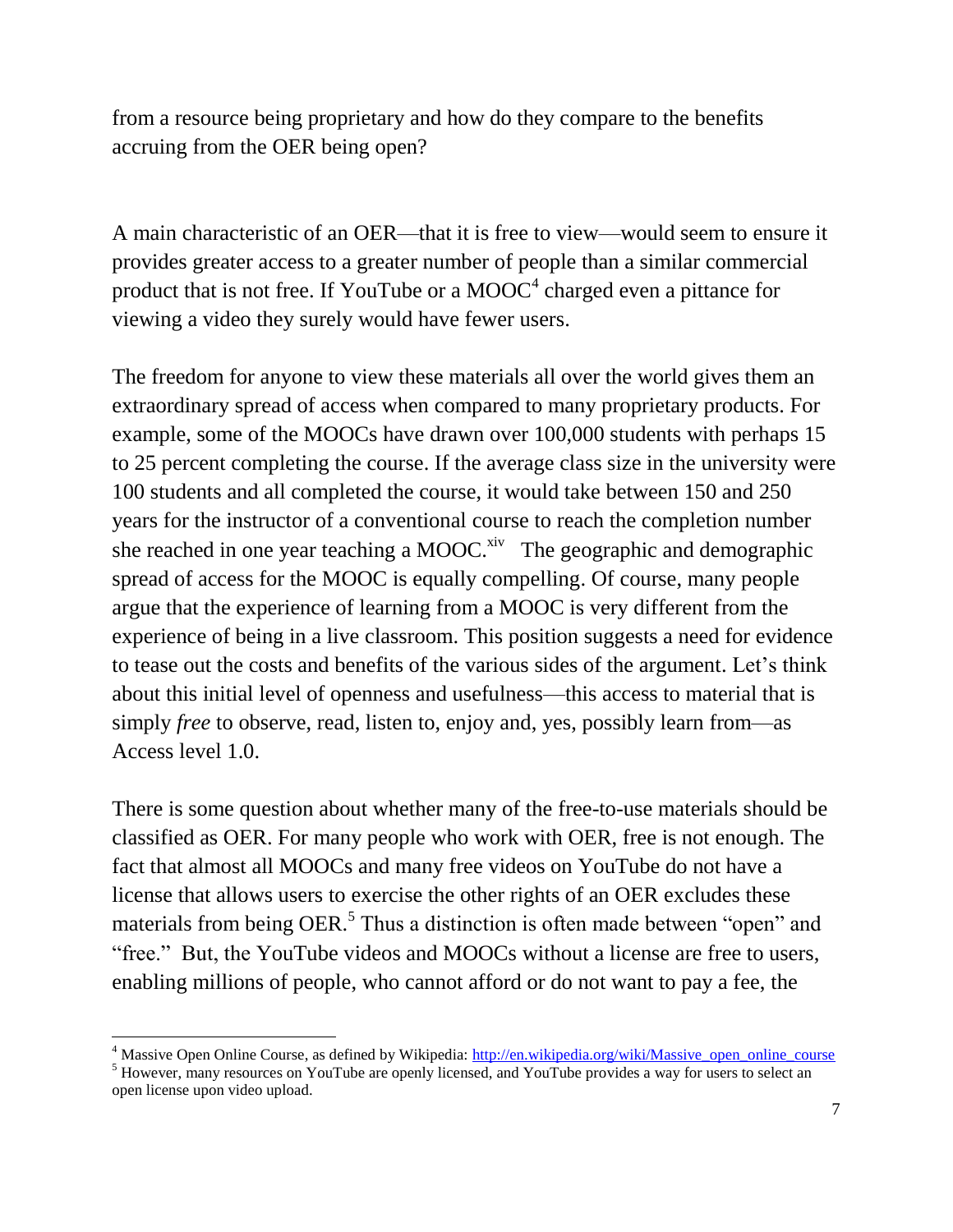from a resource being proprietary and how do they compare to the benefits accruing from the OER being open?

A main characteristic of an OER—that it is free to view—would seem to ensure it provides greater access to a greater number of people than a similar commercial product that is not free. If YouTube or a  $MOOC<sup>4</sup>$  charged even a pittance for viewing a video they surely would have fewer users.

The freedom for anyone to view these materials all over the world gives them an extraordinary spread of access when compared to many proprietary products. For example, some of the MOOCs have drawn over 100,000 students with perhaps 15 to 25 percent completing the course. If the average class size in the university were 100 students and all completed the course, it would take between 150 and 250 years for the instructor of a conventional course to reach the completion number she reached in one year teaching a MOOC.<sup>xiv</sup> The geographic and demographic spread of access for the MOOC is equally compelling. Of course, many people argue that the experience of learning from a MOOC is very different from the experience of being in a live classroom. This position suggests a need for evidence to tease out the costs and benefits of the various sides of the argument. Let's think about this initial level of openness and usefulness—this access to material that is simply *free* to observe, read, listen to, enjoy and, yes, possibly learn from—as Access level 1.0.

There is some question about whether many of the free-to-use materials should be classified as OER. For many people who work with OER, free is not enough. The fact that almost all MOOCs and many free videos on YouTube do not have a license that allows users to exercise the other rights of an OER excludes these materials from being OER.<sup>5</sup> Thus a distinction is often made between "open" and "free." But, the YouTube videos and MOOCs without a license are free to users, enabling millions of people, who cannot afford or do not want to pay a fee, the

 $\overline{\phantom{a}}$ 

<sup>&</sup>lt;sup>4</sup> Massive Open Online Course, as defined by Wikipedia: [http://en.wikipedia.org/wiki/Massive\\_open\\_online\\_course](http://en.wikipedia.org/wiki/Massive_open_online_course)

<sup>&</sup>lt;sup>5</sup> However, many resources on YouTube are openly licensed, and YouTube provides a way for users to select an open license upon video upload.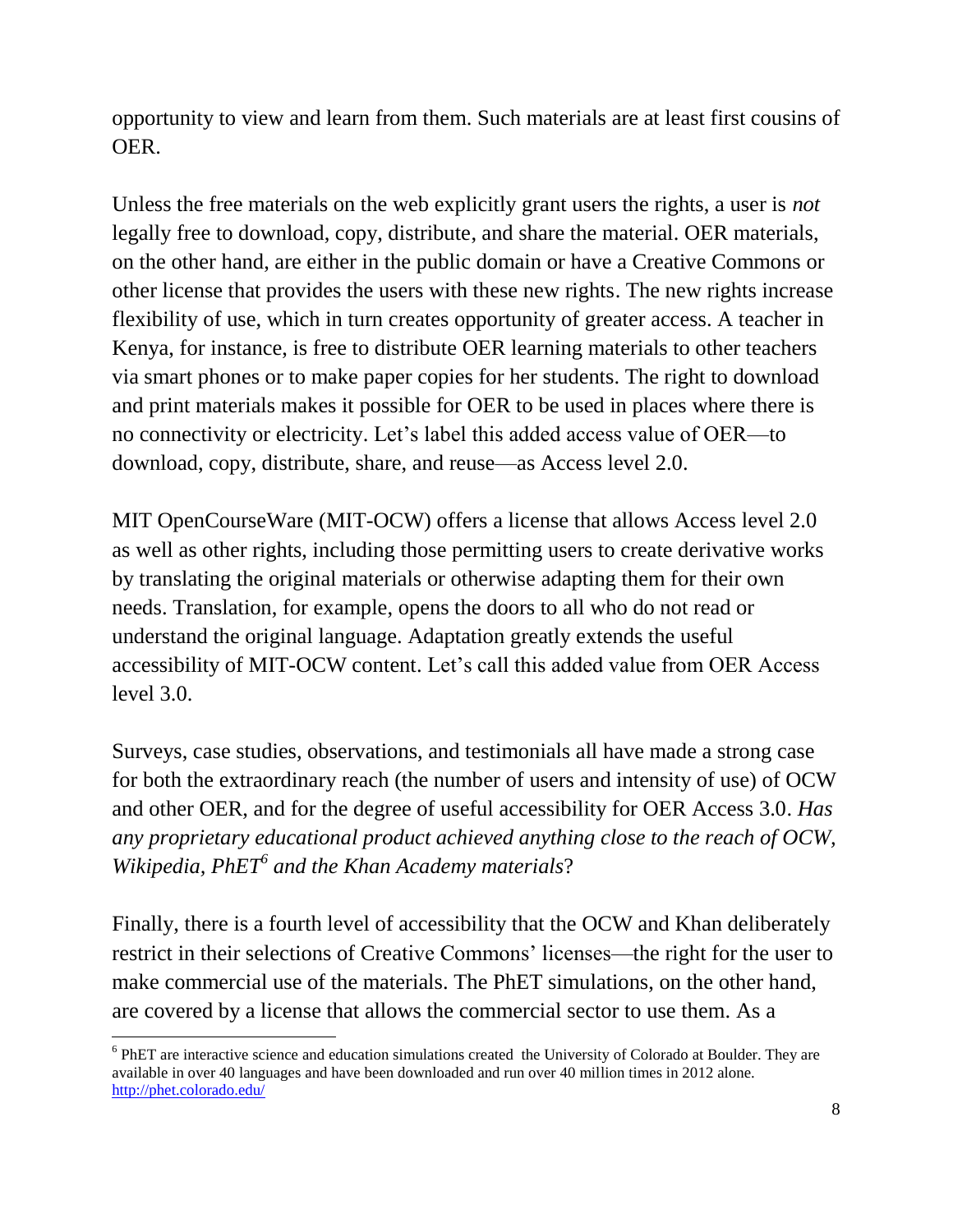opportunity to view and learn from them. Such materials are at least first cousins of OER.

Unless the free materials on the web explicitly grant users the rights, a user is *not* legally free to download, copy, distribute, and share the material. OER materials, on the other hand, are either in the public domain or have a Creative Commons or other license that provides the users with these new rights. The new rights increase flexibility of use, which in turn creates opportunity of greater access. A teacher in Kenya, for instance, is free to distribute OER learning materials to other teachers via smart phones or to make paper copies for her students. The right to download and print materials makes it possible for OER to be used in places where there is no connectivity or electricity. Let's label this added access value of OER—to download, copy, distribute, share, and reuse—as Access level 2.0.

MIT OpenCourseWare (MIT-OCW) offers a license that allows Access level 2.0 as well as other rights, including those permitting users to create derivative works by translating the original materials or otherwise adapting them for their own needs. Translation, for example, opens the doors to all who do not read or understand the original language. Adaptation greatly extends the useful accessibility of MIT-OCW content. Let's call this added value from OER Access level 3.0.

Surveys, case studies, observations, and testimonials all have made a strong case for both the extraordinary reach (the number of users and intensity of use) of OCW and other OER, and for the degree of useful accessibility for OER Access 3.0. *Has any proprietary educational product achieved anything close to the reach of OCW, Wikipedia, PhET<sup>6</sup> and the Khan Academy materials*?

Finally, there is a fourth level of accessibility that the OCW and Khan deliberately restrict in their selections of Creative Commons' licenses—the right for the user to make commercial use of the materials. The PhET simulations, on the other hand, are covered by a license that allows the commercial sector to use them. As a

 $\overline{\phantom{a}}$ <sup>6</sup> PhET are interactive science and education simulations created the University of Colorado at Boulder. They are available in over 40 languages and have been downloaded and run over 40 million times in 2012 alone. <http://phet.colorado.edu/>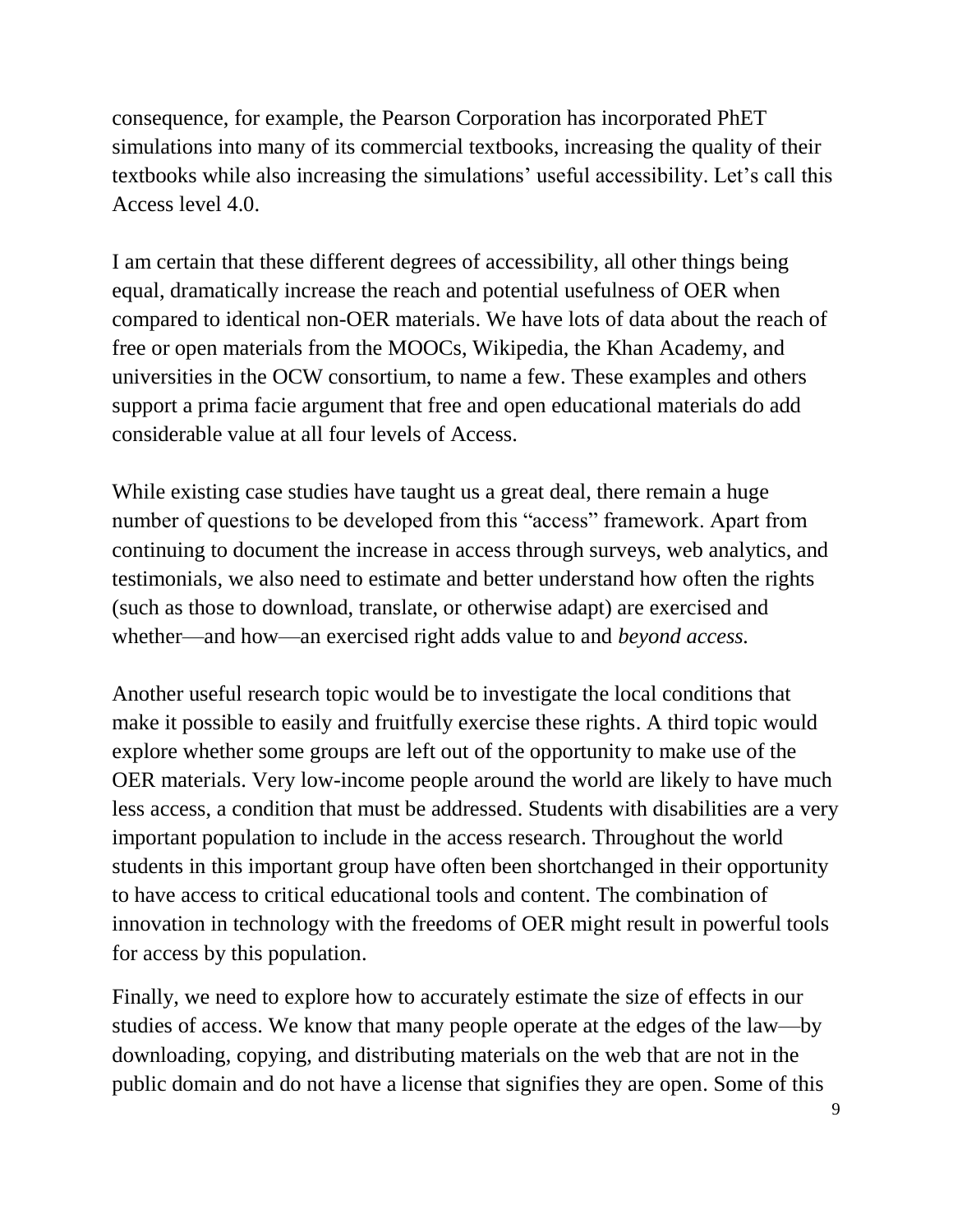consequence, for example, the Pearson Corporation has incorporated PhET simulations into many of its commercial textbooks, increasing the quality of their textbooks while also increasing the simulations' useful accessibility. Let's call this Access level 4.0.

I am certain that these different degrees of accessibility, all other things being equal, dramatically increase the reach and potential usefulness of OER when compared to identical non-OER materials. We have lots of data about the reach of free or open materials from the MOOCs, Wikipedia, the Khan Academy, and universities in the OCW consortium, to name a few. These examples and others support a prima facie argument that free and open educational materials do add considerable value at all four levels of Access.

While existing case studies have taught us a great deal, there remain a huge number of questions to be developed from this "access" framework. Apart from continuing to document the increase in access through surveys, web analytics, and testimonials, we also need to estimate and better understand how often the rights (such as those to download, translate, or otherwise adapt) are exercised and whether—and how—an exercised right adds value to and *beyond access.* 

Another useful research topic would be to investigate the local conditions that make it possible to easily and fruitfully exercise these rights. A third topic would explore whether some groups are left out of the opportunity to make use of the OER materials. Very low-income people around the world are likely to have much less access, a condition that must be addressed. Students with disabilities are a very important population to include in the access research. Throughout the world students in this important group have often been shortchanged in their opportunity to have access to critical educational tools and content. The combination of innovation in technology with the freedoms of OER might result in powerful tools for access by this population.

Finally, we need to explore how to accurately estimate the size of effects in our studies of access. We know that many people operate at the edges of the law—by downloading, copying, and distributing materials on the web that are not in the public domain and do not have a license that signifies they are open. Some of this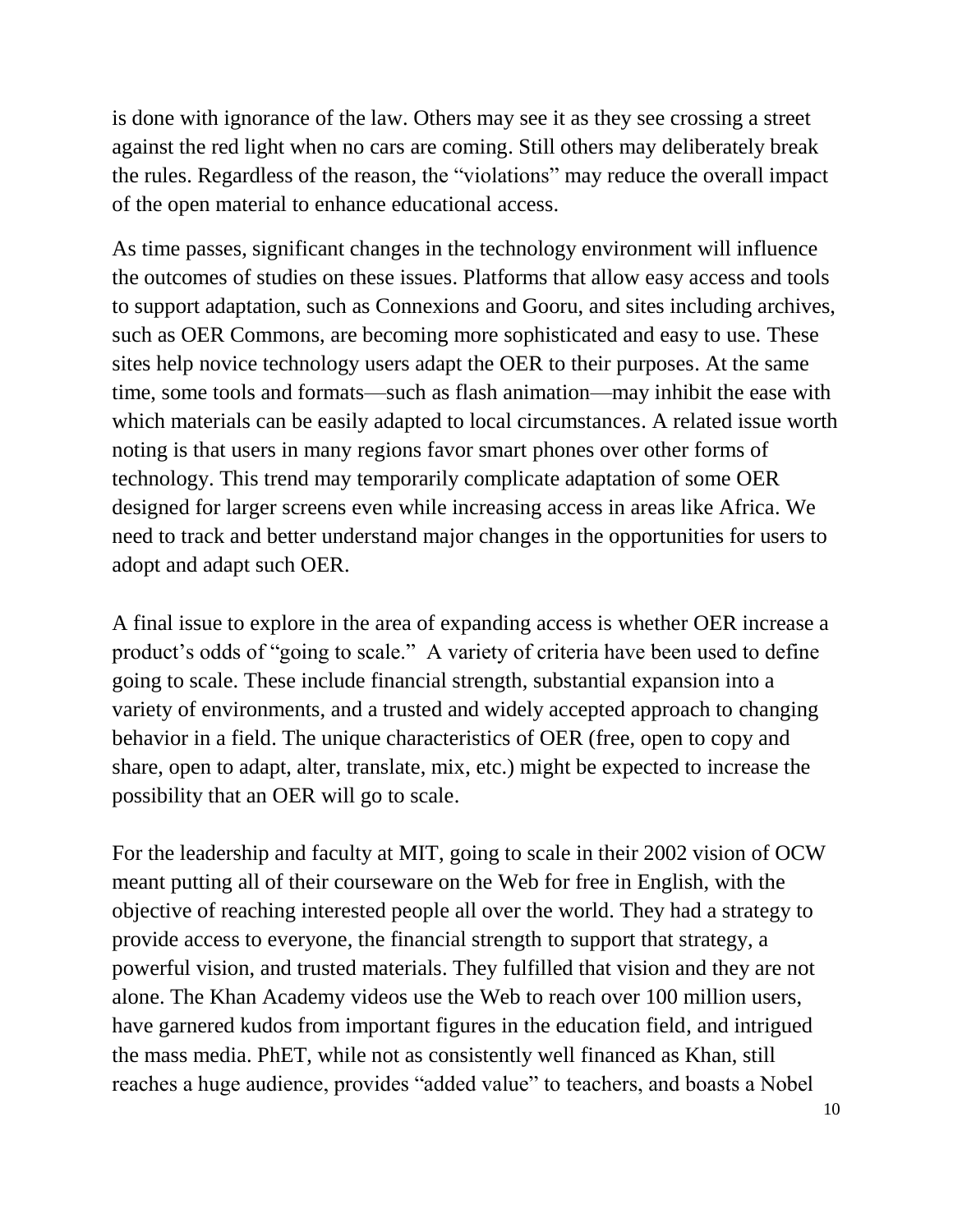is done with ignorance of the law. Others may see it as they see crossing a street against the red light when no cars are coming. Still others may deliberately break the rules. Regardless of the reason, the "violations" may reduce the overall impact of the open material to enhance educational access.

As time passes, significant changes in the technology environment will influence the outcomes of studies on these issues. Platforms that allow easy access and tools to support adaptation, such as Connexions and Gooru, and sites including archives, such as OER Commons, are becoming more sophisticated and easy to use. These sites help novice technology users adapt the OER to their purposes. At the same time, some tools and formats—such as flash animation—may inhibit the ease with which materials can be easily adapted to local circumstances. A related issue worth noting is that users in many regions favor smart phones over other forms of technology. This trend may temporarily complicate adaptation of some OER designed for larger screens even while increasing access in areas like Africa. We need to track and better understand major changes in the opportunities for users to adopt and adapt such OER.

A final issue to explore in the area of expanding access is whether OER increase a product's odds of "going to scale." A variety of criteria have been used to define going to scale. These include financial strength, substantial expansion into a variety of environments, and a trusted and widely accepted approach to changing behavior in a field. The unique characteristics of OER (free, open to copy and share, open to adapt, alter, translate, mix, etc.) might be expected to increase the possibility that an OER will go to scale.

For the leadership and faculty at MIT, going to scale in their 2002 vision of OCW meant putting all of their courseware on the Web for free in English, with the objective of reaching interested people all over the world. They had a strategy to provide access to everyone, the financial strength to support that strategy, a powerful vision, and trusted materials. They fulfilled that vision and they are not alone. The Khan Academy videos use the Web to reach over 100 million users, have garnered kudos from important figures in the education field, and intrigued the mass media. PhET, while not as consistently well financed as Khan, still reaches a huge audience, provides "added value" to teachers, and boasts a Nobel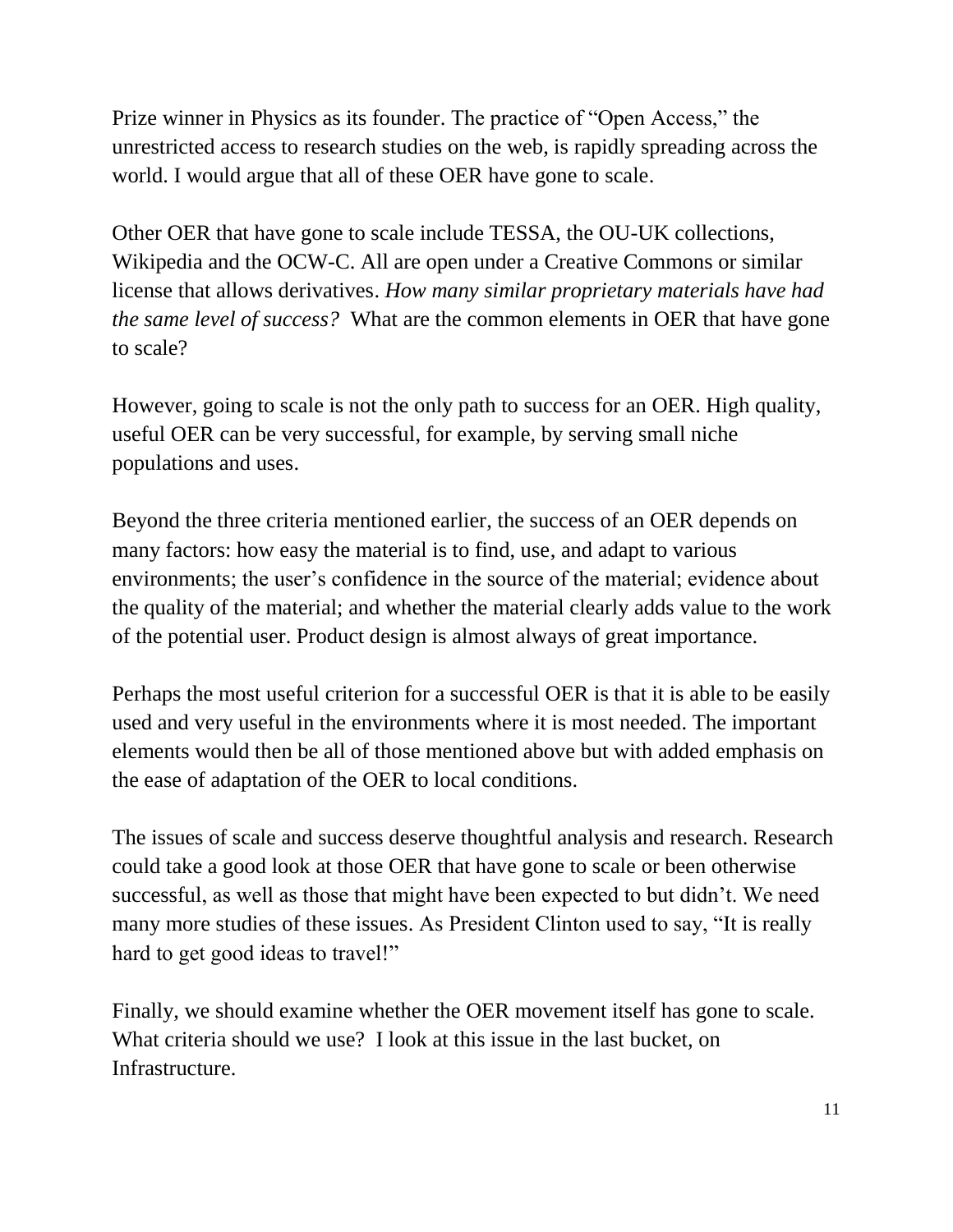Prize winner in Physics as its founder. The practice of "Open Access," the unrestricted access to research studies on the web, is rapidly spreading across the world. I would argue that all of these OER have gone to scale.

Other OER that have gone to scale include TESSA, the OU-UK collections, Wikipedia and the OCW-C. All are open under a Creative Commons or similar license that allows derivatives. *How many similar proprietary materials have had the same level of success?* What are the common elements in OER that have gone to scale?

However, going to scale is not the only path to success for an OER. High quality, useful OER can be very successful, for example, by serving small niche populations and uses.

Beyond the three criteria mentioned earlier, the success of an OER depends on many factors: how easy the material is to find, use, and adapt to various environments; the user's confidence in the source of the material; evidence about the quality of the material; and whether the material clearly adds value to the work of the potential user. Product design is almost always of great importance.

Perhaps the most useful criterion for a successful OER is that it is able to be easily used and very useful in the environments where it is most needed. The important elements would then be all of those mentioned above but with added emphasis on the ease of adaptation of the OER to local conditions.

The issues of scale and success deserve thoughtful analysis and research. Research could take a good look at those OER that have gone to scale or been otherwise successful, as well as those that might have been expected to but didn't. We need many more studies of these issues. As President Clinton used to say, "It is really hard to get good ideas to travel!"

Finally, we should examine whether the OER movement itself has gone to scale. What criteria should we use? I look at this issue in the last bucket, on Infrastructure.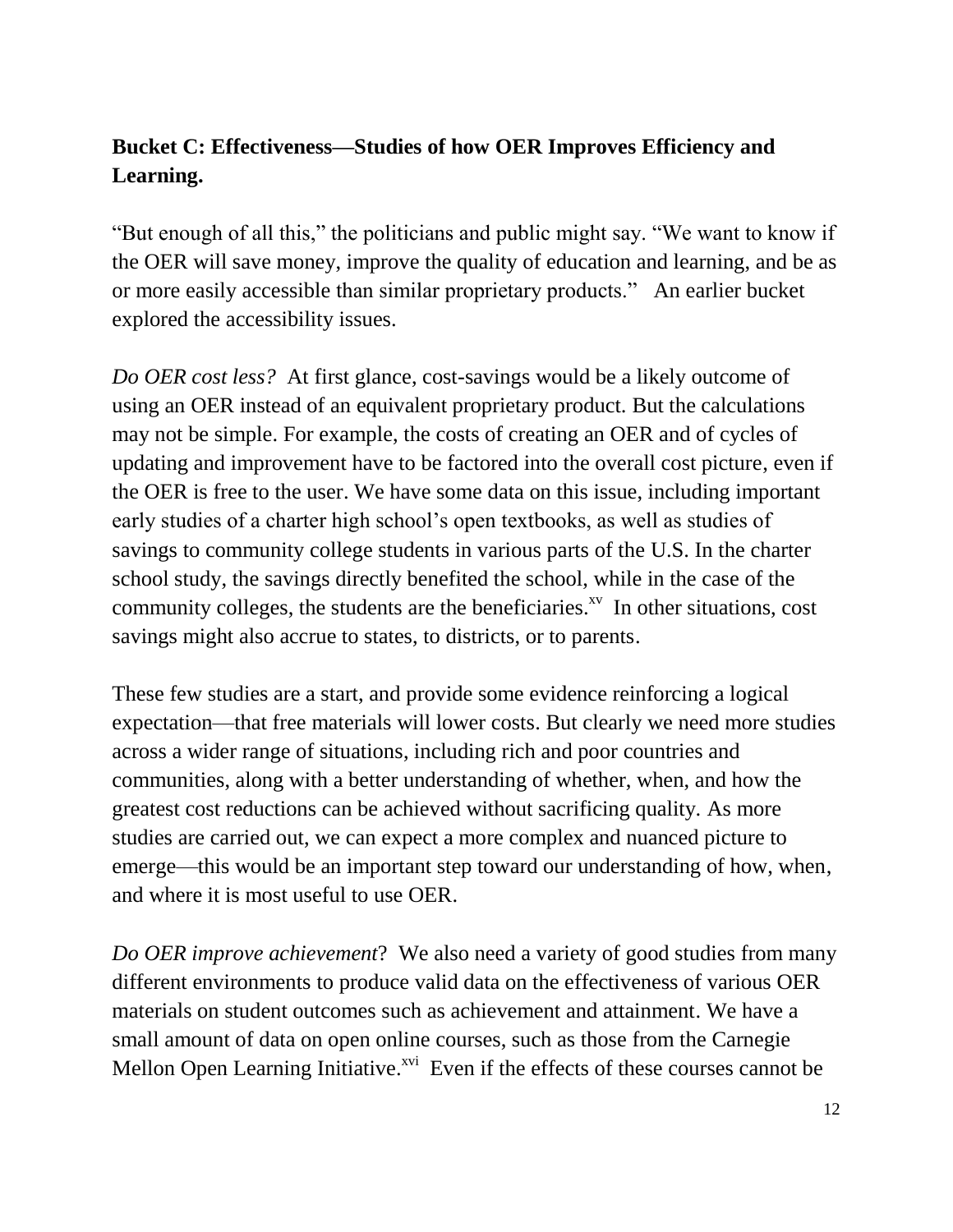# **Bucket C: Effectiveness—Studies of how OER Improves Efficiency and Learning.**

"But enough of all this," the politicians and public might say. "We want to know if the OER will save money, improve the quality of education and learning, and be as or more easily accessible than similar proprietary products." An earlier bucket explored the accessibility issues.

*Do OER cost less?* At first glance, cost-savings would be a likely outcome of using an OER instead of an equivalent proprietary product. But the calculations may not be simple. For example, the costs of creating an OER and of cycles of updating and improvement have to be factored into the overall cost picture, even if the OER is free to the user. We have some data on this issue, including important early studies of a charter high school's open textbooks, as well as studies of savings to community college students in various parts of the U.S. In the charter school study, the savings directly benefited the school, while in the case of the community colleges, the students are the beneficiaries. $\lambda^{x}$  In other situations, cost savings might also accrue to states, to districts, or to parents.

These few studies are a start, and provide some evidence reinforcing a logical expectation—that free materials will lower costs. But clearly we need more studies across a wider range of situations, including rich and poor countries and communities, along with a better understanding of whether, when, and how the greatest cost reductions can be achieved without sacrificing quality. As more studies are carried out, we can expect a more complex and nuanced picture to emerge—this would be an important step toward our understanding of how, when, and where it is most useful to use OER.

*Do OER improve achievement*? We also need a variety of good studies from many different environments to produce valid data on the effectiveness of various OER materials on student outcomes such as achievement and attainment. We have a small amount of data on open online courses, such as those from the Carnegie Mellon Open Learning Initiative.<sup>xvi</sup> Even if the effects of these courses cannot be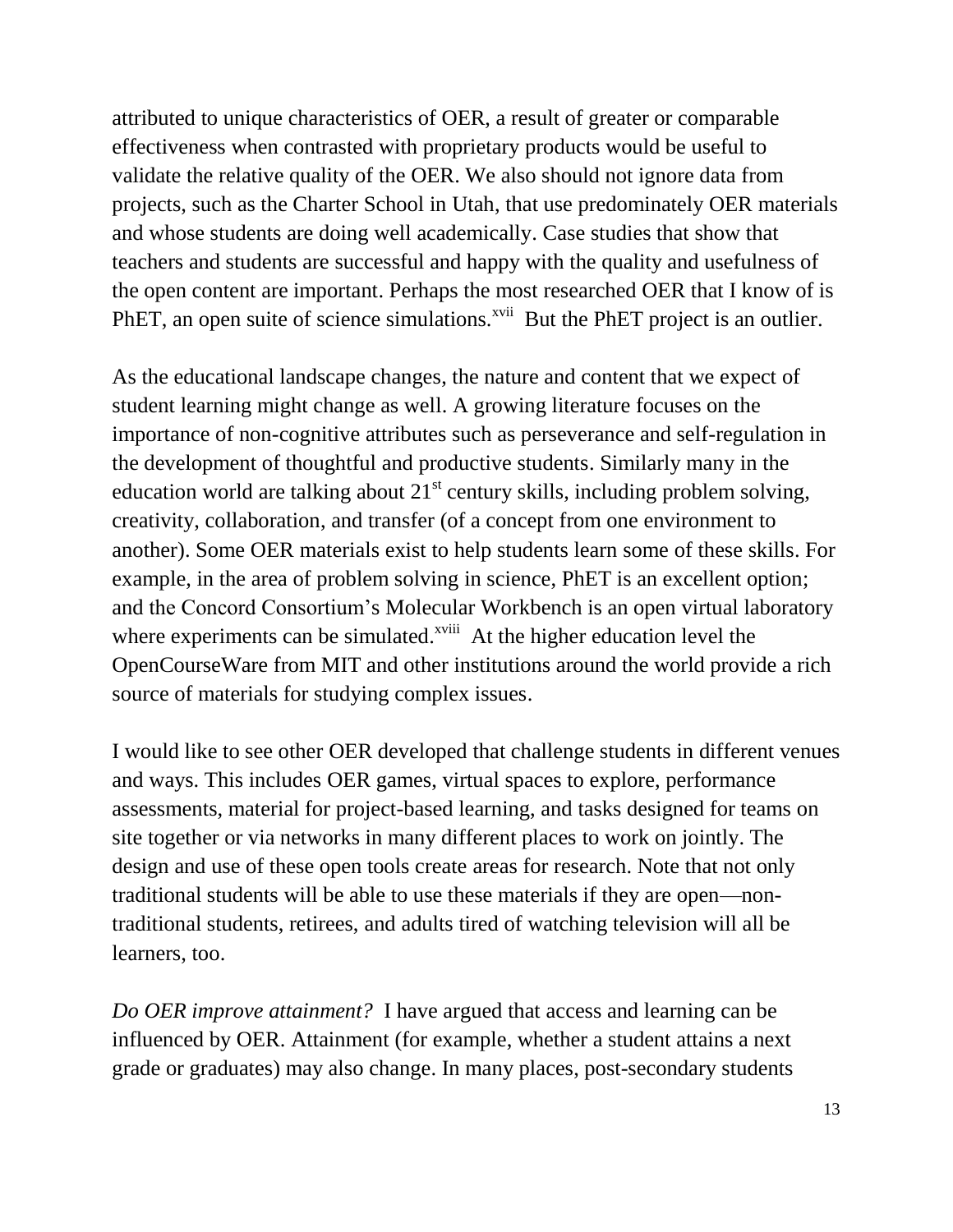attributed to unique characteristics of OER, a result of greater or comparable effectiveness when contrasted with proprietary products would be useful to validate the relative quality of the OER. We also should not ignore data from projects, such as the Charter School in Utah, that use predominately OER materials and whose students are doing well academically. Case studies that show that teachers and students are successful and happy with the quality and usefulness of the open content are important. Perhaps the most researched OER that I know of is PhET, an open suite of science simulations.<sup>xvii</sup> But the PhET project is an outlier.

As the educational landscape changes, the nature and content that we expect of student learning might change as well. A growing literature focuses on the importance of non-cognitive attributes such as perseverance and self-regulation in the development of thoughtful and productive students. Similarly many in the education world are talking about  $21<sup>st</sup>$  century skills, including problem solving, creativity, collaboration, and transfer (of a concept from one environment to another). Some OER materials exist to help students learn some of these skills. For example, in the area of problem solving in science, PhET is an excellent option; and the Concord Consortium's Molecular Workbench is an open virtual laboratory where experiments can be simulated.<sup>xviii</sup> At the higher education level the OpenCourseWare from MIT and other institutions around the world provide a rich source of materials for studying complex issues.

I would like to see other OER developed that challenge students in different venues and ways. This includes OER games, virtual spaces to explore, performance assessments, material for project-based learning, and tasks designed for teams on site together or via networks in many different places to work on jointly. The design and use of these open tools create areas for research. Note that not only traditional students will be able to use these materials if they are open—nontraditional students, retirees, and adults tired of watching television will all be learners, too.

*Do OER improve attainment?* I have argued that access and learning can be influenced by OER. Attainment (for example, whether a student attains a next grade or graduates) may also change. In many places, post-secondary students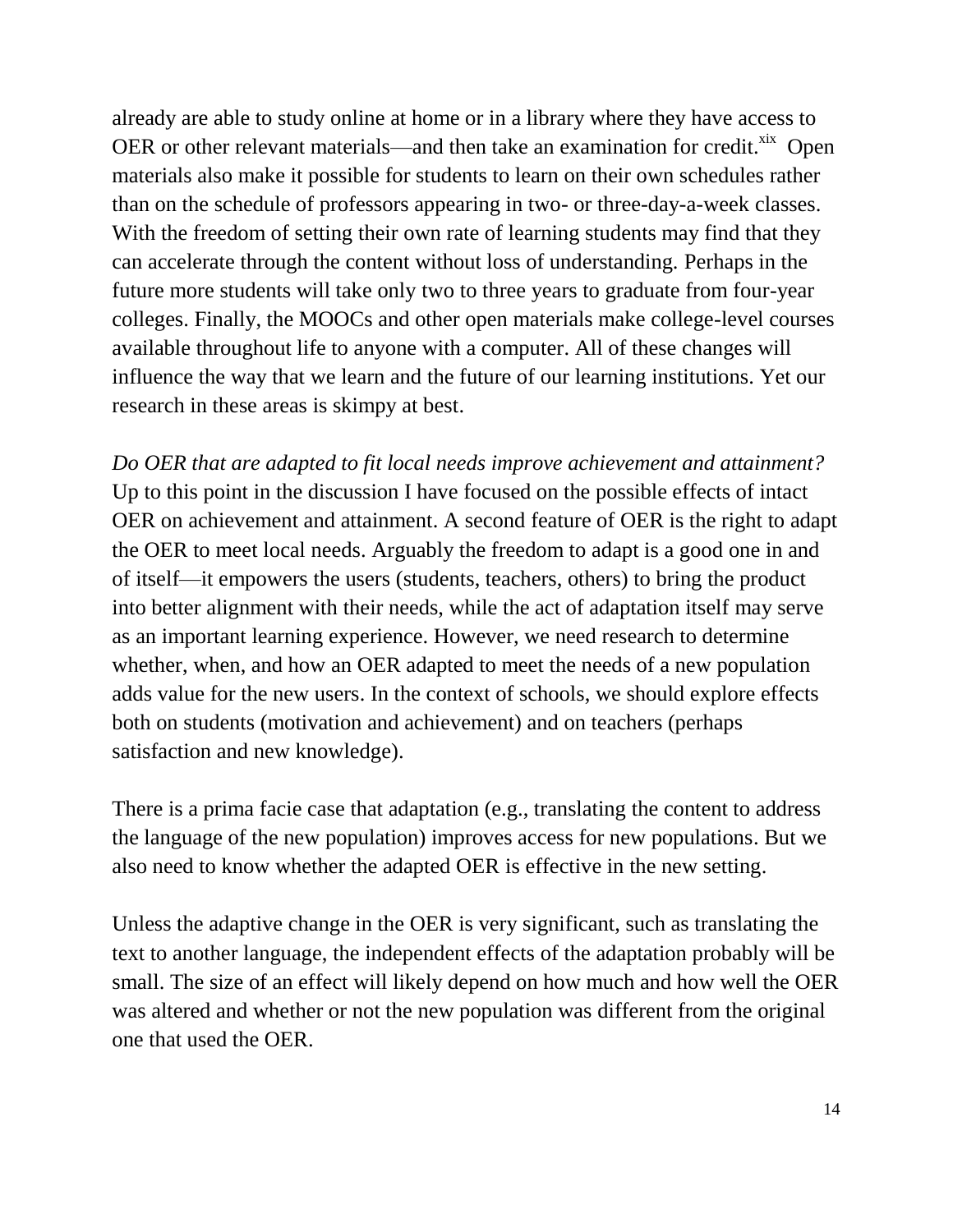already are able to study online at home or in a library where they have access to OER or other relevant materials—and then take an examination for credit. ${}^{x}$  Open materials also make it possible for students to learn on their own schedules rather than on the schedule of professors appearing in two- or three-day-a-week classes. With the freedom of setting their own rate of learning students may find that they can accelerate through the content without loss of understanding. Perhaps in the future more students will take only two to three years to graduate from four-year colleges. Finally, the MOOCs and other open materials make college-level courses available throughout life to anyone with a computer. All of these changes will influence the way that we learn and the future of our learning institutions. Yet our research in these areas is skimpy at best.

*Do OER that are adapted to fit local needs improve achievement and attainment?* Up to this point in the discussion I have focused on the possible effects of intact OER on achievement and attainment. A second feature of OER is the right to adapt the OER to meet local needs. Arguably the freedom to adapt is a good one in and of itself—it empowers the users (students, teachers, others) to bring the product into better alignment with their needs, while the act of adaptation itself may serve as an important learning experience. However, we need research to determine whether, when, and how an OER adapted to meet the needs of a new population adds value for the new users. In the context of schools, we should explore effects both on students (motivation and achievement) and on teachers (perhaps satisfaction and new knowledge).

There is a prima facie case that adaptation (e.g., translating the content to address the language of the new population) improves access for new populations. But we also need to know whether the adapted OER is effective in the new setting.

Unless the adaptive change in the OER is very significant, such as translating the text to another language, the independent effects of the adaptation probably will be small. The size of an effect will likely depend on how much and how well the OER was altered and whether or not the new population was different from the original one that used the OER.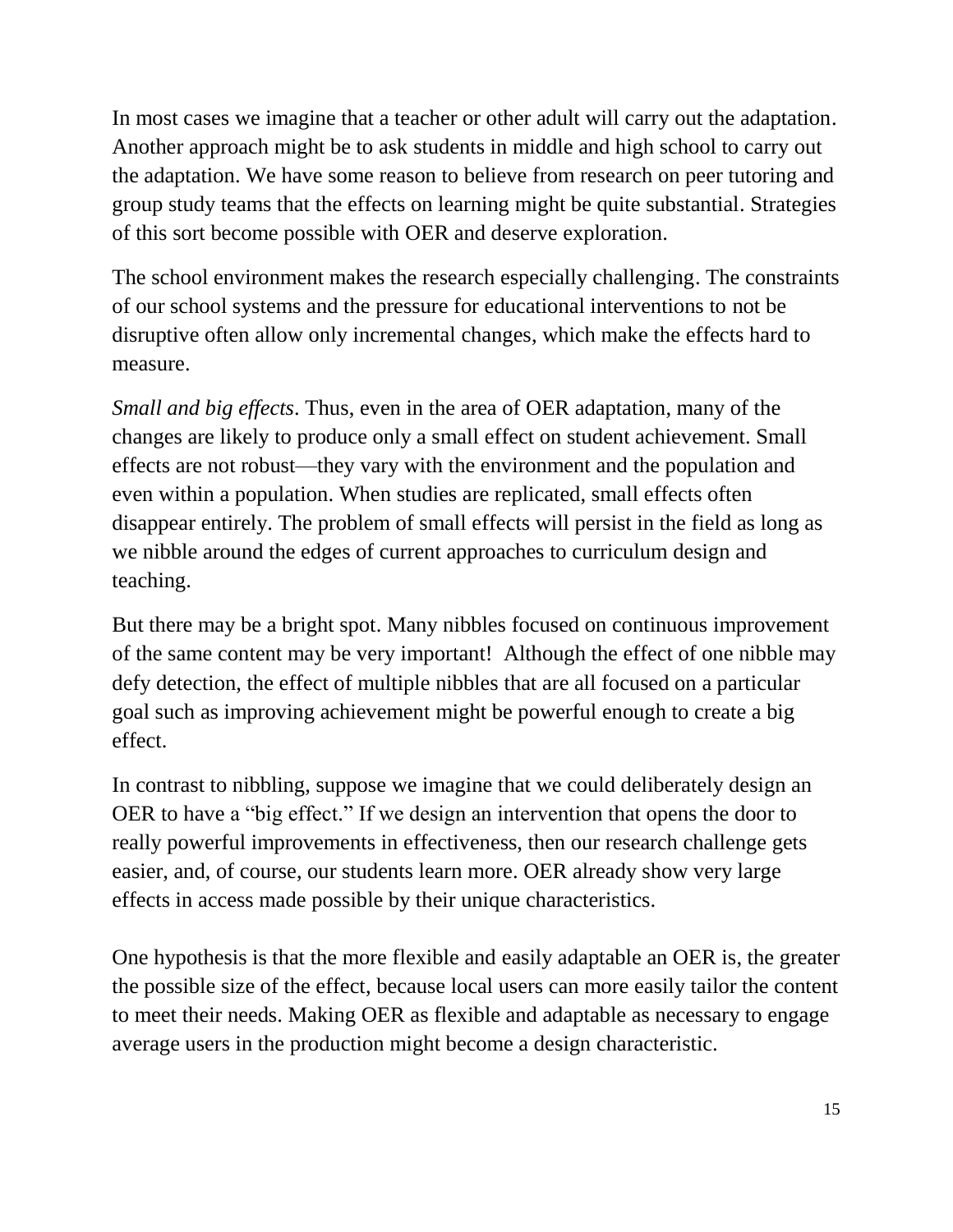In most cases we imagine that a teacher or other adult will carry out the adaptation. Another approach might be to ask students in middle and high school to carry out the adaptation. We have some reason to believe from research on peer tutoring and group study teams that the effects on learning might be quite substantial. Strategies of this sort become possible with OER and deserve exploration.

The school environment makes the research especially challenging. The constraints of our school systems and the pressure for educational interventions to not be disruptive often allow only incremental changes, which make the effects hard to measure.

*Small and big effects*. Thus, even in the area of OER adaptation, many of the changes are likely to produce only a small effect on student achievement. Small effects are not robust—they vary with the environment and the population and even within a population. When studies are replicated, small effects often disappear entirely. The problem of small effects will persist in the field as long as we nibble around the edges of current approaches to curriculum design and teaching.

But there may be a bright spot. Many nibbles focused on continuous improvement of the same content may be very important! Although the effect of one nibble may defy detection, the effect of multiple nibbles that are all focused on a particular goal such as improving achievement might be powerful enough to create a big effect.

In contrast to nibbling, suppose we imagine that we could deliberately design an OER to have a "big effect." If we design an intervention that opens the door to really powerful improvements in effectiveness, then our research challenge gets easier, and, of course, our students learn more. OER already show very large effects in access made possible by their unique characteristics.

One hypothesis is that the more flexible and easily adaptable an OER is, the greater the possible size of the effect, because local users can more easily tailor the content to meet their needs. Making OER as flexible and adaptable as necessary to engage average users in the production might become a design characteristic.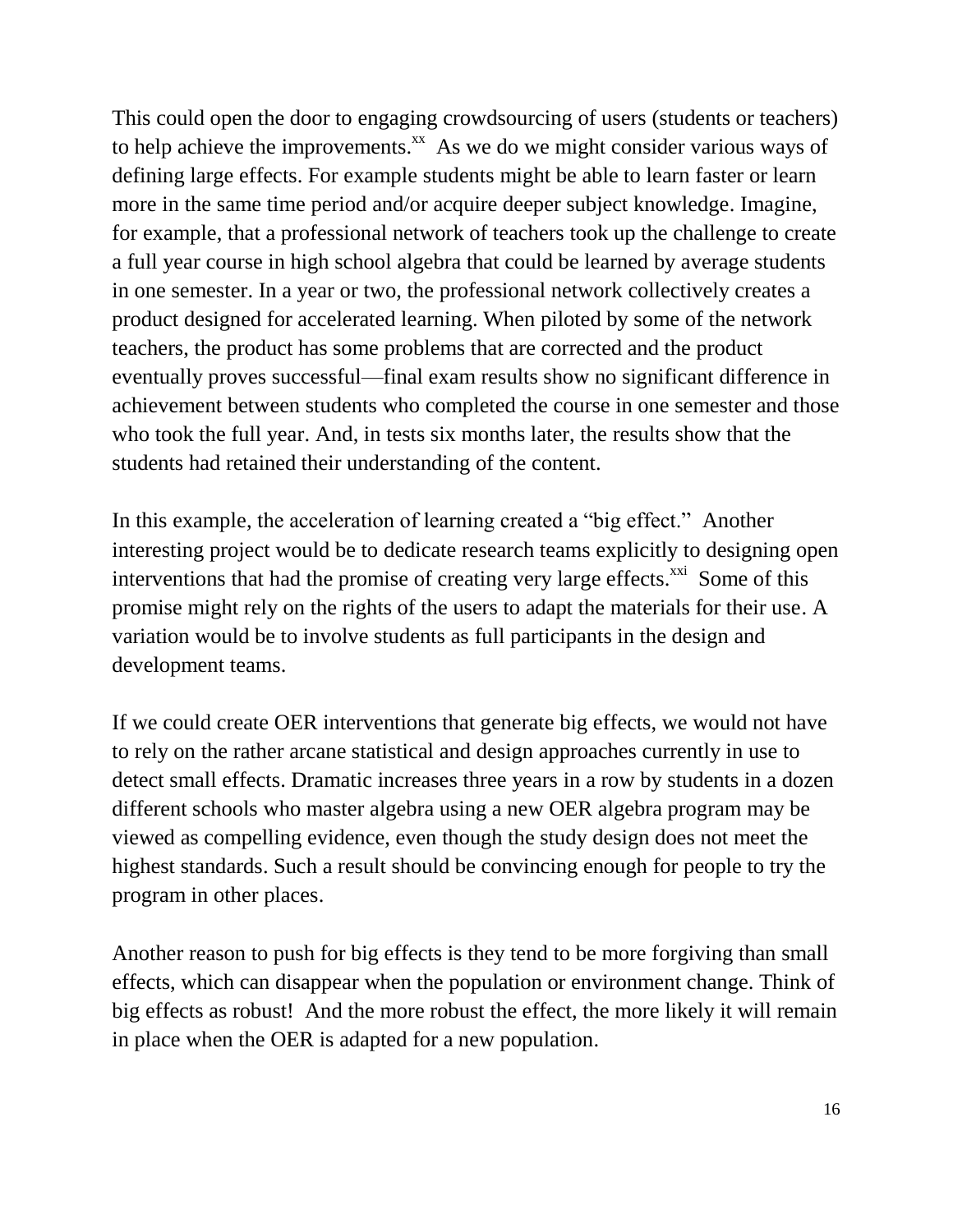This could open the door to engaging crowdsourcing of users (students or teachers) to help achieve the improvements. $^{xx}$  As we do we might consider various ways of defining large effects. For example students might be able to learn faster or learn more in the same time period and/or acquire deeper subject knowledge. Imagine, for example, that a professional network of teachers took up the challenge to create a full year course in high school algebra that could be learned by average students in one semester. In a year or two, the professional network collectively creates a product designed for accelerated learning. When piloted by some of the network teachers, the product has some problems that are corrected and the product eventually proves successful—final exam results show no significant difference in achievement between students who completed the course in one semester and those who took the full year. And, in tests six months later, the results show that the students had retained their understanding of the content.

In this example, the acceleration of learning created a "big effect." Another interesting project would be to dedicate research teams explicitly to designing open interventions that had the promise of creating very large effects. $^{xxi}$  Some of this promise might rely on the rights of the users to adapt the materials for their use. A variation would be to involve students as full participants in the design and development teams.

If we could create OER interventions that generate big effects, we would not have to rely on the rather arcane statistical and design approaches currently in use to detect small effects. Dramatic increases three years in a row by students in a dozen different schools who master algebra using a new OER algebra program may be viewed as compelling evidence, even though the study design does not meet the highest standards. Such a result should be convincing enough for people to try the program in other places.

Another reason to push for big effects is they tend to be more forgiving than small effects, which can disappear when the population or environment change. Think of big effects as robust! And the more robust the effect, the more likely it will remain in place when the OER is adapted for a new population.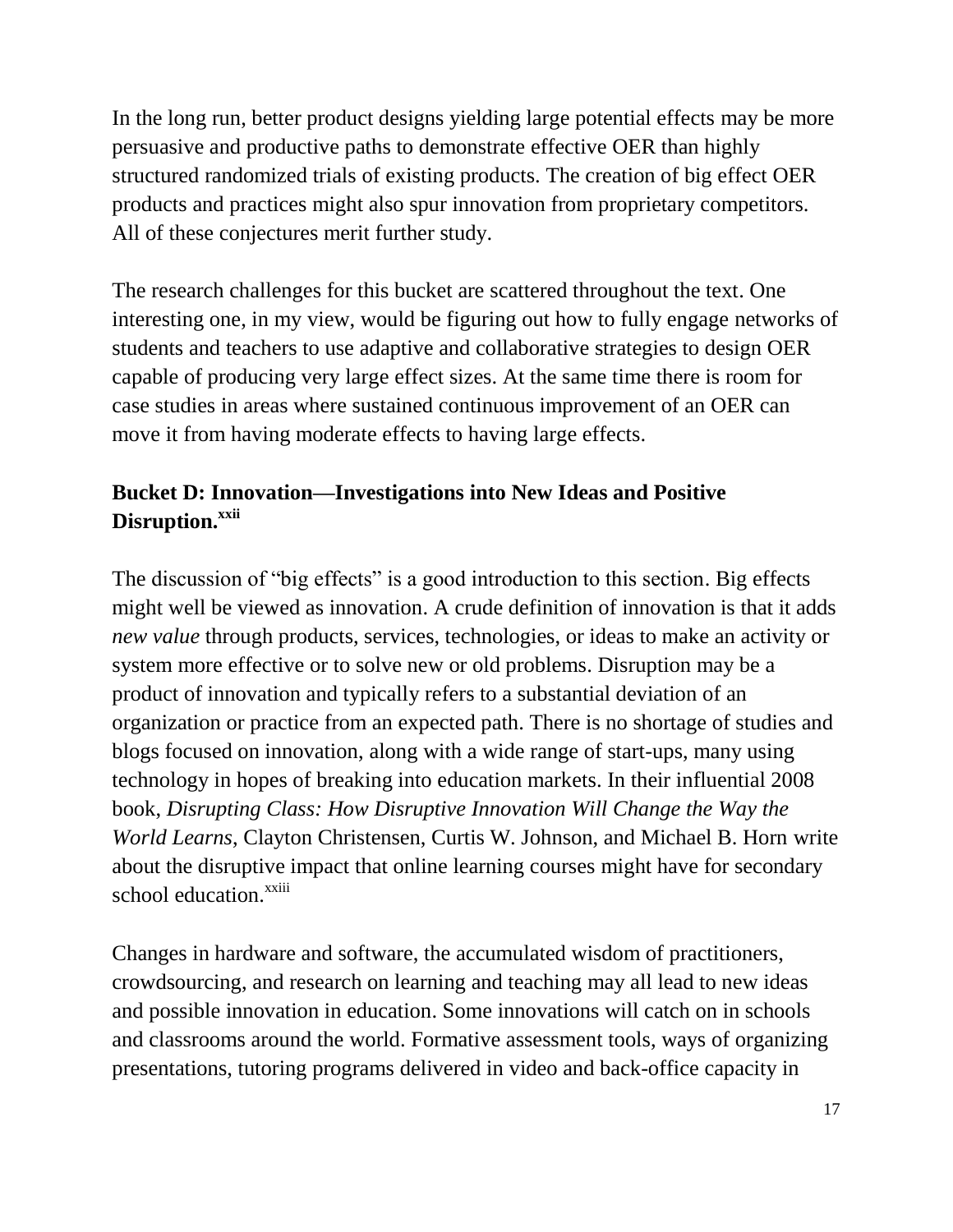In the long run, better product designs yielding large potential effects may be more persuasive and productive paths to demonstrate effective OER than highly structured randomized trials of existing products. The creation of big effect OER products and practices might also spur innovation from proprietary competitors. All of these conjectures merit further study.

The research challenges for this bucket are scattered throughout the text. One interesting one, in my view, would be figuring out how to fully engage networks of students and teachers to use adaptive and collaborative strategies to design OER capable of producing very large effect sizes. At the same time there is room for case studies in areas where sustained continuous improvement of an OER can move it from having moderate effects to having large effects.

# **Bucket D: Innovation—Investigations into New Ideas and Positive Disruption. xxii**

The discussion of "big effects" is a good introduction to this section. Big effects might well be viewed as innovation. A crude definition of innovation is that it adds *new value* through products, services, technologies, or ideas to make an activity or system more effective or to solve new or old problems. Disruption may be a product of innovation and typically refers to a substantial deviation of an organization or practice from an expected path. There is no shortage of studies and blogs focused on innovation, along with a wide range of start-ups, many using technology in hopes of breaking into education markets. In their influential 2008 book, *Disrupting Class: How Disruptive Innovation Will Change the Way the World Learns*, Clayton Christensen, Curtis W. Johnson, and Michael B. Horn write about the disruptive impact that online learning courses might have for secondary school education.<sup>xxiii</sup>

Changes in hardware and software, the accumulated wisdom of practitioners, crowdsourcing, and research on learning and teaching may all lead to new ideas and possible innovation in education. Some innovations will catch on in schools and classrooms around the world. Formative assessment tools, ways of organizing presentations, tutoring programs delivered in video and back-office capacity in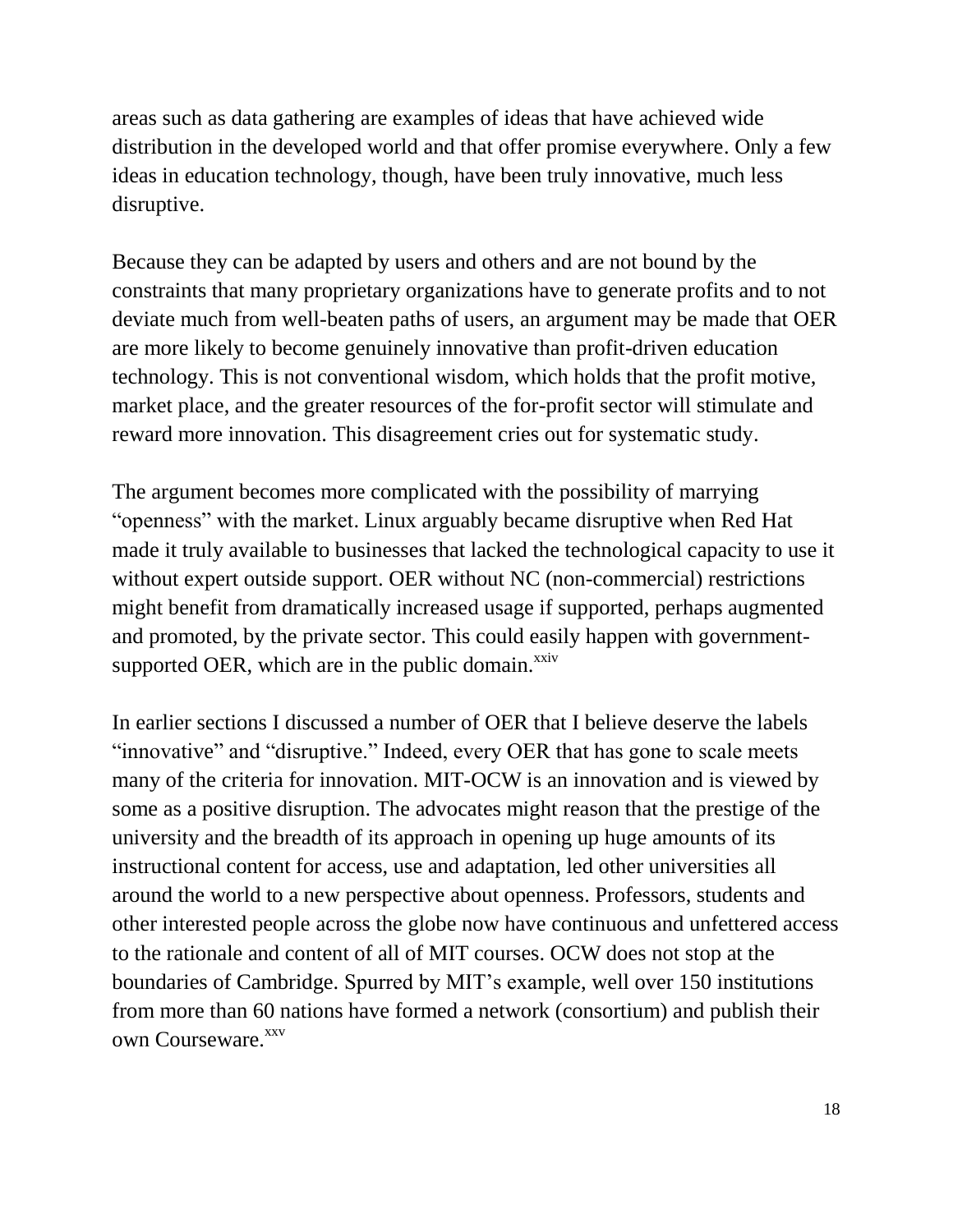areas such as data gathering are examples of ideas that have achieved wide distribution in the developed world and that offer promise everywhere. Only a few ideas in education technology, though, have been truly innovative, much less disruptive.

Because they can be adapted by users and others and are not bound by the constraints that many proprietary organizations have to generate profits and to not deviate much from well-beaten paths of users, an argument may be made that OER are more likely to become genuinely innovative than profit-driven education technology. This is not conventional wisdom, which holds that the profit motive, market place, and the greater resources of the for-profit sector will stimulate and reward more innovation. This disagreement cries out for systematic study.

The argument becomes more complicated with the possibility of marrying "openness" with the market. Linux arguably became disruptive when Red Hat made it truly available to businesses that lacked the technological capacity to use it without expert outside support. OER without NC (non-commercial) restrictions might benefit from dramatically increased usage if supported, perhaps augmented and promoted, by the private sector. This could easily happen with governmentsupported OER, which are in the public domain. $x$ xiv

In earlier sections I discussed a number of OER that I believe deserve the labels "innovative" and "disruptive." Indeed, every OER that has gone to scale meets many of the criteria for innovation. MIT-OCW is an innovation and is viewed by some as a positive disruption. The advocates might reason that the prestige of the university and the breadth of its approach in opening up huge amounts of its instructional content for access, use and adaptation, led other universities all around the world to a new perspective about openness. Professors, students and other interested people across the globe now have continuous and unfettered access to the rationale and content of all of MIT courses. OCW does not stop at the boundaries of Cambridge. Spurred by MIT's example, well over 150 institutions from more than 60 nations have formed a network (consortium) and publish their own Courseware.<sup>xxv</sup>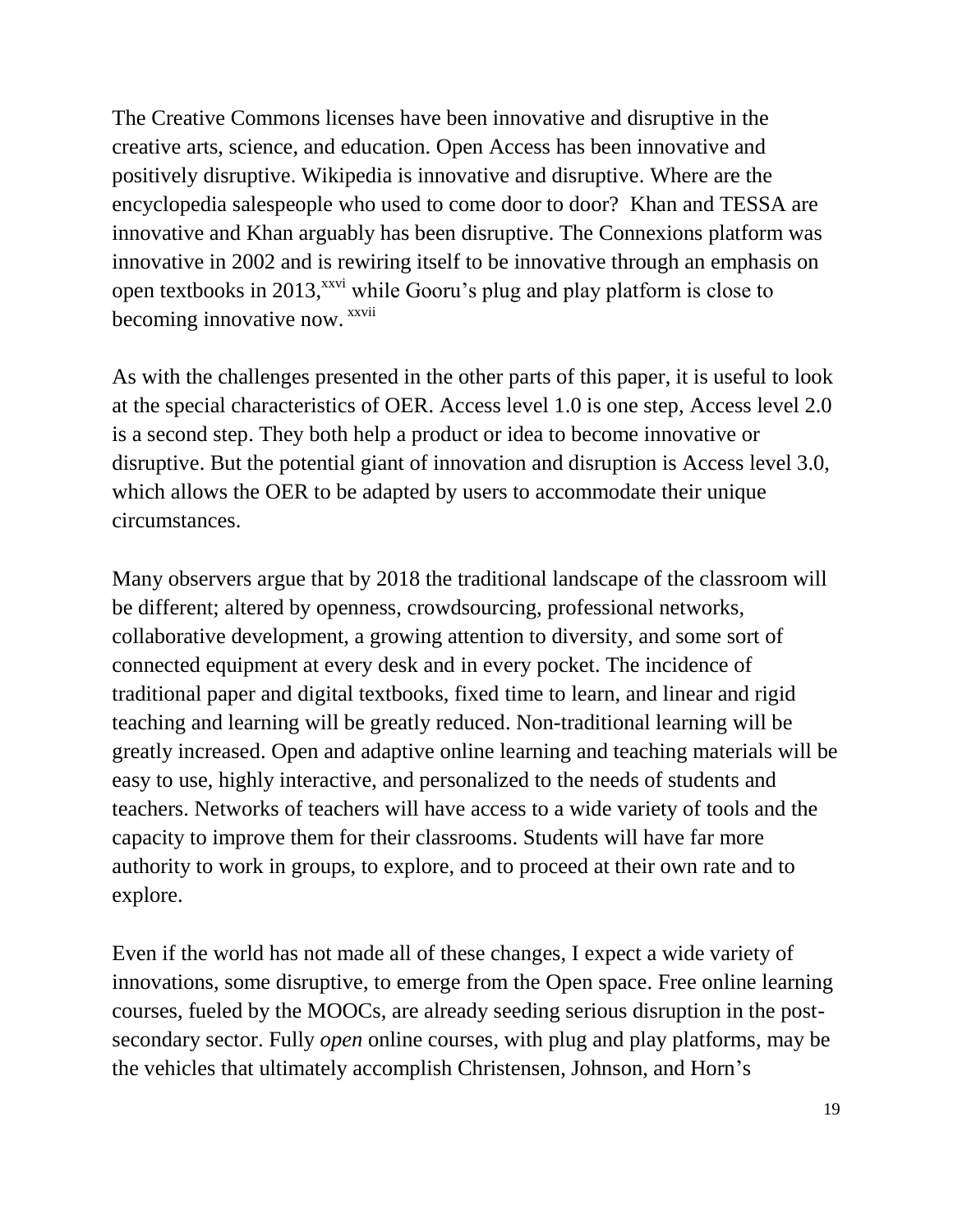The Creative Commons licenses have been innovative and disruptive in the creative arts, science, and education. Open Access has been innovative and positively disruptive. Wikipedia is innovative and disruptive. Where are the encyclopedia salespeople who used to come door to door? Khan and TESSA are innovative and Khan arguably has been disruptive. The Connexions platform was innovative in 2002 and is rewiring itself to be innovative through an emphasis on open textbooks in 2013,<sup>xxvi</sup> while Gooru's plug and play platform is close to becoming innovative now. <sup>xxvii</sup>

As with the challenges presented in the other parts of this paper, it is useful to look at the special characteristics of OER. Access level 1.0 is one step, Access level 2.0 is a second step. They both help a product or idea to become innovative or disruptive. But the potential giant of innovation and disruption is Access level 3.0, which allows the OER to be adapted by users to accommodate their unique circumstances.

Many observers argue that by 2018 the traditional landscape of the classroom will be different; altered by openness, crowdsourcing, professional networks, collaborative development, a growing attention to diversity, and some sort of connected equipment at every desk and in every pocket. The incidence of traditional paper and digital textbooks, fixed time to learn, and linear and rigid teaching and learning will be greatly reduced. Non-traditional learning will be greatly increased. Open and adaptive online learning and teaching materials will be easy to use, highly interactive, and personalized to the needs of students and teachers. Networks of teachers will have access to a wide variety of tools and the capacity to improve them for their classrooms. Students will have far more authority to work in groups, to explore, and to proceed at their own rate and to explore.

Even if the world has not made all of these changes, I expect a wide variety of innovations, some disruptive, to emerge from the Open space. Free online learning courses, fueled by the MOOCs, are already seeding serious disruption in the postsecondary sector. Fully *open* online courses, with plug and play platforms, may be the vehicles that ultimately accomplish Christensen, Johnson, and Horn's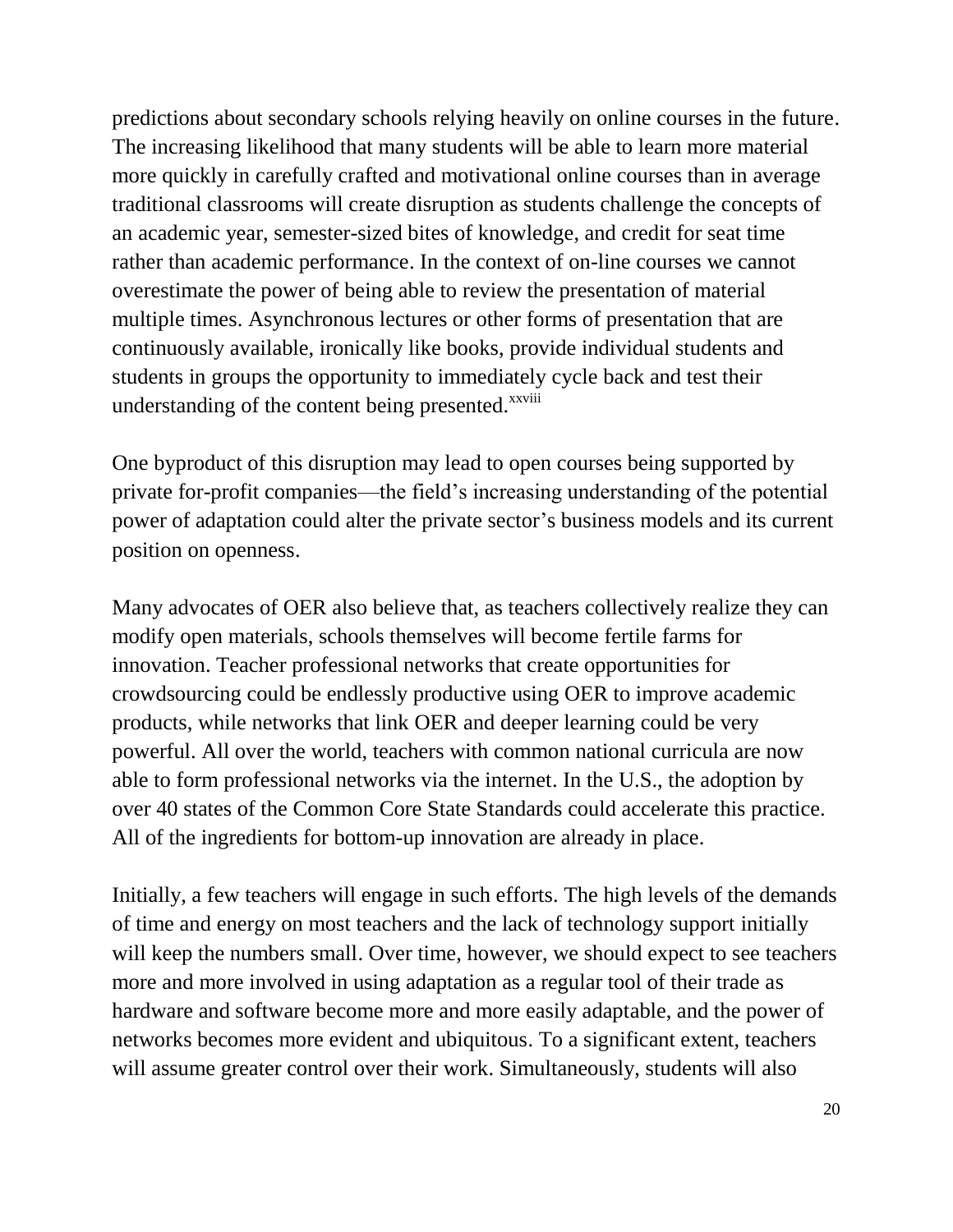predictions about secondary schools relying heavily on online courses in the future. The increasing likelihood that many students will be able to learn more material more quickly in carefully crafted and motivational online courses than in average traditional classrooms will create disruption as students challenge the concepts of an academic year, semester-sized bites of knowledge, and credit for seat time rather than academic performance. In the context of on-line courses we cannot overestimate the power of being able to review the presentation of material multiple times. Asynchronous lectures or other forms of presentation that are continuously available, ironically like books, provide individual students and students in groups the opportunity to immediately cycle back and test their understanding of the content being presented. $x_{x}$ <sup>xxviii</sup>

One byproduct of this disruption may lead to open courses being supported by private for-profit companies—the field's increasing understanding of the potential power of adaptation could alter the private sector's business models and its current position on openness.

Many advocates of OER also believe that, as teachers collectively realize they can modify open materials, schools themselves will become fertile farms for innovation. Teacher professional networks that create opportunities for crowdsourcing could be endlessly productive using OER to improve academic products, while networks that link OER and deeper learning could be very powerful. All over the world, teachers with common national curricula are now able to form professional networks via the internet. In the U.S., the adoption by over 40 states of the Common Core State Standards could accelerate this practice. All of the ingredients for bottom-up innovation are already in place.

Initially, a few teachers will engage in such efforts. The high levels of the demands of time and energy on most teachers and the lack of technology support initially will keep the numbers small. Over time, however, we should expect to see teachers more and more involved in using adaptation as a regular tool of their trade as hardware and software become more and more easily adaptable, and the power of networks becomes more evident and ubiquitous. To a significant extent, teachers will assume greater control over their work. Simultaneously, students will also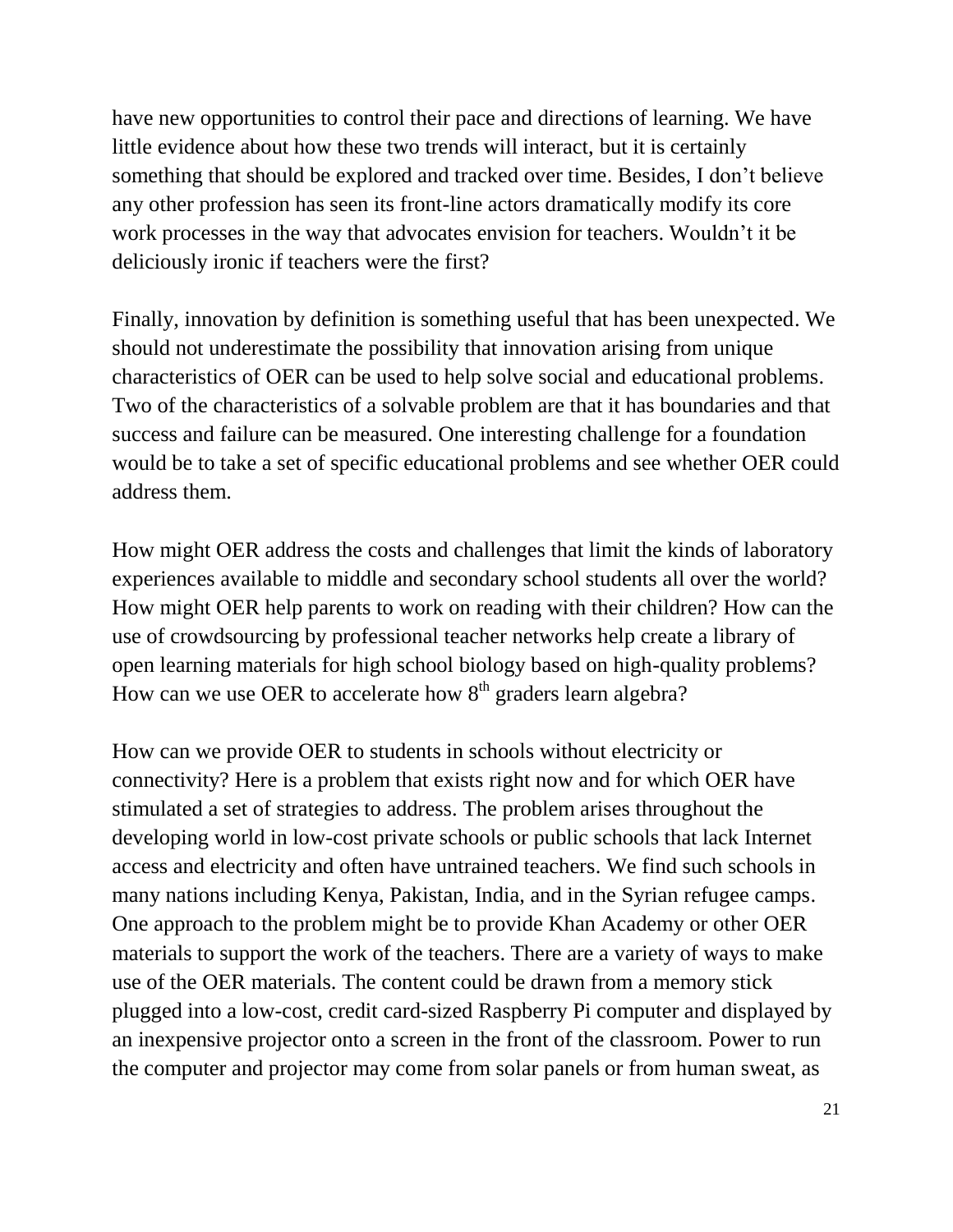have new opportunities to control their pace and directions of learning. We have little evidence about how these two trends will interact, but it is certainly something that should be explored and tracked over time. Besides, I don't believe any other profession has seen its front-line actors dramatically modify its core work processes in the way that advocates envision for teachers. Wouldn't it be deliciously ironic if teachers were the first?

Finally, innovation by definition is something useful that has been unexpected. We should not underestimate the possibility that innovation arising from unique characteristics of OER can be used to help solve social and educational problems. Two of the characteristics of a solvable problem are that it has boundaries and that success and failure can be measured. One interesting challenge for a foundation would be to take a set of specific educational problems and see whether OER could address them.

How might OER address the costs and challenges that limit the kinds of laboratory experiences available to middle and secondary school students all over the world? How might OER help parents to work on reading with their children? How can the use of crowdsourcing by professional teacher networks help create a library of open learning materials for high school biology based on high-quality problems? How can we use OER to accelerate how  $8<sup>th</sup>$  graders learn algebra?

How can we provide OER to students in schools without electricity or connectivity? Here is a problem that exists right now and for which OER have stimulated a set of strategies to address. The problem arises throughout the developing world in low-cost private schools or public schools that lack Internet access and electricity and often have untrained teachers. We find such schools in many nations including Kenya, Pakistan, India, and in the Syrian refugee camps. One approach to the problem might be to provide Khan Academy or other OER materials to support the work of the teachers. There are a variety of ways to make use of the OER materials. The content could be drawn from a memory stick plugged into a low-cost, credit card-sized Raspberry Pi computer and displayed by an inexpensive projector onto a screen in the front of the classroom. Power to run the computer and projector may come from solar panels or from human sweat, as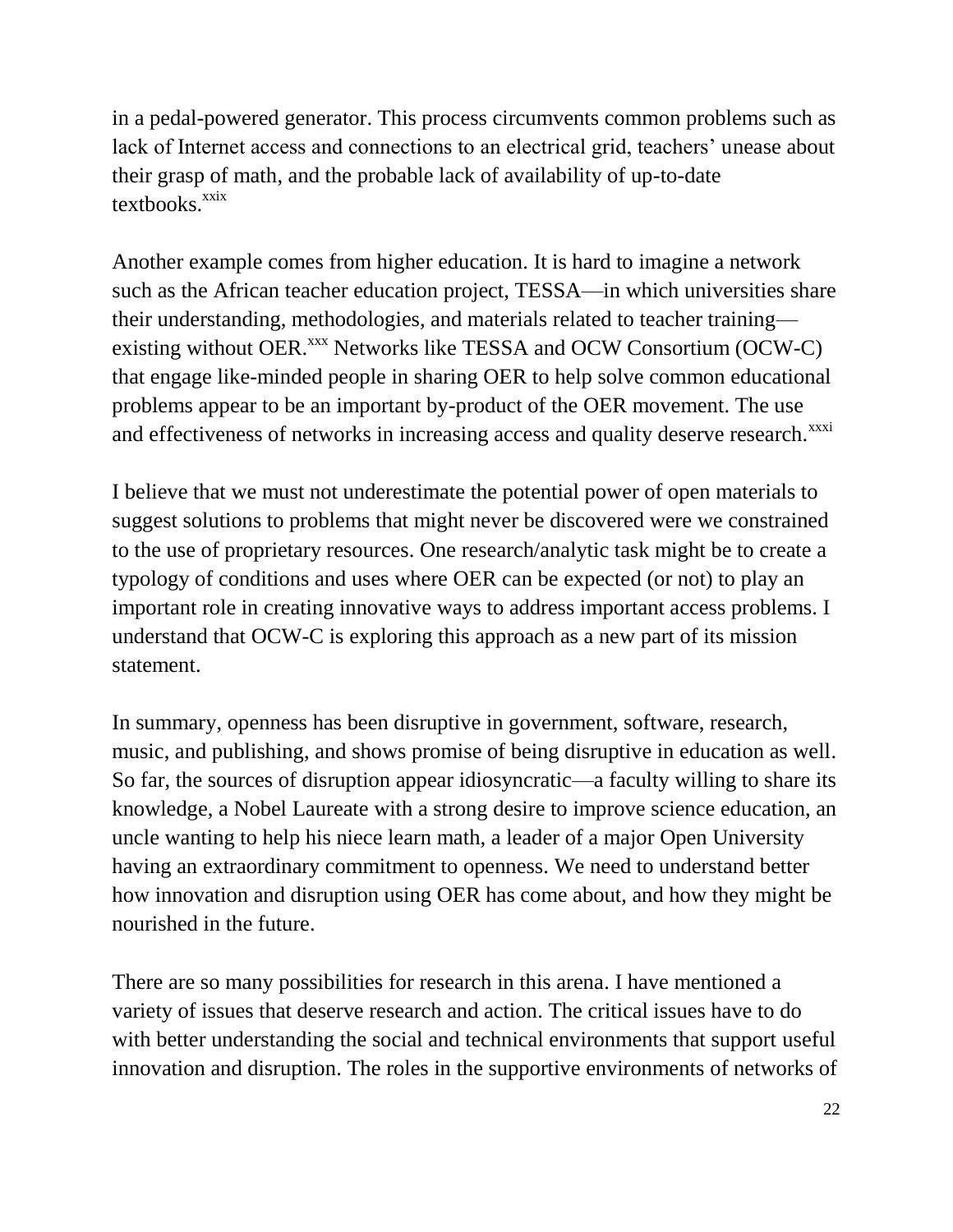in a pedal-powered generator. This process circumvents common problems such as lack of Internet access and connections to an electrical grid, teachers' unease about their grasp of math, and the probable lack of availability of up-to-date  $text$ <sub>textbooks.</sub> $\frac{xxix}{x}$ 

Another example comes from higher education. It is hard to imagine a network such as the African teacher education project, TESSA—in which universities share their understanding, methodologies, and materials related to teacher training existing without OER.<sup>xxx</sup> Networks like TESSA and OCW Consortium (OCW-C) that engage like-minded people in sharing OER to help solve common educational problems appear to be an important by-product of the OER movement. The use and effectiveness of networks in increasing access and quality deserve research.<sup>xxxi</sup>

I believe that we must not underestimate the potential power of open materials to suggest solutions to problems that might never be discovered were we constrained to the use of proprietary resources. One research/analytic task might be to create a typology of conditions and uses where OER can be expected (or not) to play an important role in creating innovative ways to address important access problems. I understand that OCW-C is exploring this approach as a new part of its mission statement.

In summary, openness has been disruptive in government, software, research, music, and publishing, and shows promise of being disruptive in education as well. So far, the sources of disruption appear idiosyncratic—a faculty willing to share its knowledge, a Nobel Laureate with a strong desire to improve science education, an uncle wanting to help his niece learn math, a leader of a major Open University having an extraordinary commitment to openness. We need to understand better how innovation and disruption using OER has come about, and how they might be nourished in the future.

There are so many possibilities for research in this arena. I have mentioned a variety of issues that deserve research and action. The critical issues have to do with better understanding the social and technical environments that support useful innovation and disruption. The roles in the supportive environments of networks of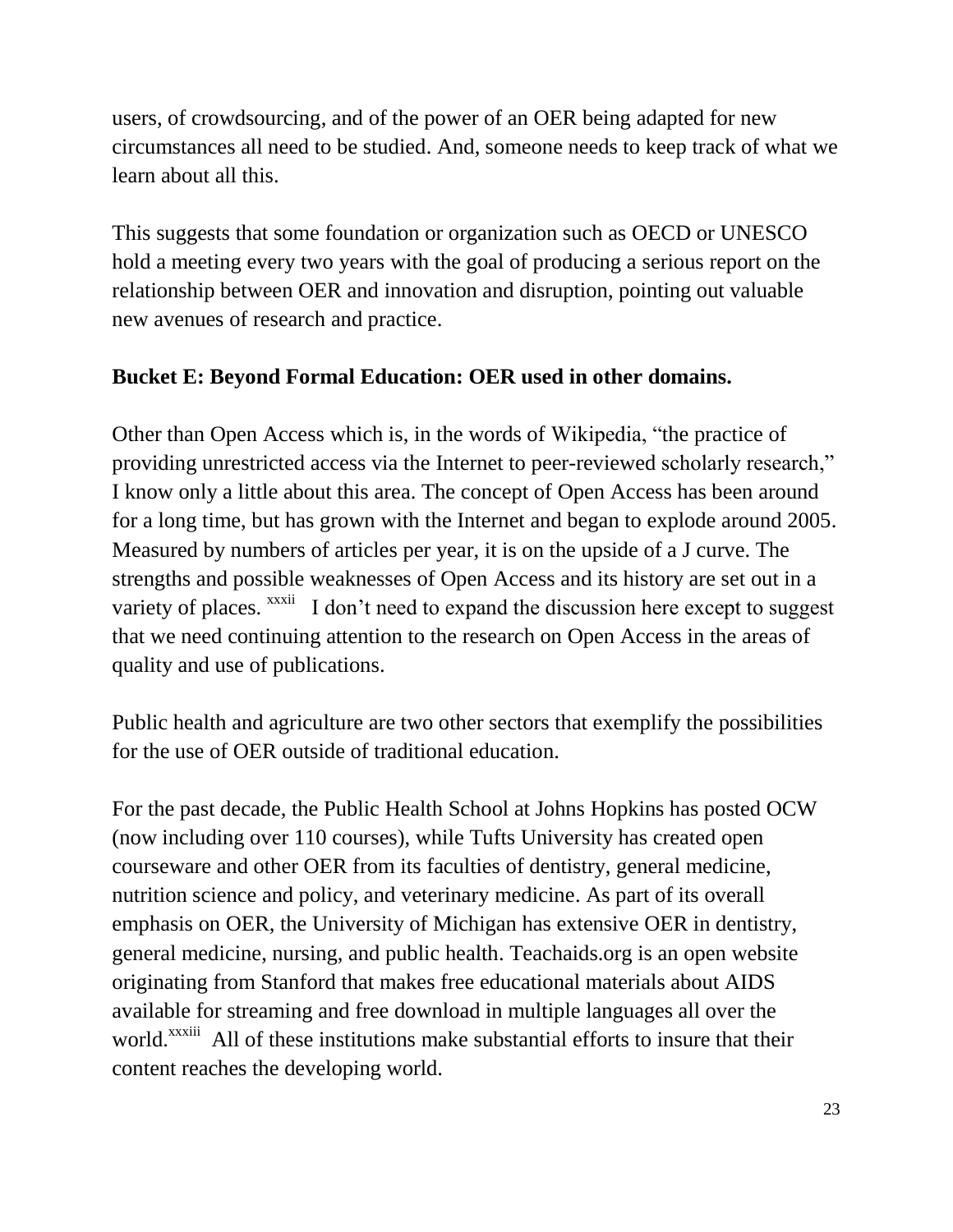users, of crowdsourcing, and of the power of an OER being adapted for new circumstances all need to be studied. And, someone needs to keep track of what we learn about all this.

This suggests that some foundation or organization such as OECD or UNESCO hold a meeting every two years with the goal of producing a serious report on the relationship between OER and innovation and disruption, pointing out valuable new avenues of research and practice.

### **Bucket E: Beyond Formal Education: OER used in other domains.**

Other than Open Access which is, in the words of Wikipedia, "the practice of providing unrestricted access via the [Internet](http://en.wikipedia.org/wiki/Internet) to [peer-reviewed](http://en.wikipedia.org/wiki/Peer_review) scholarly research," I know only a little about this area. The concept of Open Access has been around for a long time, but has grown with the Internet and began to explode around 2005. Measured by numbers of articles per year, it is on the upside of a J curve. The strengths and possible weaknesses of Open Access and its history are set out in a variety of places. <sup>xxxii</sup> I don't need to expand the discussion here except to suggest that we need continuing attention to the research on Open Access in the areas of quality and use of publications.

Public health and agriculture are two other sectors that exemplify the possibilities for the use of OER outside of traditional education.

For the past decade, the Public Health School at Johns Hopkins has posted OCW (now including over 110 courses), while Tufts University has created open courseware and other OER from its faculties of dentistry, general medicine, nutrition science and policy, and veterinary medicine. As part of its overall emphasis on OER, the University of Michigan has extensive OER in dentistry, general medicine, nursing, and public health. Teachaids.org is an open website originating from Stanford that makes free educational materials about AIDS available for streaming and free download in multiple languages all over the world.<sup>xxxiii</sup> All of these institutions make substantial efforts to insure that their content reaches the developing world.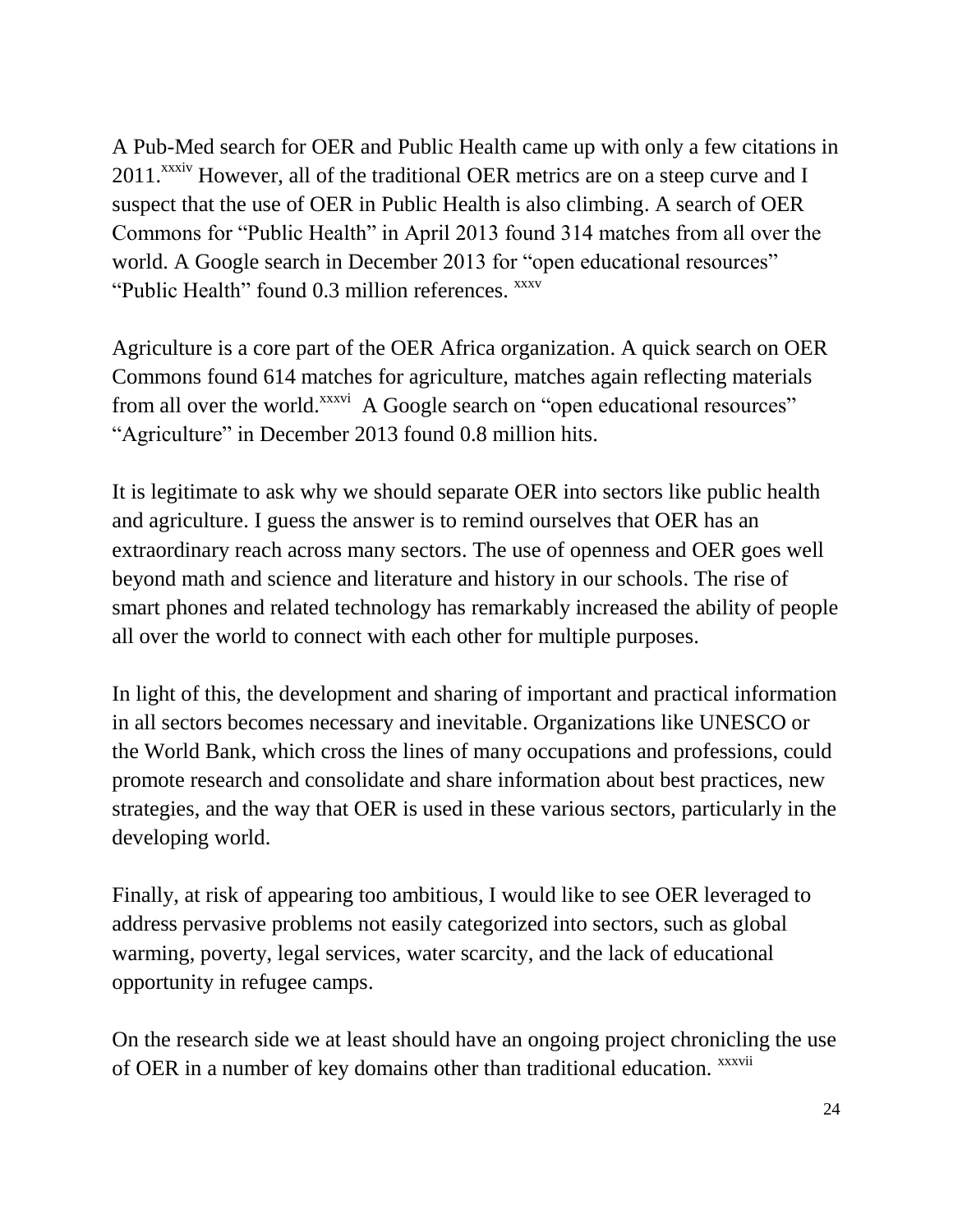A Pub-Med search for OER and Public Health came up with only a few citations in  $2011$ <sup>xxxiv</sup> However, all of the traditional OER metrics are on a steep curve and I suspect that the use of OER in Public Health is also climbing. A search of OER Commons for "Public Health" in April 2013 found 314 matches from all over the world. A Google search in December 2013 for "open educational resources" "Public Health" found 0.3 million references. <sup>xxxv</sup>

Agriculture is a core part of the OER Africa organization. A quick search on OER Commons found 614 matches for agriculture, matches again reflecting materials from all over the world.<sup>xxxvi</sup> A Google search on "open educational resources" "Agriculture" in December 2013 found 0.8 million hits.

It is legitimate to ask why we should separate OER into sectors like public health and agriculture. I guess the answer is to remind ourselves that OER has an extraordinary reach across many sectors. The use of openness and OER goes well beyond math and science and literature and history in our schools. The rise of smart phones and related technology has remarkably increased the ability of people all over the world to connect with each other for multiple purposes.

In light of this, the development and sharing of important and practical information in all sectors becomes necessary and inevitable. Organizations like UNESCO or the World Bank, which cross the lines of many occupations and professions, could promote research and consolidate and share information about best practices, new strategies, and the way that OER is used in these various sectors, particularly in the developing world.

Finally, at risk of appearing too ambitious, I would like to see OER leveraged to address pervasive problems not easily categorized into sectors, such as global warming, poverty, legal services, water scarcity, and the lack of educational opportunity in refugee camps.

On the research side we at least should have an ongoing project chronicling the use of OER in a number of key domains other than traditional education. xxxvii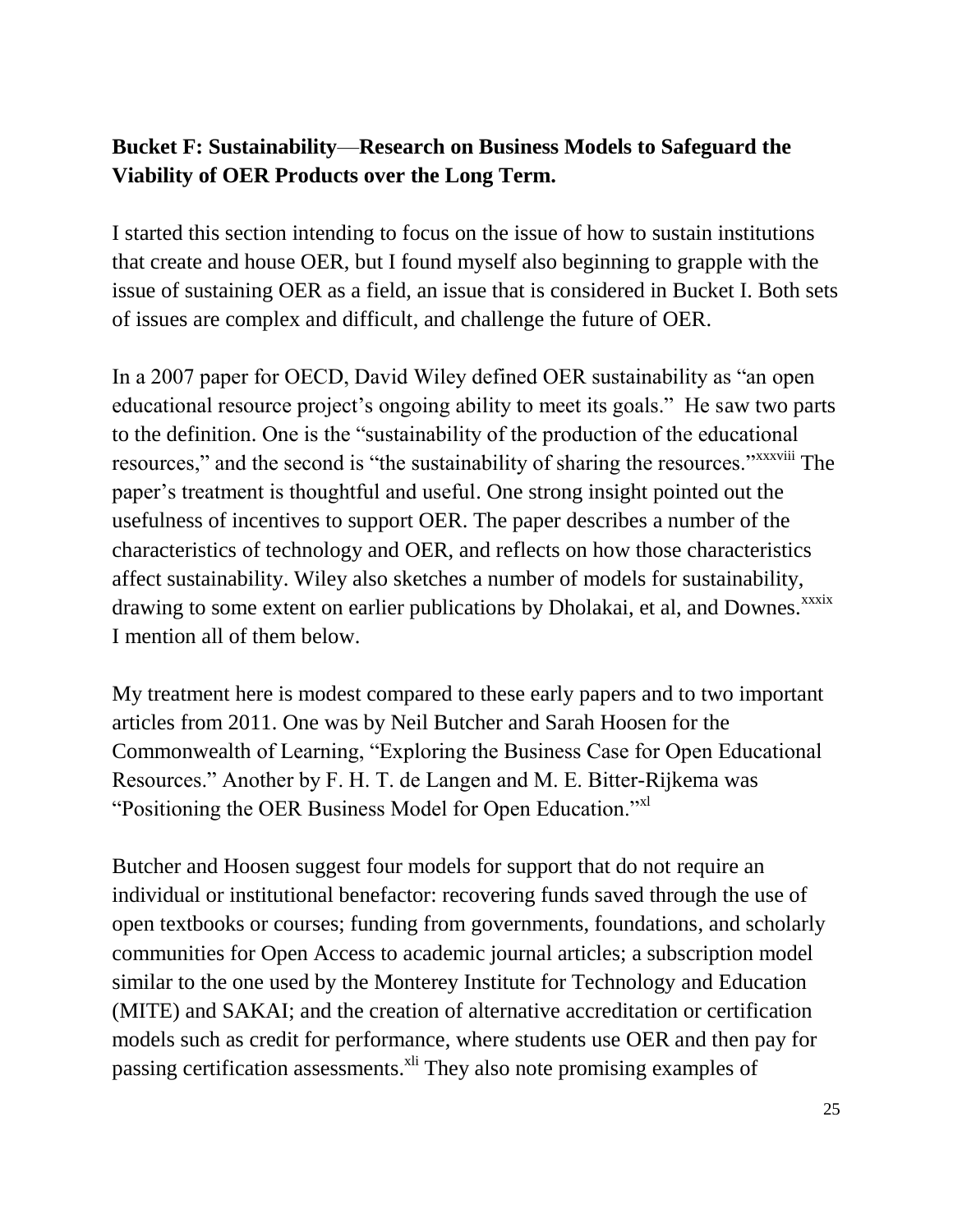## **Bucket F: Sustainability**—**Research on Business Models to Safeguard the Viability of OER Products over the Long Term.**

I started this section intending to focus on the issue of how to sustain institutions that create and house OER, but I found myself also beginning to grapple with the issue of sustaining OER as a field, an issue that is considered in Bucket I. Both sets of issues are complex and difficult, and challenge the future of OER.

In a 2007 paper for OECD, David Wiley defined OER sustainability as "an open educational resource project's ongoing ability to meet its goals." He saw two parts to the definition. One is the "sustainability of the production of the educational resources," and the second is "the sustainability of sharing the resources." XXXVIII The paper's treatment is thoughtful and useful. One strong insight pointed out the usefulness of incentives to support OER. The paper describes a number of the characteristics of technology and OER, and reflects on how those characteristics affect sustainability. Wiley also sketches a number of models for sustainability, drawing to some extent on earlier publications by Dholakai, et al, and Downes.<sup>xxxix</sup> I mention all of them below.

My treatment here is modest compared to these early papers and to two important articles from 2011. One was by Neil Butcher and Sarah Hoosen for the Commonwealth of Learning, "Exploring the Business Case for Open Educational Resources." Another by F. H. T. de Langen and M. E. Bitter-Rijkema was "Positioning the OER Business Model for Open Education."xl

Butcher and Hoosen suggest four models for support that do not require an individual or institutional benefactor: recovering funds saved through the use of open textbooks or courses; funding from governments, foundations, and scholarly communities for Open Access to academic journal articles; a subscription model similar to the one used by the Monterey Institute for Technology and Education (MITE) and SAKAI; and the creation of alternative accreditation or certification models such as credit for performance, where students use OER and then pay for passing certification assessments.<sup>xli</sup> They also note promising examples of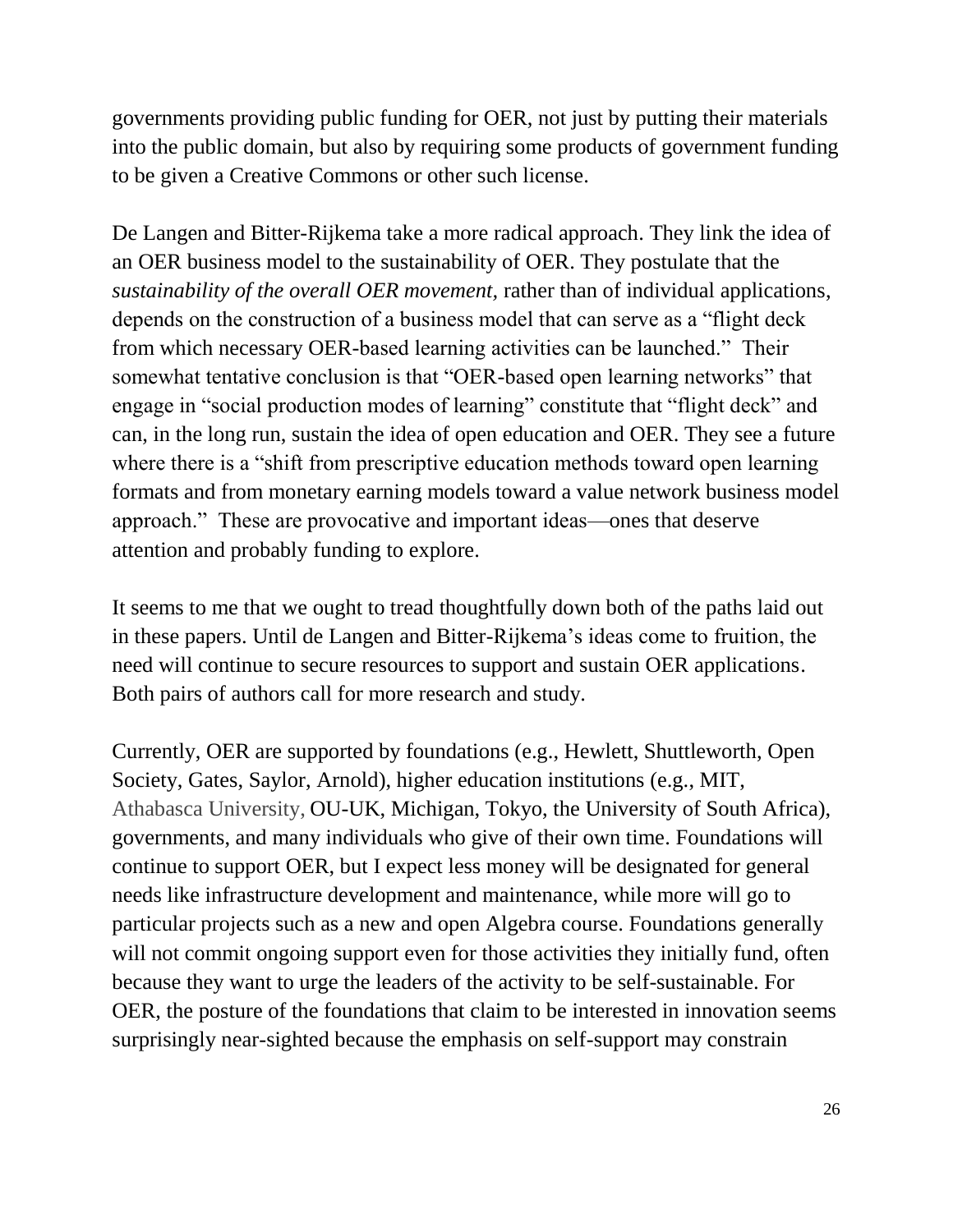governments providing public funding for OER, not just by putting their materials into the public domain, but also by requiring some products of government funding to be given a Creative Commons or other such license.

De Langen and Bitter-Rijkema take a more radical approach. They link the idea of an OER business model to the sustainability of OER. They postulate that the *sustainability of the overall OER movement,* rather than of individual applications, depends on the construction of a business model that can serve as a "flight deck from which necessary OER-based learning activities can be launched." Their somewhat tentative conclusion is that "OER-based open learning networks" that engage in "social production modes of learning" constitute that "flight deck" and can, in the long run, sustain the idea of open education and OER. They see a future where there is a "shift from prescriptive education methods toward open learning formats and from monetary earning models toward a value network business model approach." These are provocative and important ideas—ones that deserve attention and probably funding to explore.

It seems to me that we ought to tread thoughtfully down both of the paths laid out in these papers. Until de Langen and Bitter-Rijkema's ideas come to fruition, the need will continue to secure resources to support and sustain OER applications. Both pairs of authors call for more research and study.

Currently, OER are supported by foundations (e.g., Hewlett, Shuttleworth, Open Society, Gates, Saylor, Arnold), higher education institutions (e.g., MIT, Athabasca University, OU-UK, Michigan, Tokyo, the University of South Africa), governments, and many individuals who give of their own time. Foundations will continue to support OER, but I expect less money will be designated for general needs like infrastructure development and maintenance, while more will go to particular projects such as a new and open Algebra course. Foundations generally will not commit ongoing support even for those activities they initially fund, often because they want to urge the leaders of the activity to be self-sustainable. For OER, the posture of the foundations that claim to be interested in innovation seems surprisingly near-sighted because the emphasis on self-support may constrain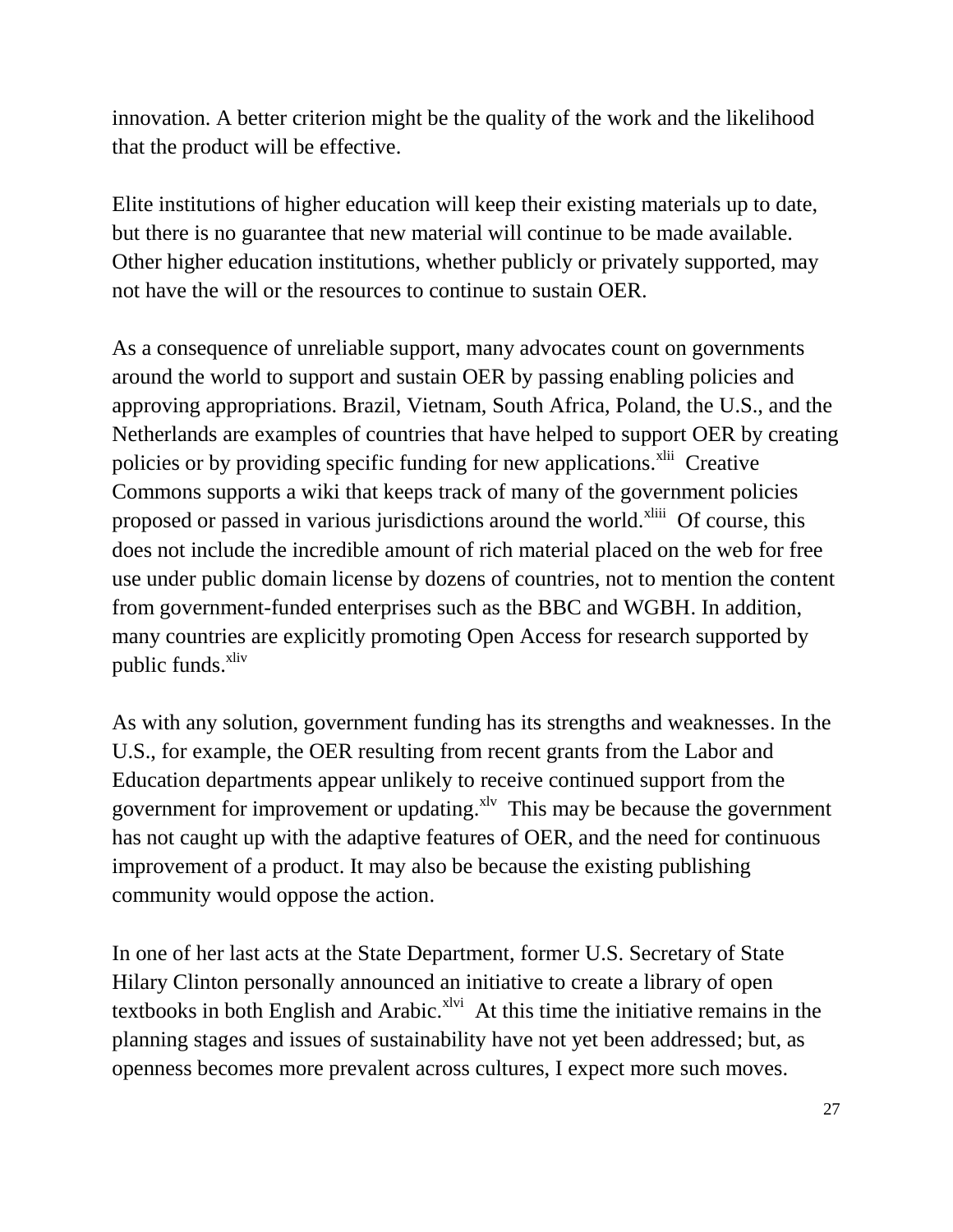innovation. A better criterion might be the quality of the work and the likelihood that the product will be effective.

Elite institutions of higher education will keep their existing materials up to date, but there is no guarantee that new material will continue to be made available. Other higher education institutions, whether publicly or privately supported, may not have the will or the resources to continue to sustain OER.

As a consequence of unreliable support, many advocates count on governments around the world to support and sustain OER by passing enabling policies and approving appropriations. Brazil, Vietnam, South Africa, Poland, the U.S., and the Netherlands are examples of countries that have helped to support OER by creating policies or by providing specific funding for new applications.<sup>xlii</sup> Creative Commons supports a wiki that keeps track of many of the government policies proposed or passed in various jurisdictions around the world.<sup>xliii</sup> Of course, this does not include the incredible amount of rich material placed on the web for free use under public domain license by dozens of countries, not to mention the content from government-funded enterprises such as the BBC and WGBH. In addition, many countries are explicitly promoting Open Access for research supported by public funds.<sup>xliv</sup>

As with any solution, government funding has its strengths and weaknesses. In the U.S., for example, the OER resulting from recent grants from the Labor and Education departments appear unlikely to receive continued support from the government for improvement or updating. $x^2$  This may be because the government has not caught up with the adaptive features of OER, and the need for continuous improvement of a product. It may also be because the existing publishing community would oppose the action.

In one of her last acts at the State Department, former U.S. Secretary of State Hilary Clinton personally announced an initiative to create a library of open textbooks in both English and Arabic. $x^{\text{1vi}}$  At this time the initiative remains in the planning stages and issues of sustainability have not yet been addressed; but, as openness becomes more prevalent across cultures, I expect more such moves.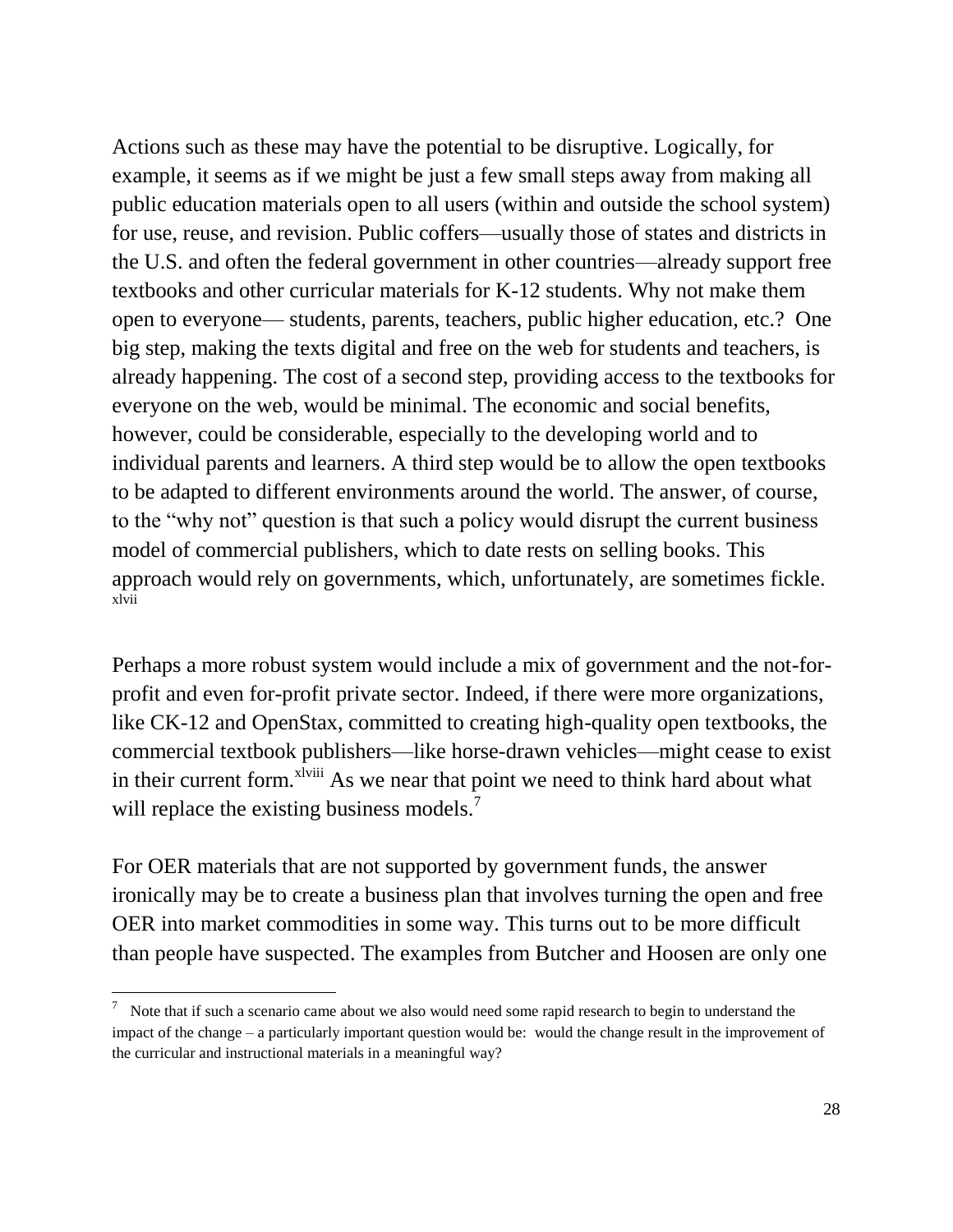Actions such as these may have the potential to be disruptive. Logically, for example, it seems as if we might be just a few small steps away from making all public education materials open to all users (within and outside the school system) for use, reuse, and revision. Public coffers—usually those of states and districts in the U.S. and often the federal government in other countries—already support free textbooks and other curricular materials for K-12 students. Why not make them open to everyone— students, parents, teachers, public higher education, etc.? One big step, making the texts digital and free on the web for students and teachers, is already happening. The cost of a second step, providing access to the textbooks for everyone on the web, would be minimal. The economic and social benefits, however, could be considerable, especially to the developing world and to individual parents and learners. A third step would be to allow the open textbooks to be adapted to different environments around the world. The answer, of course, to the "why not" question is that such a policy would disrupt the current business model of commercial publishers, which to date rests on selling books. This approach would rely on governments, which, unfortunately, are sometimes fickle. xlvii

Perhaps a more robust system would include a mix of government and the not-forprofit and even for-profit private sector. Indeed, if there were more organizations, like CK-12 and OpenStax, committed to creating high-quality open textbooks, the commercial textbook publishers—like horse-drawn vehicles—might cease to exist in their current form.<sup>xlviii</sup> As we near that point we need to think hard about what will replace the existing business models.<sup>7</sup>

For OER materials that are not supported by government funds, the answer ironically may be to create a business plan that involves turning the open and free OER into market commodities in some way. This turns out to be more difficult than people have suspected. The examples from Butcher and Hoosen are only one

 $\overline{\phantom{a}}$ 

 $\frac{7}{10}$  Note that if such a scenario came about we also would need some rapid research to begin to understand the impact of the change – a particularly important question would be: would the change result in the improvement of the curricular and instructional materials in a meaningful way?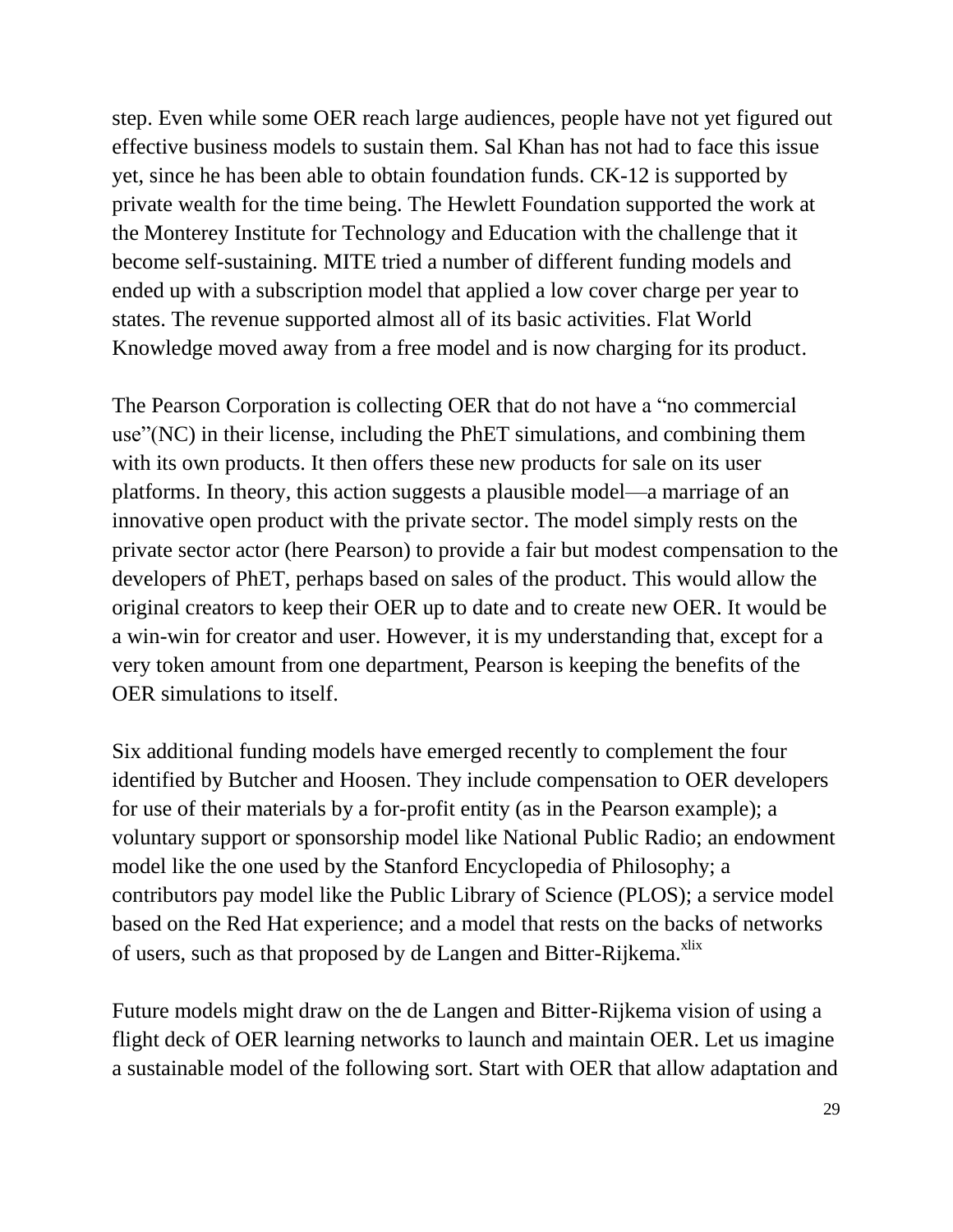step. Even while some OER reach large audiences, people have not yet figured out effective business models to sustain them. Sal Khan has not had to face this issue yet, since he has been able to obtain foundation funds. CK-12 is supported by private wealth for the time being. The Hewlett Foundation supported the work at the Monterey Institute for Technology and Education with the challenge that it become self-sustaining. MITE tried a number of different funding models and ended up with a subscription model that applied a low cover charge per year to states. The revenue supported almost all of its basic activities. Flat World Knowledge moved away from a free model and is now charging for its product.

The Pearson Corporation is collecting OER that do not have a "no commercial use"(NC) in their license, including the PhET simulations, and combining them with its own products. It then offers these new products for sale on its user platforms. In theory, this action suggests a plausible model—a marriage of an innovative open product with the private sector. The model simply rests on the private sector actor (here Pearson) to provide a fair but modest compensation to the developers of PhET, perhaps based on sales of the product. This would allow the original creators to keep their OER up to date and to create new OER. It would be a win-win for creator and user. However, it is my understanding that, except for a very token amount from one department, Pearson is keeping the benefits of the OER simulations to itself.

Six additional funding models have emerged recently to complement the four identified by Butcher and Hoosen. They include compensation to OER developers for use of their materials by a for-profit entity (as in the Pearson example); a voluntary support or sponsorship model like National Public Radio; an endowment model like the one used by the Stanford Encyclopedia of Philosophy; a contributors pay model like the Public Library of Science (PLOS); a service model based on the Red Hat experience; and a model that rests on the backs of networks of users, such as that proposed by de Langen and Bitter-Rijkema.<sup>xlix</sup>

Future models might draw on the de Langen and Bitter-Rijkema vision of using a flight deck of OER learning networks to launch and maintain OER. Let us imagine a sustainable model of the following sort. Start with OER that allow adaptation and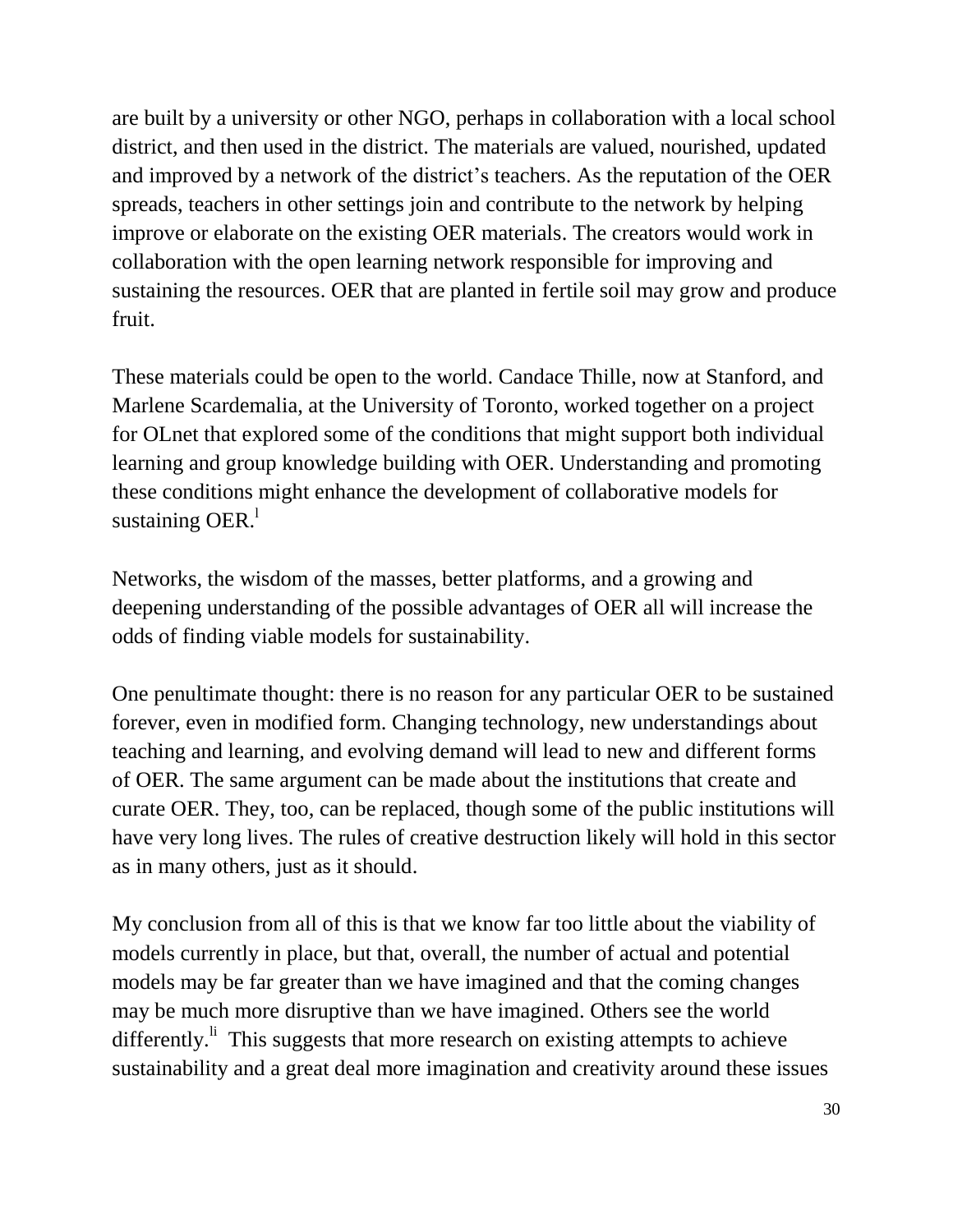are built by a university or other NGO, perhaps in collaboration with a local school district, and then used in the district. The materials are valued, nourished, updated and improved by a network of the district's teachers. As the reputation of the OER spreads, teachers in other settings join and contribute to the network by helping improve or elaborate on the existing OER materials. The creators would work in collaboration with the open learning network responsible for improving and sustaining the resources. OER that are planted in fertile soil may grow and produce fruit.

These materials could be open to the world. Candace Thille, now at Stanford, and Marlene Scardemalia, at the University of Toronto, worked together on a project for OLnet that explored some of the conditions that might support both individual learning and group knowledge building with OER. Understanding and promoting these conditions might enhance the development of collaborative models for sustaining OER. $^1$ 

Networks, the wisdom of the masses, better platforms, and a growing and deepening understanding of the possible advantages of OER all will increase the odds of finding viable models for sustainability.

One penultimate thought: there is no reason for any particular OER to be sustained forever, even in modified form. Changing technology, new understandings about teaching and learning, and evolving demand will lead to new and different forms of OER. The same argument can be made about the institutions that create and curate OER. They, too, can be replaced, though some of the public institutions will have very long lives. The rules of creative destruction likely will hold in this sector as in many others, just as it should.

My conclusion from all of this is that we know far too little about the viability of models currently in place, but that, overall, the number of actual and potential models may be far greater than we have imagined and that the coming changes may be much more disruptive than we have imagined. Others see the world differently.<sup>Ii</sup> This suggests that more research on existing attempts to achieve sustainability and a great deal more imagination and creativity around these issues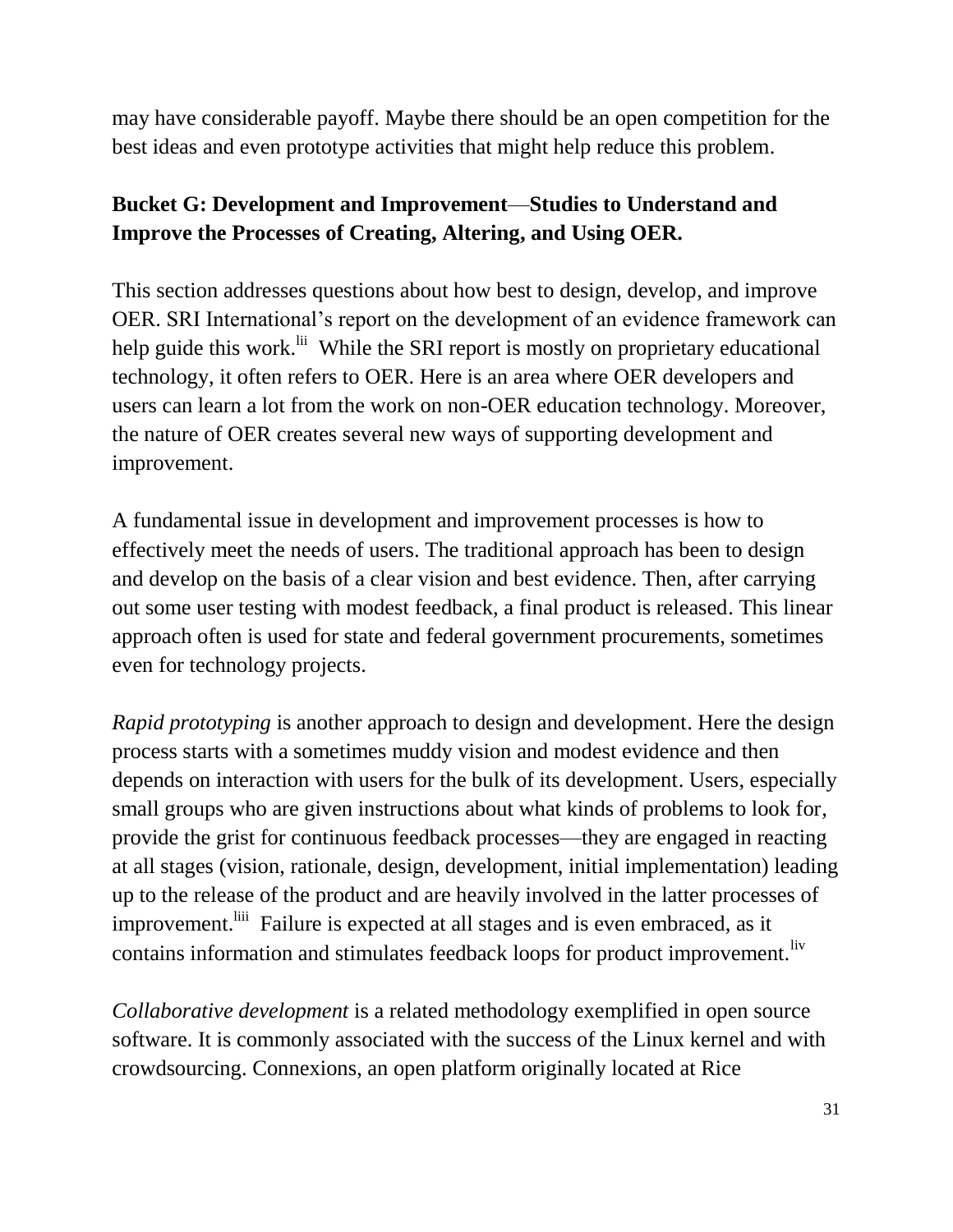may have considerable payoff. Maybe there should be an open competition for the best ideas and even prototype activities that might help reduce this problem.

# **Bucket G: Development and Improvement**—**Studies to Understand and Improve the Processes of Creating, Altering, and Using OER.**

This section addresses questions about how best to design, develop, and improve OER. SRI International's report on the development of an evidence framework can help guide this work.<sup>Iii</sup> While the SRI report is mostly on proprietary educational technology, it often refers to OER. Here is an area where OER developers and users can learn a lot from the work on non-OER education technology. Moreover, the nature of OER creates several new ways of supporting development and improvement.

A fundamental issue in development and improvement processes is how to effectively meet the needs of users. The traditional approach has been to design and develop on the basis of a clear vision and best evidence. Then, after carrying out some user testing with modest feedback, a final product is released. This linear approach often is used for state and federal government procurements, sometimes even for technology projects.

*Rapid prototyping* is another approach to design and development. Here the design process starts with a sometimes muddy vision and modest evidence and then depends on interaction with users for the bulk of its development. Users, especially small groups who are given instructions about what kinds of problems to look for, provide the grist for continuous feedback processes—they are engaged in reacting at all stages (vision, rationale, design, development, initial implementation) leading up to the release of the product and are heavily involved in the latter processes of improvement.<sup>liii</sup> Failure is expected at all stages and is even embraced, as it contains information and stimulates feedback loops for product improvement.<sup>liv</sup>

*Collaborative development* is a related methodology exemplified in open source software. It is commonly associated with the success of the Linux kernel and with crowdsourcing. Connexions, an open platform originally located at Rice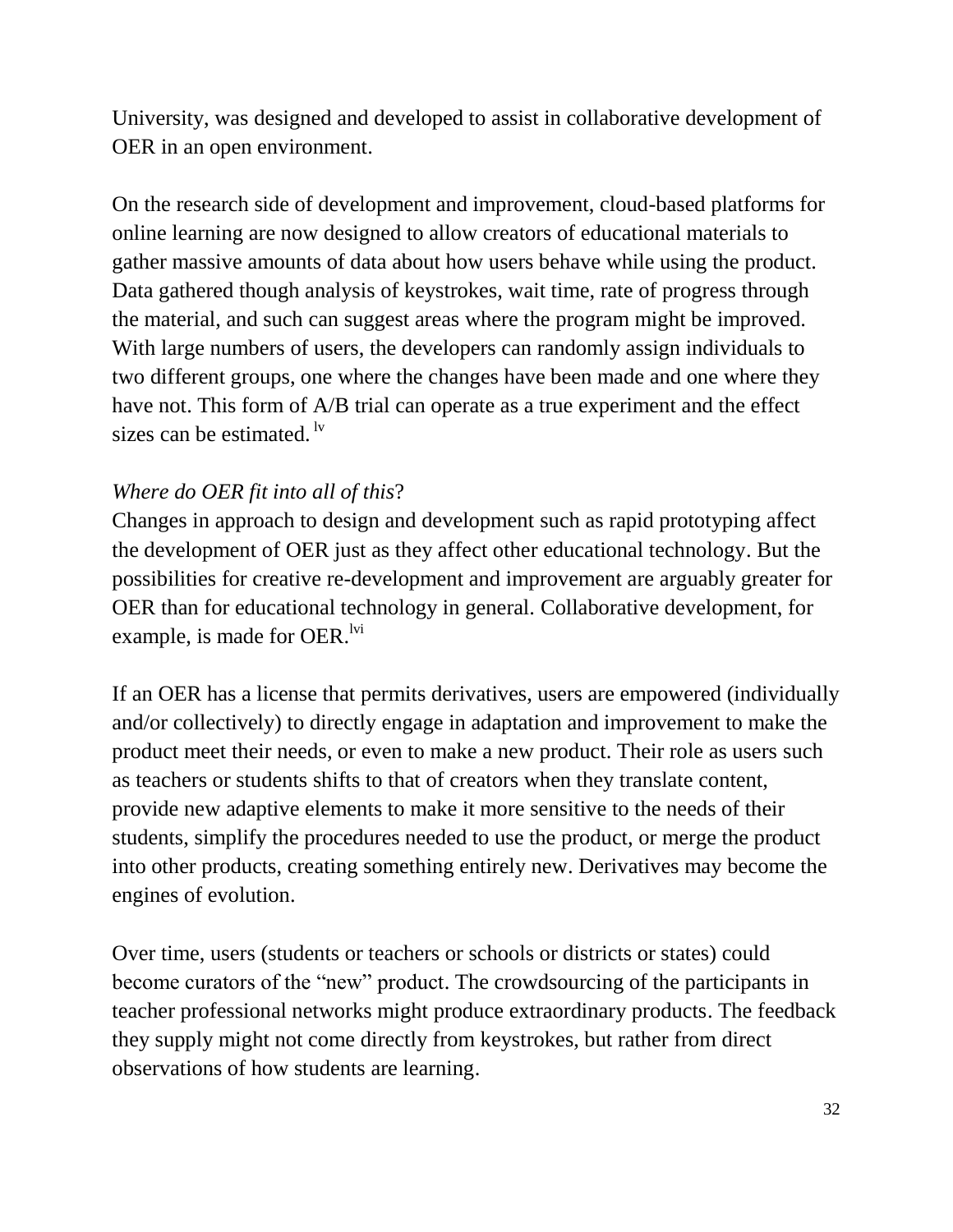University, was designed and developed to assist in collaborative development of OER in an open environment.

On the research side of development and improvement, cloud-based platforms for online learning are now designed to allow creators of educational materials to gather massive amounts of data about how users behave while using the product. Data gathered though analysis of keystrokes, wait time, rate of progress through the material, and such can suggest areas where the program might be improved. With large numbers of users, the developers can randomly assign individuals to two different groups, one where the changes have been made and one where they have not. This form of A/B trial can operate as a true experiment and the effect sizes can be estimated.  $\mathbf{w}$ 

### *Where do OER fit into all of this*?

Changes in approach to design and development such as rapid prototyping affect the development of OER just as they affect other educational technology. But the possibilities for creative re-development and improvement are arguably greater for OER than for educational technology in general. Collaborative development, for example, is made for OER. $\frac{1}{1}$ <sup>tvi</sup>

If an OER has a license that permits derivatives, users are empowered (individually and/or collectively) to directly engage in adaptation and improvement to make the product meet their needs, or even to make a new product. Their role as users such as teachers or students shifts to that of creators when they translate content, provide new adaptive elements to make it more sensitive to the needs of their students, simplify the procedures needed to use the product, or merge the product into other products, creating something entirely new. Derivatives may become the engines of evolution.

Over time, users (students or teachers or schools or districts or states) could become curators of the "new" product. The crowdsourcing of the participants in teacher professional networks might produce extraordinary products. The feedback they supply might not come directly from keystrokes, but rather from direct observations of how students are learning.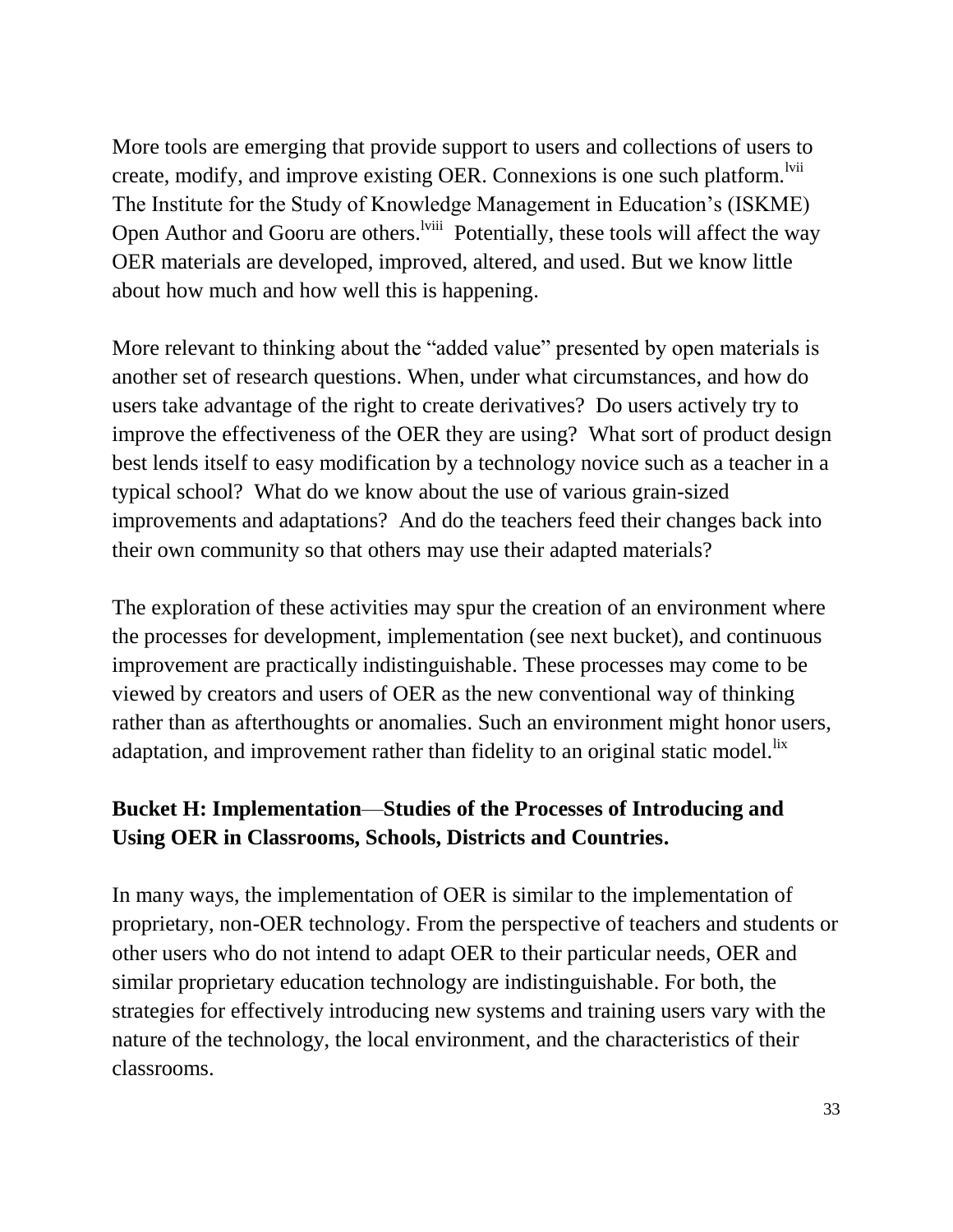More tools are emerging that provide support to users and collections of users to create, modify, and improve existing OER. Connexions is one such platform.  $\frac{1 \text{V} \text{V}}{1 \text{V}}$ The Institute for the Study of Knowledge Management in Education's (ISKME) Open Author and Gooru are others.<sup>Iviii</sup> Potentially, these tools will affect the way OER materials are developed, improved, altered, and used. But we know little about how much and how well this is happening.

More relevant to thinking about the "added value" presented by open materials is another set of research questions. When, under what circumstances, and how do users take advantage of the right to create derivatives? Do users actively try to improve the effectiveness of the OER they are using? What sort of product design best lends itself to easy modification by a technology novice such as a teacher in a typical school? What do we know about the use of various grain-sized improvements and adaptations? And do the teachers feed their changes back into their own community so that others may use their adapted materials?

The exploration of these activities may spur the creation of an environment where the processes for development, implementation (see next bucket), and continuous improvement are practically indistinguishable. These processes may come to be viewed by creators and users of OER as the new conventional way of thinking rather than as afterthoughts or anomalies. Such an environment might honor users, adaptation, and improvement rather than fidelity to an original static model.<sup>lix</sup>

### **Bucket H: Implementation**—**Studies of the Processes of Introducing and Using OER in Classrooms, Schools, Districts and Countries.**

In many ways, the implementation of OER is similar to the implementation of proprietary, non-OER technology. From the perspective of teachers and students or other users who do not intend to adapt OER to their particular needs, OER and similar proprietary education technology are indistinguishable. For both, the strategies for effectively introducing new systems and training users vary with the nature of the technology, the local environment, and the characteristics of their classrooms.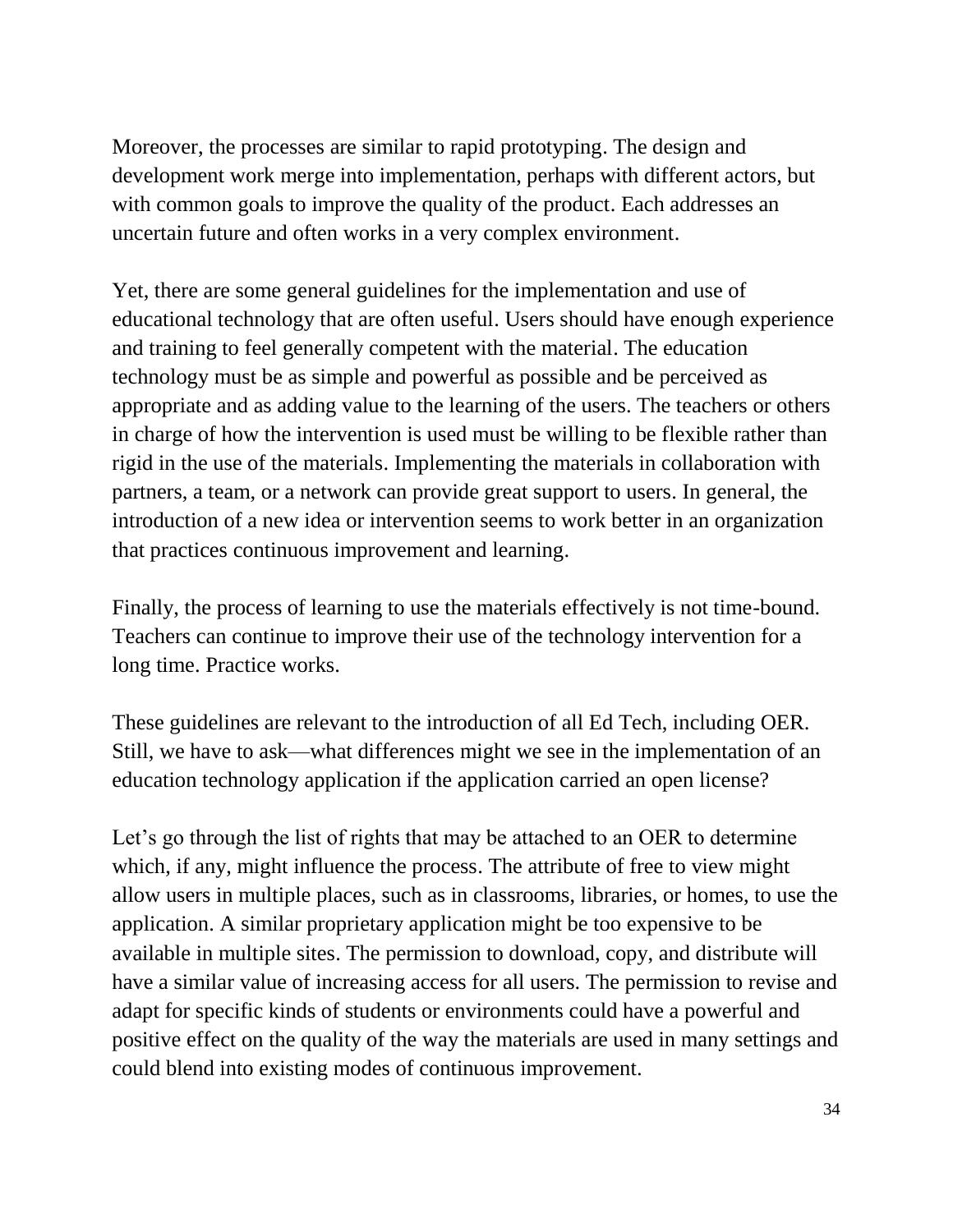Moreover, the processes are similar to rapid prototyping. The design and development work merge into implementation, perhaps with different actors, but with common goals to improve the quality of the product. Each addresses an uncertain future and often works in a very complex environment.

Yet, there are some general guidelines for the implementation and use of educational technology that are often useful. Users should have enough experience and training to feel generally competent with the material. The education technology must be as simple and powerful as possible and be perceived as appropriate and as adding value to the learning of the users. The teachers or others in charge of how the intervention is used must be willing to be flexible rather than rigid in the use of the materials. Implementing the materials in collaboration with partners, a team, or a network can provide great support to users. In general, the introduction of a new idea or intervention seems to work better in an organization that practices continuous improvement and learning.

Finally, the process of learning to use the materials effectively is not time-bound. Teachers can continue to improve their use of the technology intervention for a long time. Practice works.

These guidelines are relevant to the introduction of all Ed Tech, including OER. Still, we have to ask—what differences might we see in the implementation of an education technology application if the application carried an open license?

Let's go through the list of rights that may be attached to an OER to determine which, if any, might influence the process. The attribute of free to view might allow users in multiple places, such as in classrooms, libraries, or homes, to use the application. A similar proprietary application might be too expensive to be available in multiple sites. The permission to download, copy, and distribute will have a similar value of increasing access for all users. The permission to revise and adapt for specific kinds of students or environments could have a powerful and positive effect on the quality of the way the materials are used in many settings and could blend into existing modes of continuous improvement.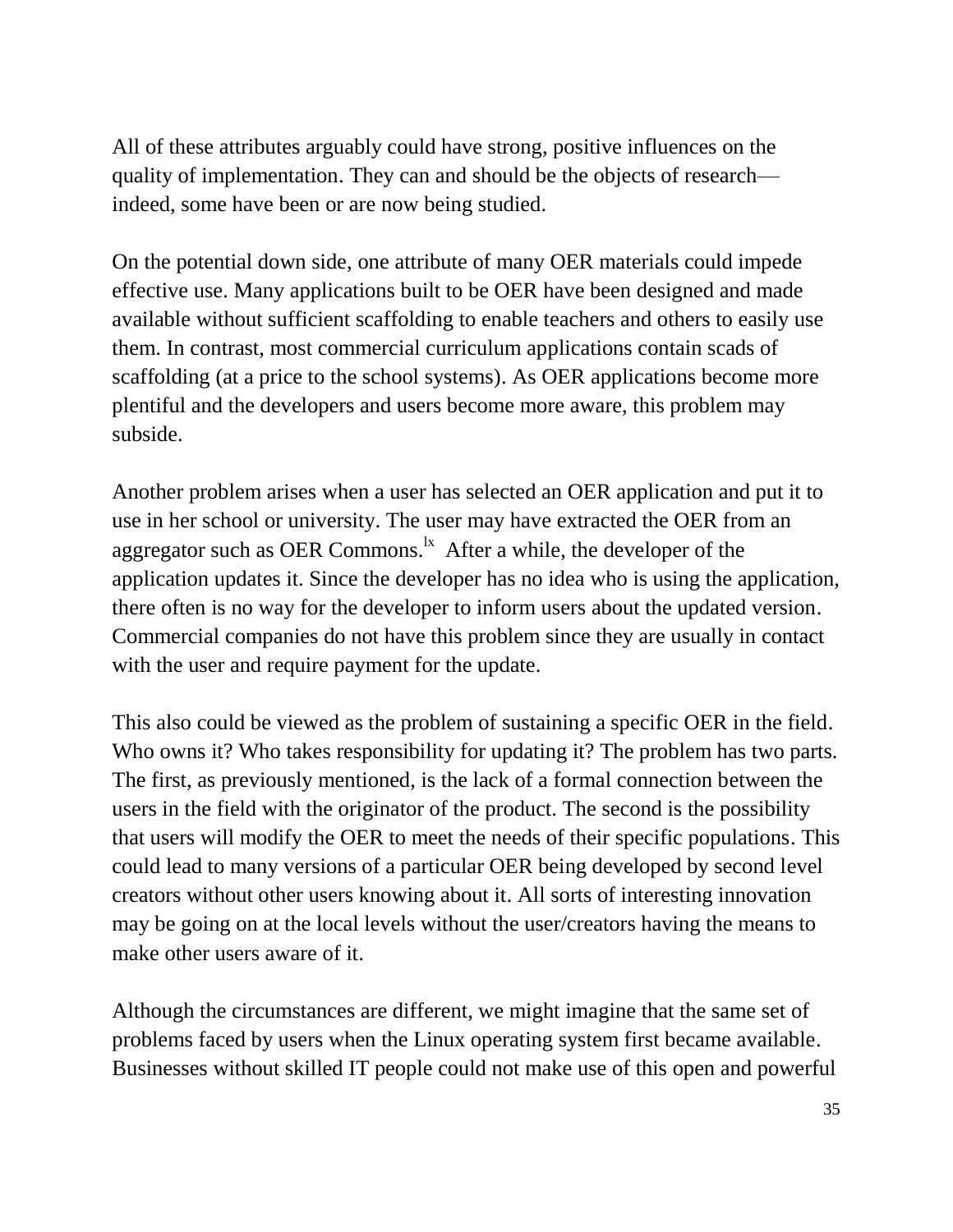All of these attributes arguably could have strong, positive influences on the quality of implementation. They can and should be the objects of research indeed, some have been or are now being studied.

On the potential down side, one attribute of many OER materials could impede effective use. Many applications built to be OER have been designed and made available without sufficient scaffolding to enable teachers and others to easily use them. In contrast, most commercial curriculum applications contain scads of scaffolding (at a price to the school systems). As OER applications become more plentiful and the developers and users become more aware, this problem may subside.

Another problem arises when a user has selected an OER application and put it to use in her school or university. The user may have extracted the OER from an aggregator such as OER Commons. $\frac{1}{x}$  After a while, the developer of the application updates it. Since the developer has no idea who is using the application, there often is no way for the developer to inform users about the updated version. Commercial companies do not have this problem since they are usually in contact with the user and require payment for the update.

This also could be viewed as the problem of sustaining a specific OER in the field. Who owns it? Who takes responsibility for updating it? The problem has two parts. The first, as previously mentioned, is the lack of a formal connection between the users in the field with the originator of the product. The second is the possibility that users will modify the OER to meet the needs of their specific populations. This could lead to many versions of a particular OER being developed by second level creators without other users knowing about it. All sorts of interesting innovation may be going on at the local levels without the user/creators having the means to make other users aware of it.

Although the circumstances are different, we might imagine that the same set of problems faced by users when the Linux operating system first became available. Businesses without skilled IT people could not make use of this open and powerful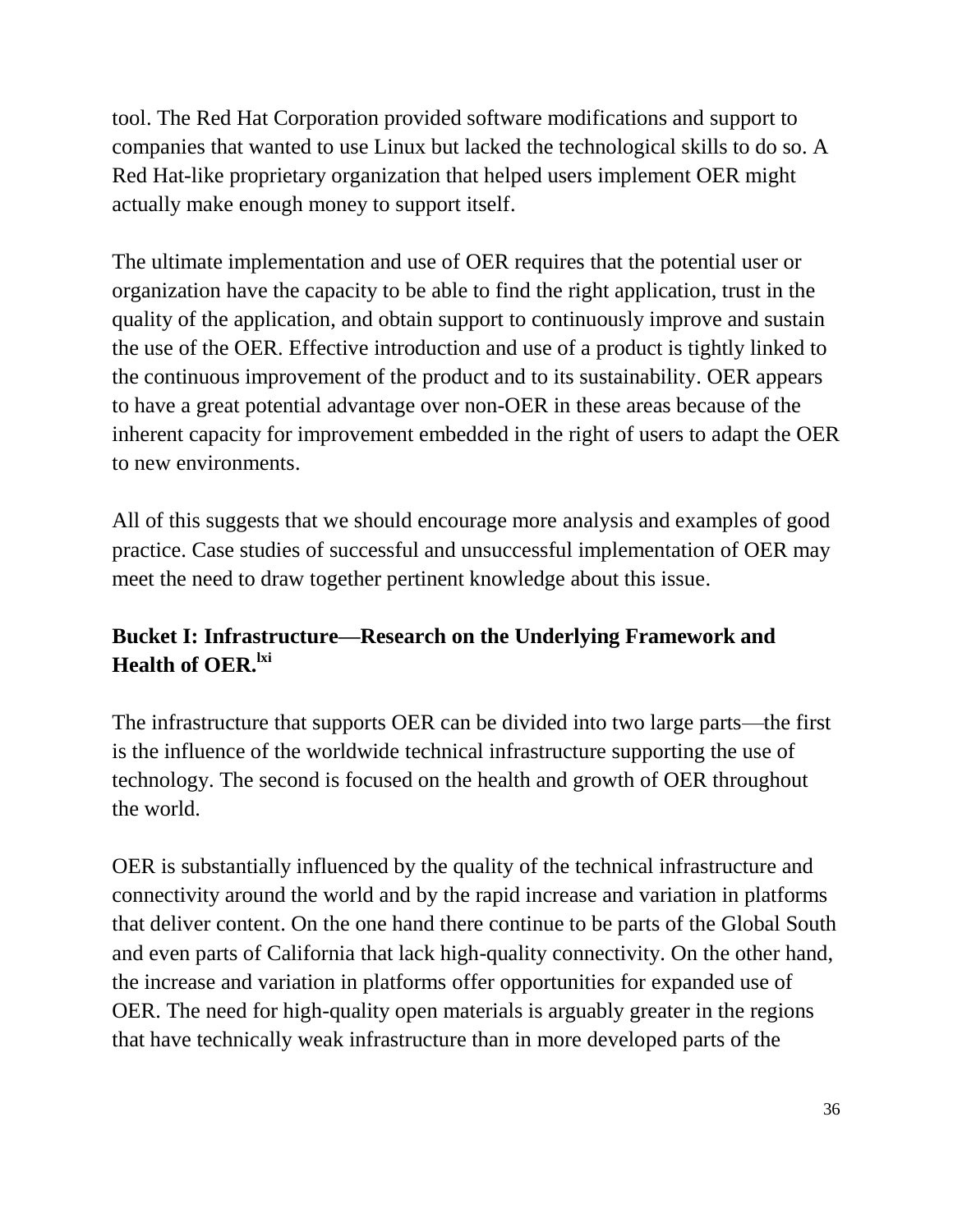tool. The Red Hat Corporation provided software modifications and support to companies that wanted to use Linux but lacked the technological skills to do so. A Red Hat-like proprietary organization that helped users implement OER might actually make enough money to support itself.

The ultimate implementation and use of OER requires that the potential user or organization have the capacity to be able to find the right application, trust in the quality of the application, and obtain support to continuously improve and sustain the use of the OER. Effective introduction and use of a product is tightly linked to the continuous improvement of the product and to its sustainability. OER appears to have a great potential advantage over non-OER in these areas because of the inherent capacity for improvement embedded in the right of users to adapt the OER to new environments.

All of this suggests that we should encourage more analysis and examples of good practice. Case studies of successful and unsuccessful implementation of OER may meet the need to draw together pertinent knowledge about this issue.

# **Bucket I: Infrastructure—Research on the Underlying Framework and Health of OER.**  $\mathrm{^{lxi}}$

The infrastructure that supports OER can be divided into two large parts—the first is the influence of the worldwide technical infrastructure supporting the use of technology. The second is focused on the health and growth of OER throughout the world.

OER is substantially influenced by the quality of the technical infrastructure and connectivity around the world and by the rapid increase and variation in platforms that deliver content. On the one hand there continue to be parts of the Global South and even parts of California that lack high-quality connectivity. On the other hand, the increase and variation in platforms offer opportunities for expanded use of OER. The need for high-quality open materials is arguably greater in the regions that have technically weak infrastructure than in more developed parts of the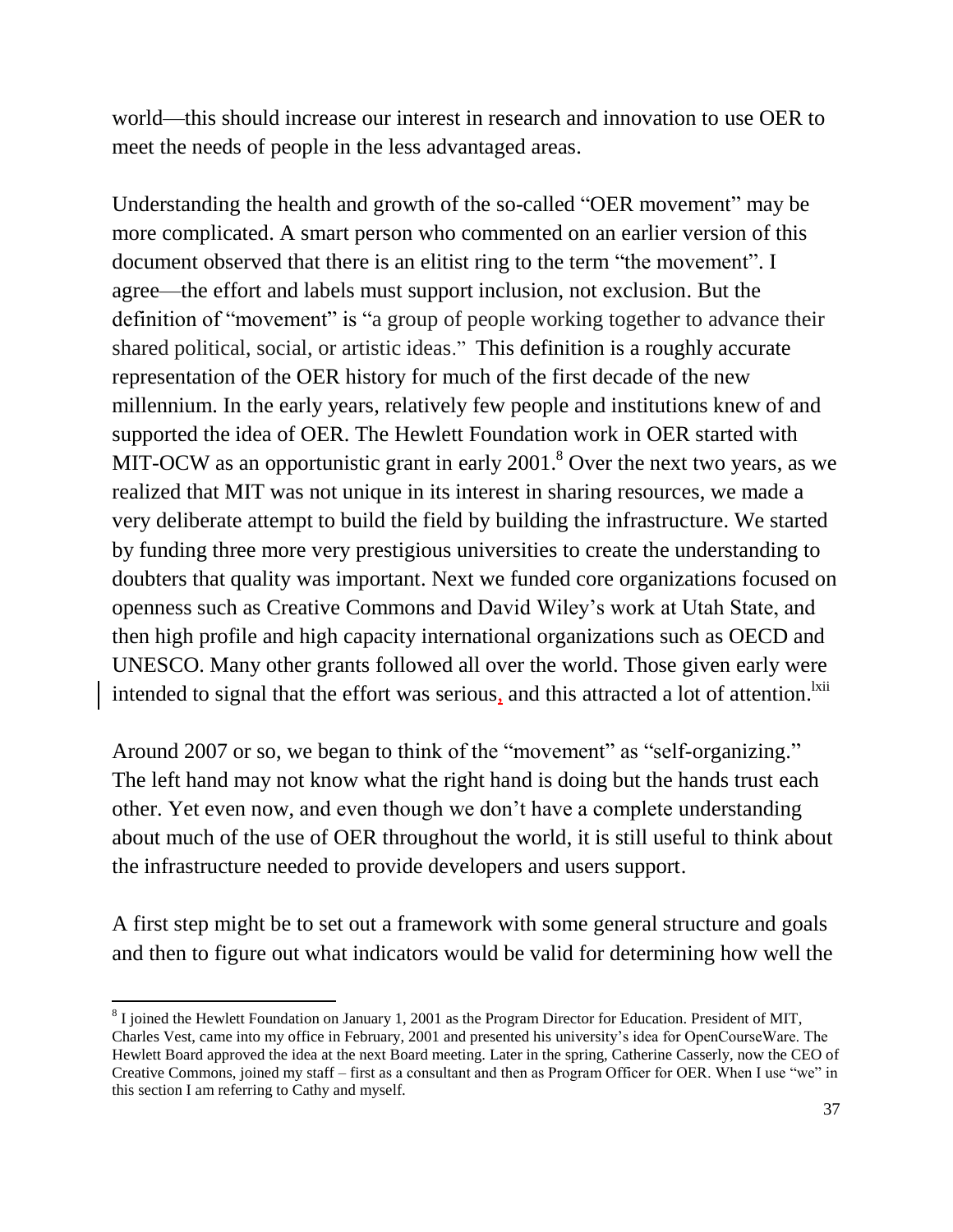world—this should increase our interest in research and innovation to use OER to meet the needs of people in the less advantaged areas.

Understanding the health and growth of the so-called "OER movement" may be more complicated. A smart person who commented on an earlier version of this document observed that there is an elitist ring to the term "the movement". I agree—the effort and labels must support inclusion, not exclusion. But the definition of "movement" is "a group of people working together to advance their shared political, social, or artistic ideas." This definition is a roughly accurate representation of the OER history for much of the first decade of the new millennium. In the early years, relatively few people and institutions knew of and supported the idea of OER. The Hewlett Foundation work in OER started with MIT-OCW as an opportunistic grant in early  $2001$ .<sup>8</sup> Over the next two years, as we realized that MIT was not unique in its interest in sharing resources, we made a very deliberate attempt to build the field by building the infrastructure. We started by funding three more very prestigious universities to create the understanding to doubters that quality was important. Next we funded core organizations focused on openness such as Creative Commons and David Wiley's work at Utah State, and then high profile and high capacity international organizations such as OECD and UNESCO. Many other grants followed all over the world. Those given early were intended to signal that the effort was serious, and this attracted a lot of attention.  $x^{\text{init}}$ 

Around 2007 or so, we began to think of the "movement" as "self-organizing." The left hand may not know what the right hand is doing but the hands trust each other. Yet even now, and even though we don't have a complete understanding about much of the use of OER throughout the world, it is still useful to think about the infrastructure needed to provide developers and users support.

A first step might be to set out a framework with some general structure and goals and then to figure out what indicators would be valid for determining how well the

 $\overline{a}$ 

 $8$  I joined the Hewlett Foundation on January 1, 2001 as the Program Director for Education. President of MIT, Charles Vest, came into my office in February, 2001 and presented his university's idea for OpenCourseWare. The Hewlett Board approved the idea at the next Board meeting. Later in the spring, Catherine Casserly, now the CEO of Creative Commons, joined my staff – first as a consultant and then as Program Officer for OER. When I use "we" in this section I am referring to Cathy and myself.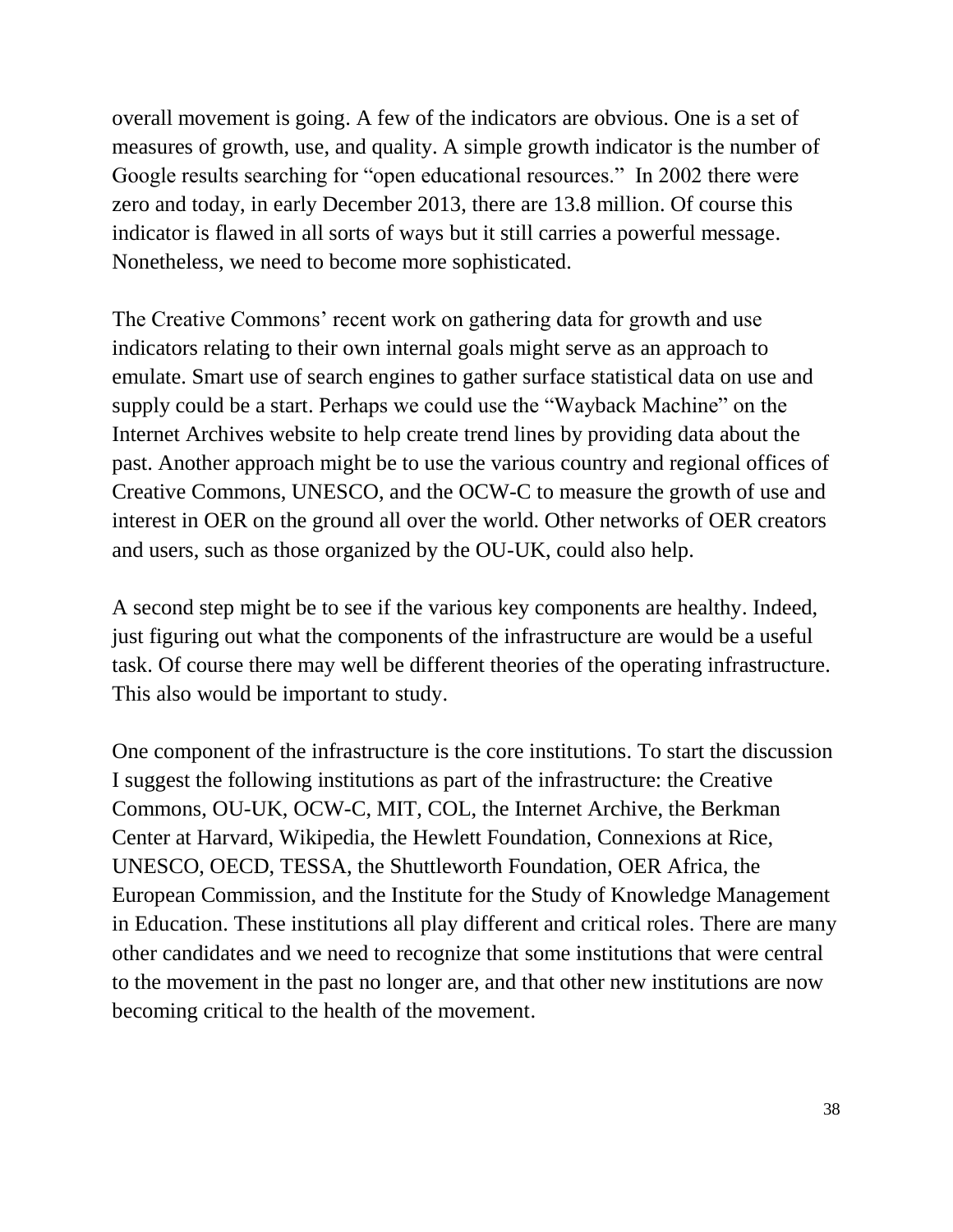overall movement is going. A few of the indicators are obvious. One is a set of measures of growth, use, and quality. A simple growth indicator is the number of Google results searching for "open educational resources." In 2002 there were zero and today, in early December 2013, there are 13.8 million. Of course this indicator is flawed in all sorts of ways but it still carries a powerful message. Nonetheless, we need to become more sophisticated.

The Creative Commons' recent work on gathering data for growth and use indicators relating to their own internal goals might serve as an approach to emulate. Smart use of search engines to gather surface statistical data on use and supply could be a start. Perhaps we could use the "Wayback Machine" on the Internet Archives website to help create trend lines by providing data about the past. Another approach might be to use the various country and regional offices of Creative Commons, UNESCO, and the OCW-C to measure the growth of use and interest in OER on the ground all over the world. Other networks of OER creators and users, such as those organized by the OU-UK, could also help.

A second step might be to see if the various key components are healthy. Indeed, just figuring out what the components of the infrastructure are would be a useful task. Of course there may well be different theories of the operating infrastructure. This also would be important to study.

One component of the infrastructure is the core institutions. To start the discussion I suggest the following institutions as part of the infrastructure: the Creative Commons, OU-UK, OCW-C, MIT, COL, the Internet Archive, the Berkman Center at Harvard, Wikipedia, the Hewlett Foundation, Connexions at Rice, UNESCO, OECD, TESSA, the Shuttleworth Foundation, OER Africa, the European Commission, and the Institute for the Study of Knowledge Management in Education. These institutions all play different and critical roles. There are many other candidates and we need to recognize that some institutions that were central to the movement in the past no longer are, and that other new institutions are now becoming critical to the health of the movement.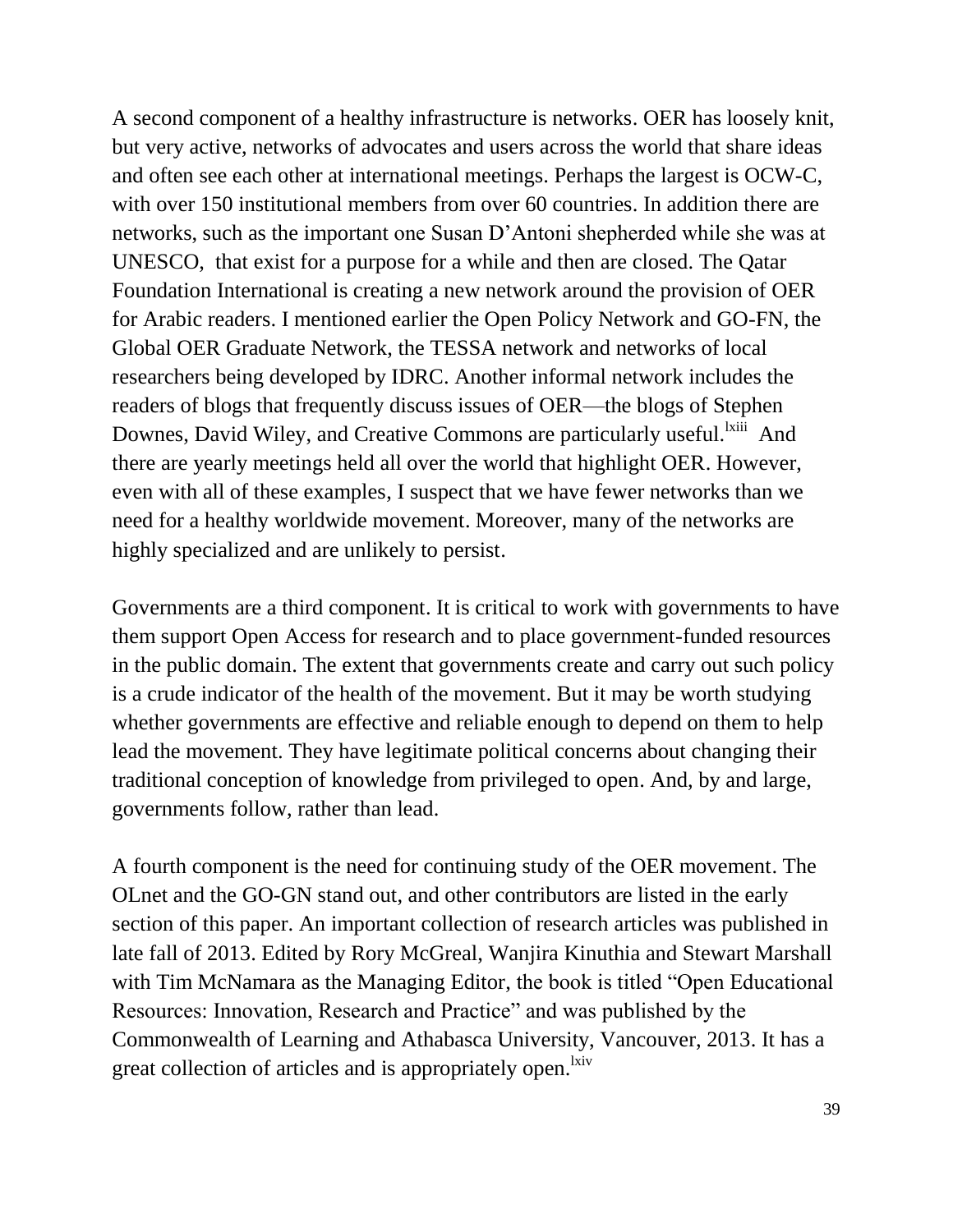A second component of a healthy infrastructure is networks. OER has loosely knit, but very active, networks of advocates and users across the world that share ideas and often see each other at international meetings. Perhaps the largest is OCW-C, with over 150 institutional members from over 60 countries. In addition there are networks, such as the important one Susan D'Antoni shepherded while she was at UNESCO, that exist for a purpose for a while and then are closed. The Qatar Foundation International is creating a new network around the provision of OER for Arabic readers. I mentioned earlier the Open Policy Network and GO-FN, the Global OER Graduate Network, the TESSA network and networks of local researchers being developed by IDRC. Another informal network includes the readers of blogs that frequently discuss issues of OER—the blogs of Stephen Downes, David Wiley, and Creative Commons are particularly useful.<sup>1xiii</sup> And there are yearly meetings held all over the world that highlight OER. However, even with all of these examples, I suspect that we have fewer networks than we need for a healthy worldwide movement. Moreover, many of the networks are highly specialized and are unlikely to persist.

Governments are a third component. It is critical to work with governments to have them support Open Access for research and to place government-funded resources in the public domain. The extent that governments create and carry out such policy is a crude indicator of the health of the movement. But it may be worth studying whether governments are effective and reliable enough to depend on them to help lead the movement. They have legitimate political concerns about changing their traditional conception of knowledge from privileged to open. And, by and large, governments follow, rather than lead.

A fourth component is the need for continuing study of the OER movement. The OLnet and the GO-GN stand out, and other contributors are listed in the early section of this paper. An important collection of research articles was published in late fall of 2013. Edited by Rory McGreal, Wanjira Kinuthia and Stewart Marshall with Tim McNamara as the Managing Editor, the book is titled "Open Educational Resources: Innovation, Research and Practice" and was published by the Commonwealth of Learning and Athabasca University, Vancouver, 2013. It has a great collection of articles and is appropriately open.<sup>lxiv</sup>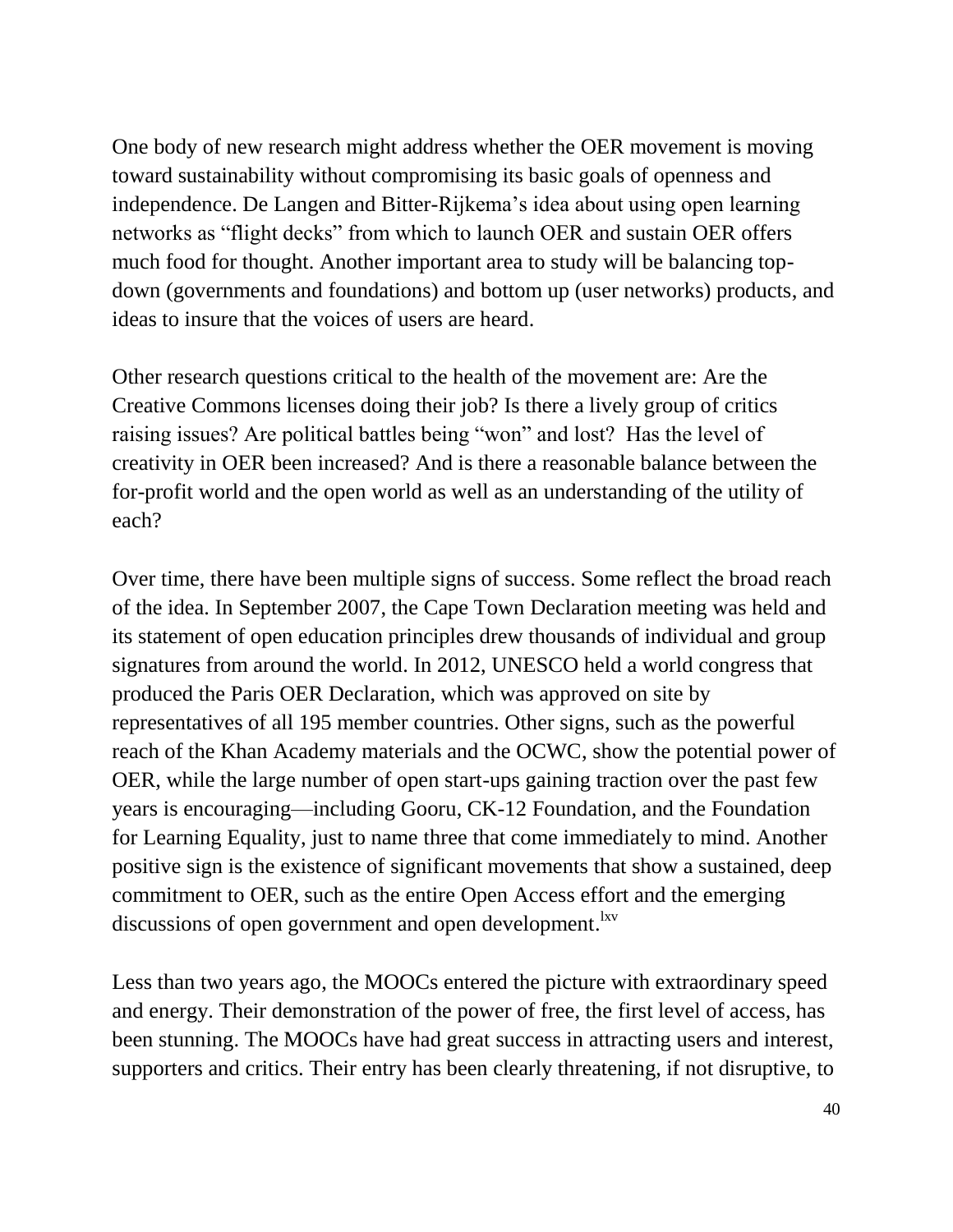One body of new research might address whether the OER movement is moving toward sustainability without compromising its basic goals of openness and independence. De Langen and Bitter-Rijkema's idea about using open learning networks as "flight decks" from which to launch OER and sustain OER offers much food for thought. Another important area to study will be balancing topdown (governments and foundations) and bottom up (user networks) products, and ideas to insure that the voices of users are heard.

Other research questions critical to the health of the movement are: Are the Creative Commons licenses doing their job? Is there a lively group of critics raising issues? Are political battles being "won" and lost? Has the level of creativity in OER been increased? And is there a reasonable balance between the for-profit world and the open world as well as an understanding of the utility of each?

Over time, there have been multiple signs of success. Some reflect the broad reach of the idea. In September 2007, the Cape Town Declaration meeting was held and its statement of open education principles drew thousands of individual and group signatures from around the world. In 2012, UNESCO held a world congress that produced the Paris OER Declaration, which was approved on site by representatives of all 195 member countries. Other signs, such as the powerful reach of the Khan Academy materials and the OCWC, show the potential power of OER, while the large number of open start-ups gaining traction over the past few years is encouraging—including Gooru, CK-12 Foundation, and the Foundation for Learning Equality, just to name three that come immediately to mind. Another positive sign is the existence of significant movements that show a sustained, deep commitment to OER, such as the entire Open Access effort and the emerging discussions of open government and open development. <sup>Ixv</sup>

Less than two years ago, the MOOCs entered the picture with extraordinary speed and energy. Their demonstration of the power of free, the first level of access, has been stunning. The MOOCs have had great success in attracting users and interest, supporters and critics. Their entry has been clearly threatening, if not disruptive, to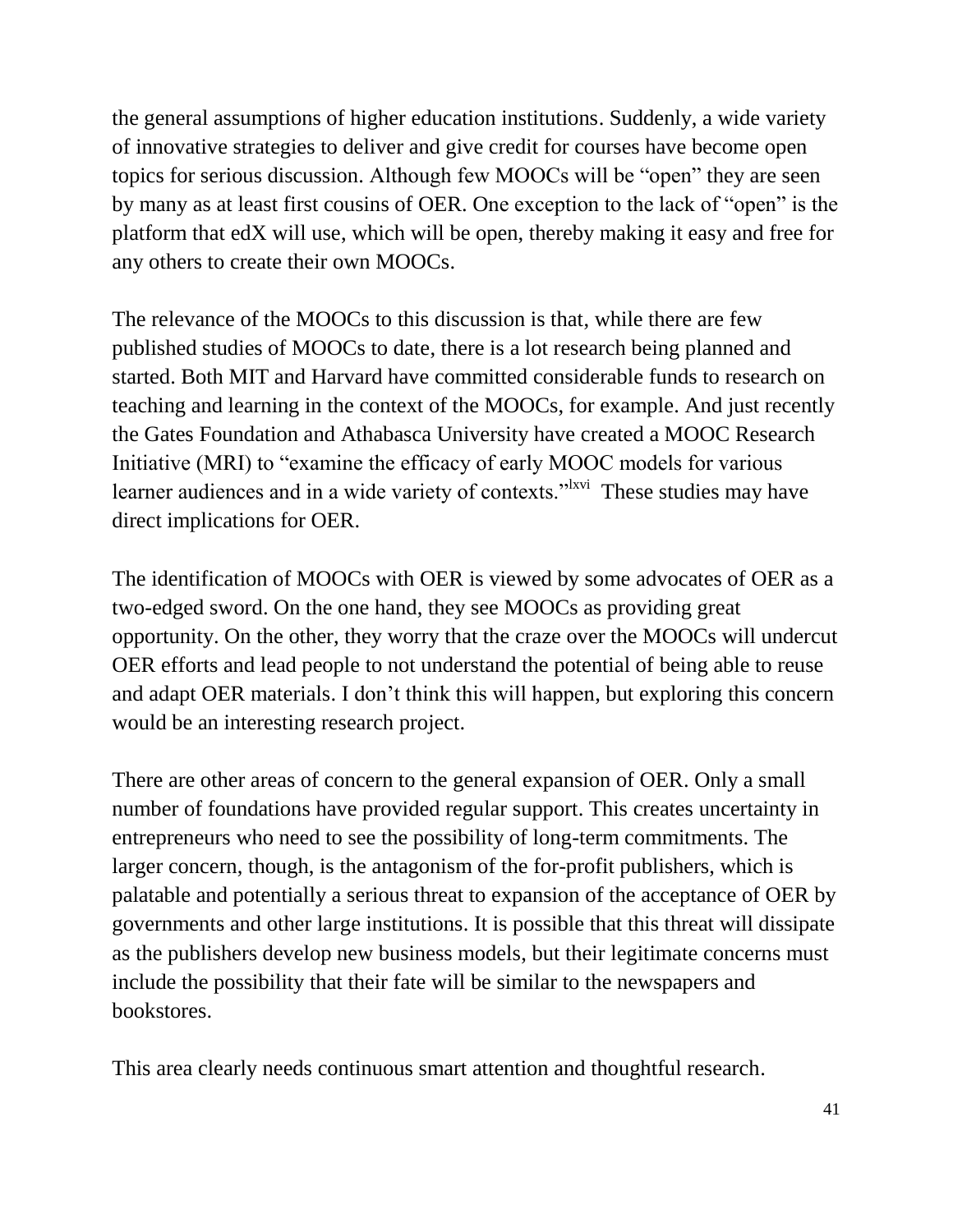the general assumptions of higher education institutions. Suddenly, a wide variety of innovative strategies to deliver and give credit for courses have become open topics for serious discussion. Although few MOOCs will be "open" they are seen by many as at least first cousins of OER. One exception to the lack of "open" is the platform that edX will use, which will be open, thereby making it easy and free for any others to create their own MOOCs.

The relevance of the MOOCs to this discussion is that, while there are few published studies of MOOCs to date, there is a lot research being planned and started. Both MIT and Harvard have committed considerable funds to research on teaching and learning in the context of the MOOCs, for example. And just recently the Gates Foundation and Athabasca University have created a MOOC Research Initiative (MRI) to "examine the efficacy of early MOOC models for various learner audiences and in a wide variety of contexts."<sup>Ixvi</sup> These studies may have direct implications for OER.

The identification of MOOCs with OER is viewed by some advocates of OER as a two-edged sword. On the one hand, they see MOOCs as providing great opportunity. On the other, they worry that the craze over the MOOCs will undercut OER efforts and lead people to not understand the potential of being able to reuse and adapt OER materials. I don't think this will happen, but exploring this concern would be an interesting research project.

There are other areas of concern to the general expansion of OER. Only a small number of foundations have provided regular support. This creates uncertainty in entrepreneurs who need to see the possibility of long-term commitments. The larger concern, though, is the antagonism of the for-profit publishers, which is palatable and potentially a serious threat to expansion of the acceptance of OER by governments and other large institutions. It is possible that this threat will dissipate as the publishers develop new business models, but their legitimate concerns must include the possibility that their fate will be similar to the newspapers and bookstores.

This area clearly needs continuous smart attention and thoughtful research.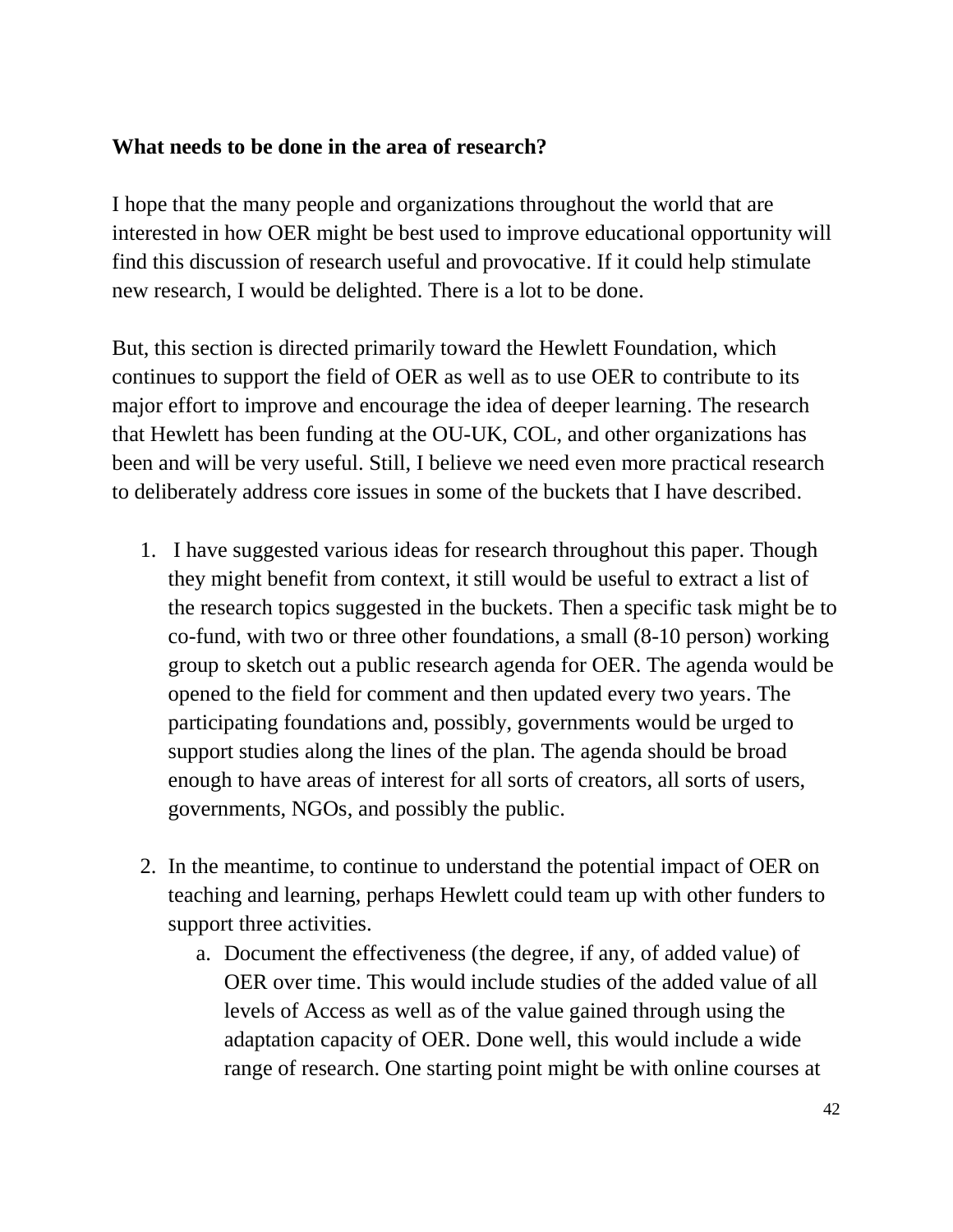#### **What needs to be done in the area of research?**

I hope that the many people and organizations throughout the world that are interested in how OER might be best used to improve educational opportunity will find this discussion of research useful and provocative. If it could help stimulate new research, I would be delighted. There is a lot to be done.

But, this section is directed primarily toward the Hewlett Foundation, which continues to support the field of OER as well as to use OER to contribute to its major effort to improve and encourage the idea of deeper learning. The research that Hewlett has been funding at the OU-UK, COL, and other organizations has been and will be very useful. Still, I believe we need even more practical research to deliberately address core issues in some of the buckets that I have described.

- 1. I have suggested various ideas for research throughout this paper. Though they might benefit from context, it still would be useful to extract a list of the research topics suggested in the buckets. Then a specific task might be to co-fund, with two or three other foundations, a small (8-10 person) working group to sketch out a public research agenda for OER. The agenda would be opened to the field for comment and then updated every two years. The participating foundations and, possibly, governments would be urged to support studies along the lines of the plan. The agenda should be broad enough to have areas of interest for all sorts of creators, all sorts of users, governments, NGOs, and possibly the public.
- 2. In the meantime, to continue to understand the potential impact of OER on teaching and learning, perhaps Hewlett could team up with other funders to support three activities.
	- a. Document the effectiveness (the degree, if any, of added value) of OER over time. This would include studies of the added value of all levels of Access as well as of the value gained through using the adaptation capacity of OER. Done well, this would include a wide range of research. One starting point might be with online courses at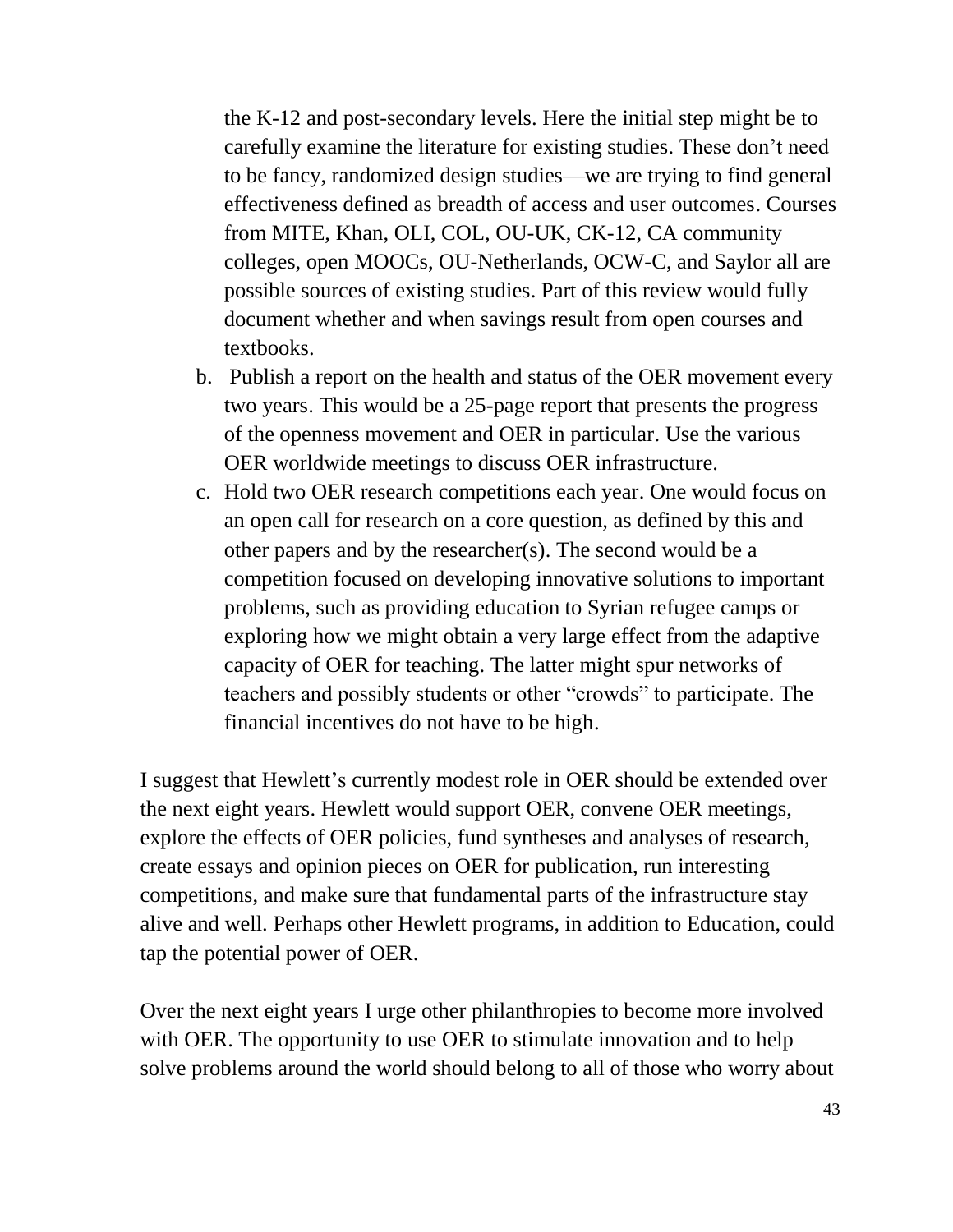the K-12 and post-secondary levels. Here the initial step might be to carefully examine the literature for existing studies. These don't need to be fancy, randomized design studies—we are trying to find general effectiveness defined as breadth of access and user outcomes. Courses from MITE, Khan, OLI, COL, OU-UK, CK-12, CA community colleges, open MOOCs, OU-Netherlands, OCW-C, and Saylor all are possible sources of existing studies. Part of this review would fully document whether and when savings result from open courses and textbooks.

- b. Publish a report on the health and status of the OER movement every two years. This would be a 25-page report that presents the progress of the openness movement and OER in particular. Use the various OER worldwide meetings to discuss OER infrastructure.
- c. Hold two OER research competitions each year. One would focus on an open call for research on a core question, as defined by this and other papers and by the researcher(s). The second would be a competition focused on developing innovative solutions to important problems, such as providing education to Syrian refugee camps or exploring how we might obtain a very large effect from the adaptive capacity of OER for teaching. The latter might spur networks of teachers and possibly students or other "crowds" to participate. The financial incentives do not have to be high.

I suggest that Hewlett's currently modest role in OER should be extended over the next eight years. Hewlett would support OER, convene OER meetings, explore the effects of OER policies, fund syntheses and analyses of research, create essays and opinion pieces on OER for publication, run interesting competitions, and make sure that fundamental parts of the infrastructure stay alive and well. Perhaps other Hewlett programs, in addition to Education, could tap the potential power of OER.

Over the next eight years I urge other philanthropies to become more involved with OER. The opportunity to use OER to stimulate innovation and to help solve problems around the world should belong to all of those who worry about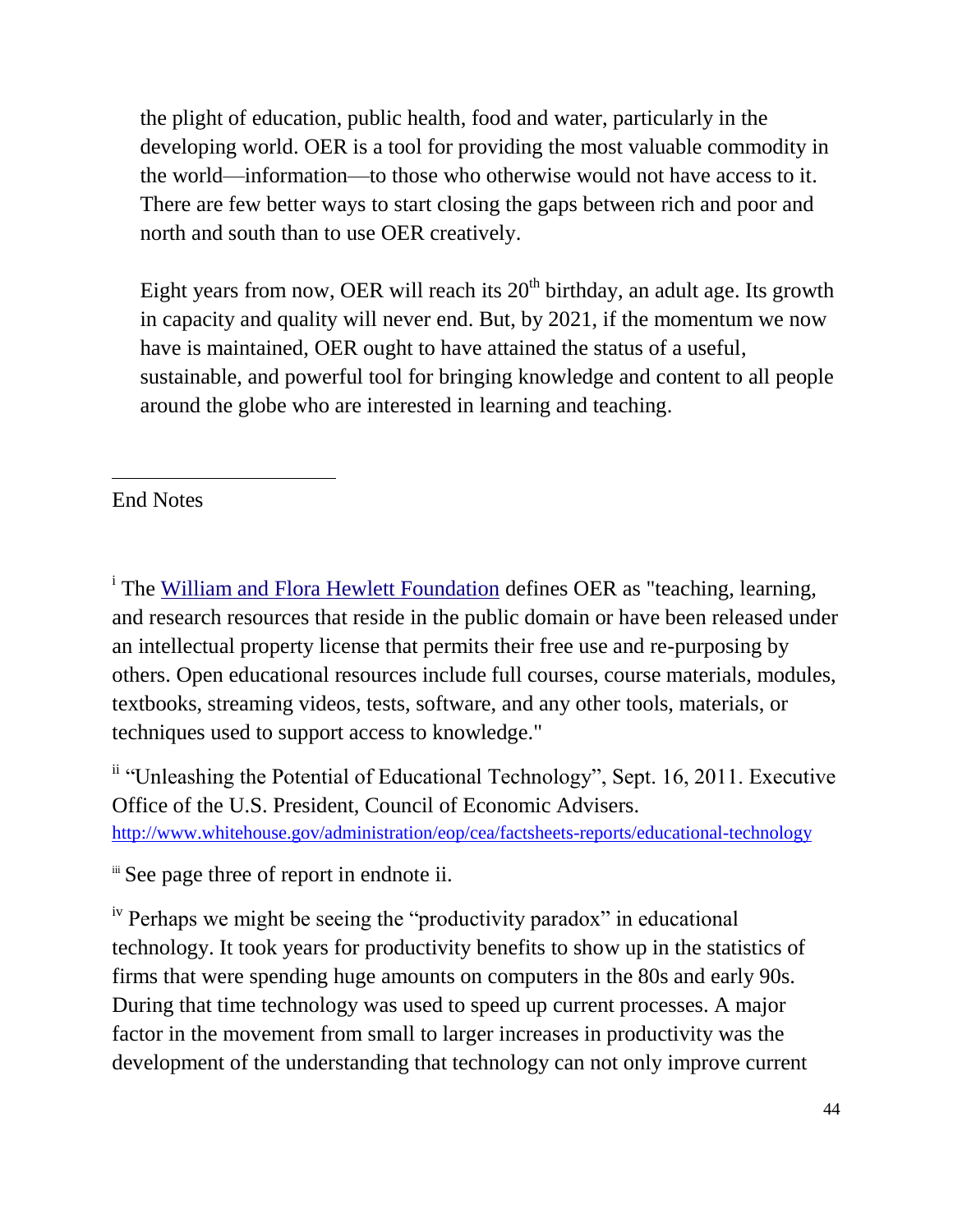the plight of education, public health, food and water, particularly in the developing world. OER is a tool for providing the most valuable commodity in the world—information—to those who otherwise would not have access to it. There are few better ways to start closing the gaps between rich and poor and north and south than to use OER creatively.

Eight years from now, OER will reach its  $20<sup>th</sup>$  birthday, an adult age. Its growth in capacity and quality will never end. But, by 2021, if the momentum we now have is maintained, OER ought to have attained the status of a useful, sustainable, and powerful tool for bringing knowledge and content to all people around the globe who are interested in learning and teaching.

#### $\overline{a}$ End Notes

<sup>i</sup> The [William and Flora Hewlett Foundation](http://en.wikipedia.org/wiki/William_and_Flora_Hewlett_Foundation) defines OER as "teaching, learning, and research resources that reside in the public domain or have been released under an intellectual property license that permits their free use and re-purposing by others. Open educational resources include full courses, course materials, modules, textbooks, streaming videos, tests, software, and any other tools, materials, or techniques used to support access to knowledge."

ii "Unleashing the Potential of Educational Technology", Sept. 16, 2011. Executive Office of the U.S. President, Council of Economic Advisers. <http://www.whitehouse.gov/administration/eop/cea/factsheets-reports/educational-technology>

iii See page three of report in endnote ii.

<sup>iv</sup> Perhaps we might be seeing the "productivity paradox" in educational technology. It took years for productivity benefits to show up in the statistics of firms that were spending huge amounts on computers in the 80s and early 90s. During that time technology was used to speed up current processes. A major factor in the movement from small to larger increases in productivity was the development of the understanding that technology can not only improve current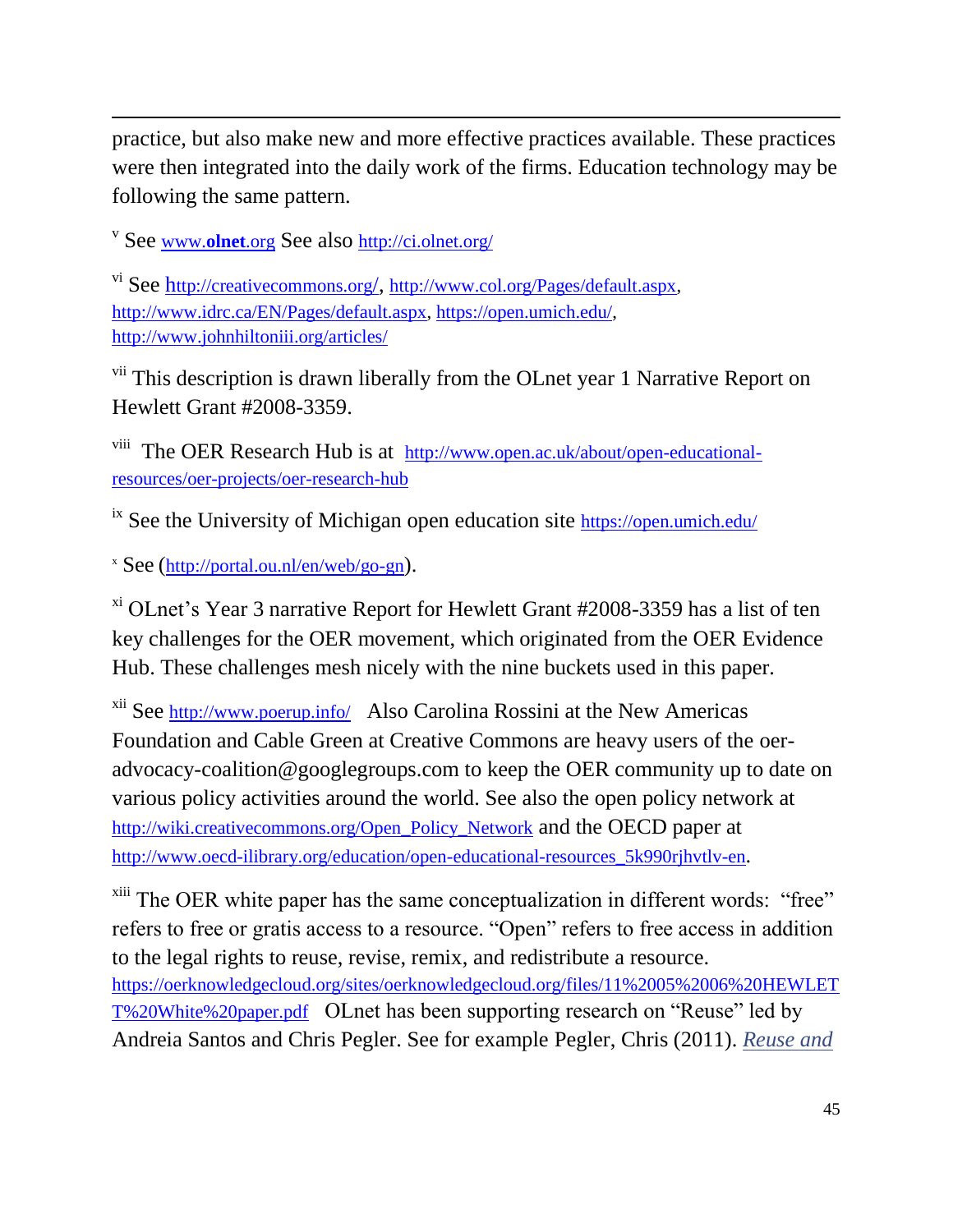practice, but also make new and more effective practices available. These practices were then integrated into the daily work of the firms. Education technology may be following the same pattern.

v See [www.](http://www.olnet.org/)**olnet**.org See also <http://ci.olnet.org/>

 $\overline{a}$ 

vi See h[ttp://creativecommons.org](http://creativecommons.org/)/, [http://www.col.org/Pages/default.aspx,](http://www.col.org/Pages/default.aspx) [http://www.idrc.ca/EN/Pages/default.aspx,](http://www.idrc.ca/EN/Pages/default.aspx) [https://open.umich.edu/,](https://open.umich.edu/) <http://www.johnhiltoniii.org/articles/>

<sup>vii</sup> This description is drawn liberally from the OLnet year 1 Narrative Report on Hewlett Grant #2008-3359.

<sup>viii</sup> The OER Research Hub is at [http://www.open.ac.uk/about/open-educational](http://www.open.ac.uk/about/open-educational-resources/oer-projects/oer-research-hub)[resources/oer-projects/oer-research-hub](http://www.open.ac.uk/about/open-educational-resources/oer-projects/oer-research-hub)

 $\frac{1}{10}$  See the University of Michigan open education site <https://open.umich.edu/>

<sup>x</sup> See (<http://portal.ou.nl/en/web/go-gn>).

 $x_i$ <sup>xi</sup> OLnet's Year 3 narrative Report for Hewlett Grant #2008-3359 has a list of ten key challenges for the OER movement, which originated from the OER Evidence Hub. These challenges mesh nicely with the nine buckets used in this paper.

<sup>xii</sup> See <http://www.poerup.info/> Also Carolina Rossini at the New Americas Foundation and Cable Green at Creative Commons are heavy users of the oeradvocacy-coalition@googlegroups.com to keep the OER community up to date on various policy activities around the world. See also the open policy network at [http://wiki.creativecommons.org/Open\\_Policy\\_Network](http://wiki.creativecommons.org/Open_Policy_Network) and the OECD paper at [http://www.oecd-ilibrary.org/education/open-educational-resources\\_5k990rjhvtlv-en](http://www.oecd-ilibrary.org/education/open-educational-resources_5k990rjhvtlv-en).

 $x<sup>iii</sup>$  The OER white paper has the same conceptualization in different words: "free" refers to free or gratis access to a resource. "Open" refers to free access in addition to the legal rights to reuse, revise, remix, and redistribute a resource. [https://oerknowledgecloud.org/sites/oerknowledgecloud.org/files/11%2005%2006%20HEWLET](https://oerknowledgecloud.org/sites/oerknowledgecloud.org/files/11%2005%2006%20HEWLETT%20White%20paper.pdf) [T%20White%20paper.pdf](https://oerknowledgecloud.org/sites/oerknowledgecloud.org/files/11%2005%2006%20HEWLETT%20White%20paper.pdf) OLnet has been supporting research on "Reuse" led by Andreia Santos and Chris Pegler. See for example Pegler, Chris (2011). *[Reuse and](http://oro.open.ac.uk/32317/)*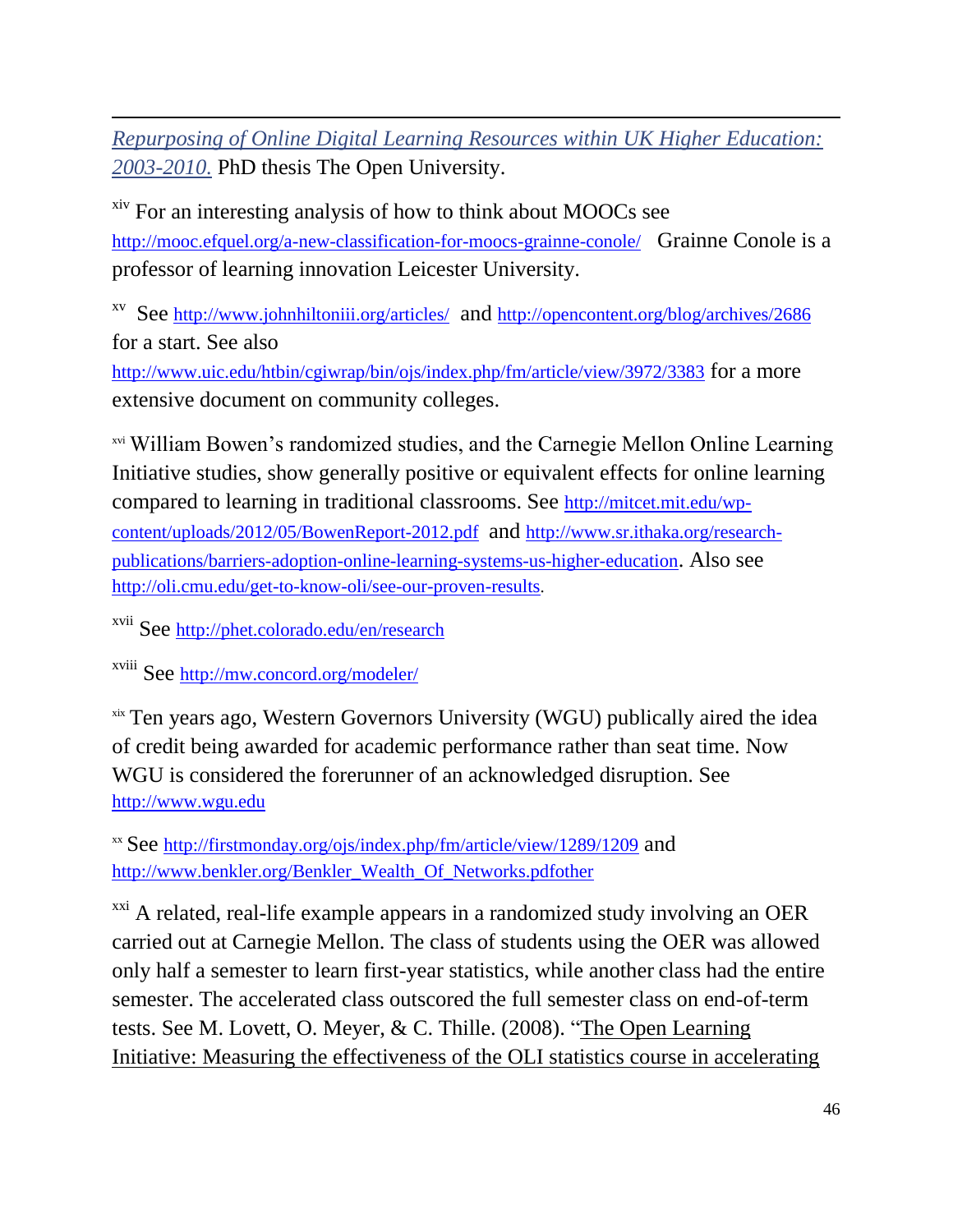$\overline{a}$ *[Repurposing of Online Digital Learning Resources within UK Higher Education:](http://oro.open.ac.uk/32317/)  [2003-2010.](http://oro.open.ac.uk/32317/)* PhD thesis The Open University.

xiv For an interesting analysis of how to think about MOOCs see <http://mooc.efquel.org/a-new-classification-for-moocs-grainne-conole/> Grainne Conole is a professor of learning innovation Leicester University.

xv See <http://www.johnhiltoniii.org/articles/> and <http://opencontent.org/blog/archives/2686> for a start. See also

<http://www.uic.edu/htbin/cgiwrap/bin/ojs/index.php/fm/article/view/3972/3383> for a more extensive document on community colleges.

xvi William Bowen's randomized studies, and the Carnegie Mellon Online Learning Initiative studies, show generally positive or equivalent effects for online learning compared to learning in traditional classrooms. See [http://mitcet.mit.edu/wp](http://mitcet.mit.edu/wp-content/uploads/2012/05/BowenReport-2012.pdf)[content/uploads/2012/05/BowenReport-2012.pdf](http://mitcet.mit.edu/wp-content/uploads/2012/05/BowenReport-2012.pdf) and [http://www.sr.ithaka.org/research](http://www.sr.ithaka.org/research-publications/barriers-adoption-online-learning-systems-us-higher-education)[publications/barriers-adoption-online-learning-systems-us-higher-education](http://www.sr.ithaka.org/research-publications/barriers-adoption-online-learning-systems-us-higher-education). Also see <http://oli.cmu.edu/get-to-know-oli/see-our-proven-results>.

xvii See <http://phet.colorado.edu/en/research>

xviii See <http://mw.concord.org/modeler/>

xix Ten years ago, Western Governors University (WGU) publically aired the idea of credit being awarded for academic performance rather than seat time. Now WGU is considered the forerunner of an acknowledged disruption. See [http://www.wgu.edu](http://www.wgu.edu/)

xx See <http://firstmonday.org/ojs/index.php/fm/article/view/1289/1209> and [http://www.benkler.org/Benkler\\_Wealth\\_Of\\_Networks.pdfother](http://www.benkler.org/Benkler_Wealth_Of_Networks.pdfother)

<sup>xxi</sup> A related, real-life example appears in a randomized study involving an OER carried out at Carnegie Mellon. The class of students using the OER was allowed only half a semester to learn first-year statistics, while another class had the entire semester. The accelerated class outscored the full semester class on end-of-term tests. See M. Lovett, O. Meyer, & C. Thille. (2008). ["The Open Learning](http://oli.cmu.edu/wp-oli/wp-content/uploads/2012/05/Lovett_2008_Statistics_Accelerated_Learning_Study.pdf)  [Initiative: Measuring the effectiveness of the OLI statistics course in accelerating](http://oli.cmu.edu/wp-oli/wp-content/uploads/2012/05/Lovett_2008_Statistics_Accelerated_Learning_Study.pdf)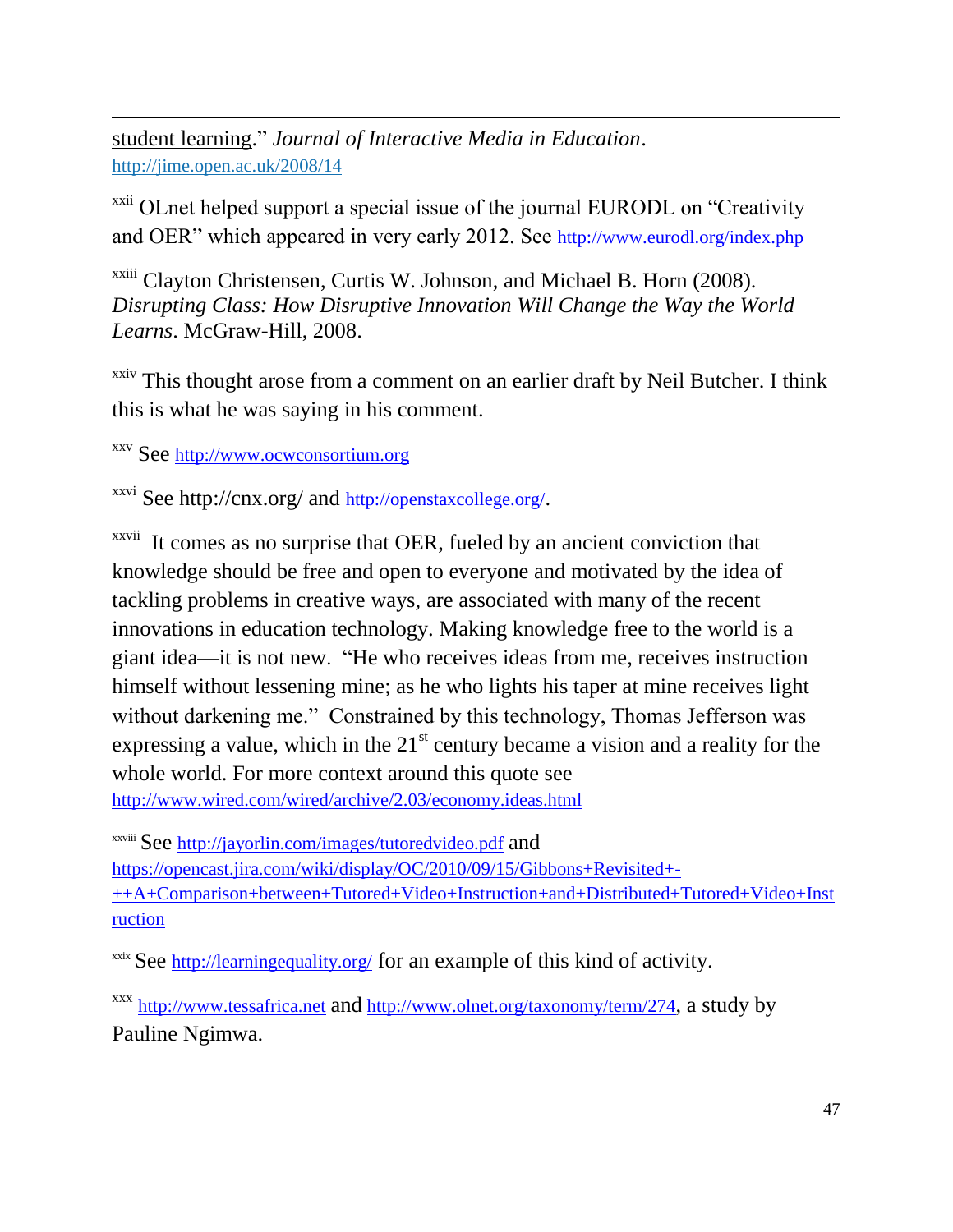[student learning.](http://oli.cmu.edu/wp-oli/wp-content/uploads/2012/05/Lovett_2008_Statistics_Accelerated_Learning_Study.pdf)" *Journal of Interactive Media in Education*. <http://jime.open.ac.uk/2008/14>

<sup>xxii</sup> OLnet helped support a special issue of the journal EURODL on "Creativity" and OER" which appeared in very early 2012. See <http://www.eurodl.org/index.php>

<sup>xxiii</sup> Clayton Christensen, Curtis W. Johnson, and Michael B. Horn (2008). *Disrupting Class: How Disruptive Innovation Will Change the Way the World Learns*. McGraw-Hill, 2008.

xxiv This thought arose from a comment on an earlier draft by Neil Butcher. I think this is what he was saying in his comment.

xxv See [http://www.ocwconsortium.org](http://www.ocwconsortium.org/)

 $\overline{a}$ 

xxvi See http://cnx.org/ and <http://openstaxcollege.org/>.

<sup>xxvii</sup> It comes as no surprise that OER, fueled by an ancient conviction that knowledge should be free and open to everyone and motivated by the idea of tackling problems in creative ways, are associated with many of the recent innovations in education technology. Making knowledge free to the world is a giant idea—it is not new. "He who receives ideas from me, receives instruction himself without lessening mine; as he who lights his taper at mine receives light without darkening me." Constrained by this technology, Thomas Jefferson was expressing a value, which in the  $21<sup>st</sup>$  century became a vision and a reality for the whole world. For more context around this quote see <http://www.wired.com/wired/archive/2.03/economy.ideas.html>

xxviii See <http://jayorlin.com/images/tutoredvideo.pdf> and [https://opencast.jira.com/wiki/display/OC/2010/09/15/Gibbons+Revisited+-](https://opencast.jira.com/wiki/display/OC/2010/09/15/Gibbons+Revisited+-++A+Comparison+between+Tutored+Video+Instruction+and+Distributed+Tutored+Video+Instruction) [++A+Comparison+between+Tutored+Video+Instruction+and+Distributed+Tutored+Video+Inst](https://opencast.jira.com/wiki/display/OC/2010/09/15/Gibbons+Revisited+-++A+Comparison+between+Tutored+Video+Instruction+and+Distributed+Tutored+Video+Instruction) [ruction](https://opencast.jira.com/wiki/display/OC/2010/09/15/Gibbons+Revisited+-++A+Comparison+between+Tutored+Video+Instruction+and+Distributed+Tutored+Video+Instruction)

xxix See <http://learningequality.org/> for an example of this kind of activity.

xxx [http://www.tessafrica.net](http://www.tessafrica.net/) and <http://www.olnet.org/taxonomy/term/274>, a study by [Pauline Ngimwa.](http://www.olnet.org/content/pauline-ngimwa)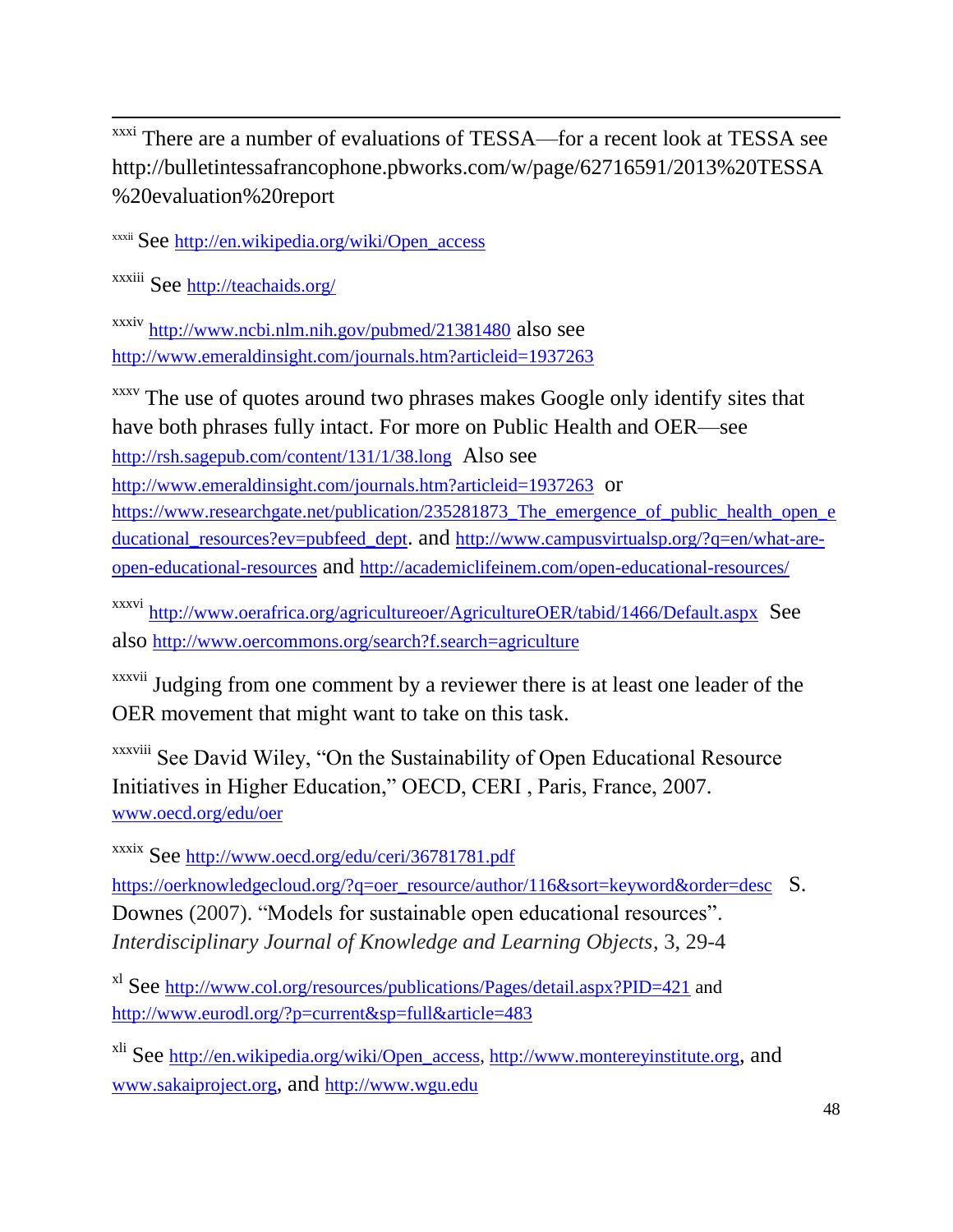$\overline{a}$ <sup>xxxi</sup> There are a number of evaluations of TESSA—for a recent look at TESSA see http://bulletintessafrancophone.pbworks.com/w/page/62716591/2013%20TESSA %20evaluation%20report

xxxii See [http://en.wikipedia.org/wiki/Open\\_access](http://en.wikipedia.org/wiki/Open_access)

xxxiii See <http://teachaids.org/>

xxxiv <http://www.ncbi.nlm.nih.gov/pubmed/21381480> also see <http://www.emeraldinsight.com/journals.htm?articleid=1937263>

xxxv The use of quotes around two phrases makes Google only identify sites that have both phrases fully intact. For more on Public Health and OER—see <http://rsh.sagepub.com/content/131/1/38.long> Also see

<http://www.emeraldinsight.com/journals.htm?articleid=1937263> or

[https://www.researchgate.net/publication/235281873\\_The\\_emergence\\_of\\_public\\_health\\_open\\_e](https://www.researchgate.net/publication/235281873_The_emergence_of_public_health_open_educational_resources?ev=pubfeed_dept) [ducational\\_resources?ev=pubfeed\\_dept](https://www.researchgate.net/publication/235281873_The_emergence_of_public_health_open_educational_resources?ev=pubfeed_dept). and [http://www.campusvirtualsp.org/?q=en/what-are](http://www.campusvirtualsp.org/?q=en/what-are-open-educational-resources)[open-educational-resources](http://www.campusvirtualsp.org/?q=en/what-are-open-educational-resources) and <http://academiclifeinem.com/open-educational-resources/>

xxxvi <http://www.oerafrica.org/agricultureoer/AgricultureOER/tabid/1466/Default.aspx> See also <http://www.oercommons.org/search?f.search=agriculture>

xxxvii Judging from one comment by a reviewer there is at least one leader of the OER movement that might want to take on this task.

xxxviii See David Wiley, "On the Sustainability of Open Educational Resource Initiatives in Higher Education," OECD, CERI , Paris, France, 2007. [www.oecd.org/edu/oer](http://www.oecd.org/edu/oer)

xxxix See <http://www.oecd.org/edu/ceri/36781781.pdf>

[https://oerknowledgecloud.org/?q=oer\\_resource/author/116&sort=keyword&order=desc](https://oerknowledgecloud.org/?q=oer_resource/author/116&sort=keyword&order=desc) S. Downes (2007). "Models for sustainable open educational resources". *Interdisciplinary Journal of Knowledge and Learning Objects*, 3, 29-4

xl See <http://www.col.org/resources/publications/Pages/detail.aspx?PID=421> and <http://www.eurodl.org/?p=current&sp=full&article=483>

xli See [http://en.wikipedia.org/wiki/Open\\_access,](http://en.wikipedia.org/wiki/Open_access) [http://www.montereyinstitute.org](http://www.montereyinstitute.org/), and [www.sakaiproject.org](http://www.sakaiproject.org/), and [http://www.wgu.edu](http://www.wgu.edu/)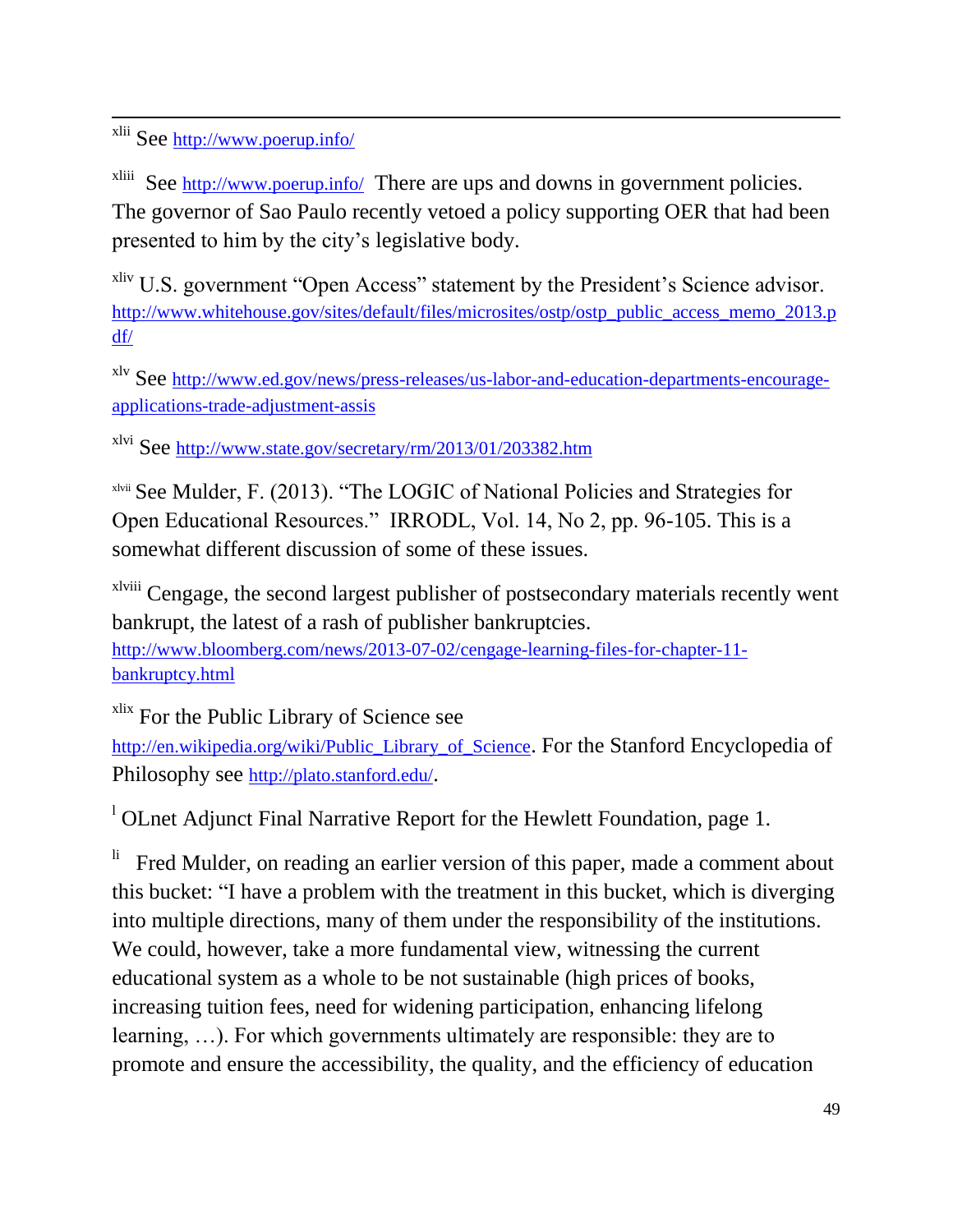<sup>xlii</sup> See <http://www.poerup.info/>

 $\overline{a}$ 

xliii See <http://www.poerup.info/> There are ups and downs in government policies. The governor of Sao Paulo recently vetoed a policy supporting OER that had been presented to him by the city's legislative body.

<sup>xliv</sup> U.S. government "Open Access" statement by the President's Science advisor. [http://www.whitehouse.gov/sites/default/files/microsites/ostp/ostp\\_public\\_access\\_memo\\_2013.p](http://www.whitehouse.gov/sites/default/files/microsites/ostp/ostp_public_access_memo_2013.pdf/) [df/](http://www.whitehouse.gov/sites/default/files/microsites/ostp/ostp_public_access_memo_2013.pdf/)

xlv See [http://www.ed.gov/news/press-releases/us-labor-and-education-departments-encourage](http://www.ed.gov/news/press-releases/us-labor-and-education-departments-encourage-applications-trade-adjustment-assis)[applications-trade-adjustment-assis](http://www.ed.gov/news/press-releases/us-labor-and-education-departments-encourage-applications-trade-adjustment-assis)

xlvi See <http://www.state.gov/secretary/rm/2013/01/203382.htm>

xlvii See Mulder, F. (2013). "The LOGIC of National Policies and Strategies for Open Educational Resources." IRRODL, Vol. 14, No 2, pp. 96-105. This is a somewhat different discussion of some of these issues.

xlviii Cengage, the second largest publisher of postsecondary materials recently went bankrupt, the latest of a rash of publisher bankruptcies. [http://www.bloomberg.com/news/2013-07-02/cengage-learning-files-for-chapter-11-](http://www.bloomberg.com/news/2013-07-02/cengage-learning-files-for-chapter-11-bankruptcy.html)

[bankruptcy.html](http://www.bloomberg.com/news/2013-07-02/cengage-learning-files-for-chapter-11-bankruptcy.html)

<sup>xlix</sup> For the Public Library of Science see

[http://en.wikipedia.org/wiki/Public\\_Library\\_of\\_Science](http://en.wikipedia.org/wiki/Public_Library_of_Science). For the Stanford Encyclopedia of Philosophy see <http://plato.stanford.edu/>.

<sup>1</sup> OLnet Adjunct Final Narrative Report for the Hewlett Foundation, page 1.

li Fred Mulder, on reading an earlier version of this paper, made a comment about this bucket: "I have a problem with the treatment in this bucket, which is diverging into multiple directions, many of them under the responsibility of the institutions. We could, however, take a more fundamental view, witnessing the current educational system as a whole to be not sustainable (high prices of books, increasing tuition fees, need for widening participation, enhancing lifelong learning, …). For which governments ultimately are responsible: they are to promote and ensure the accessibility, the quality, and the efficiency of education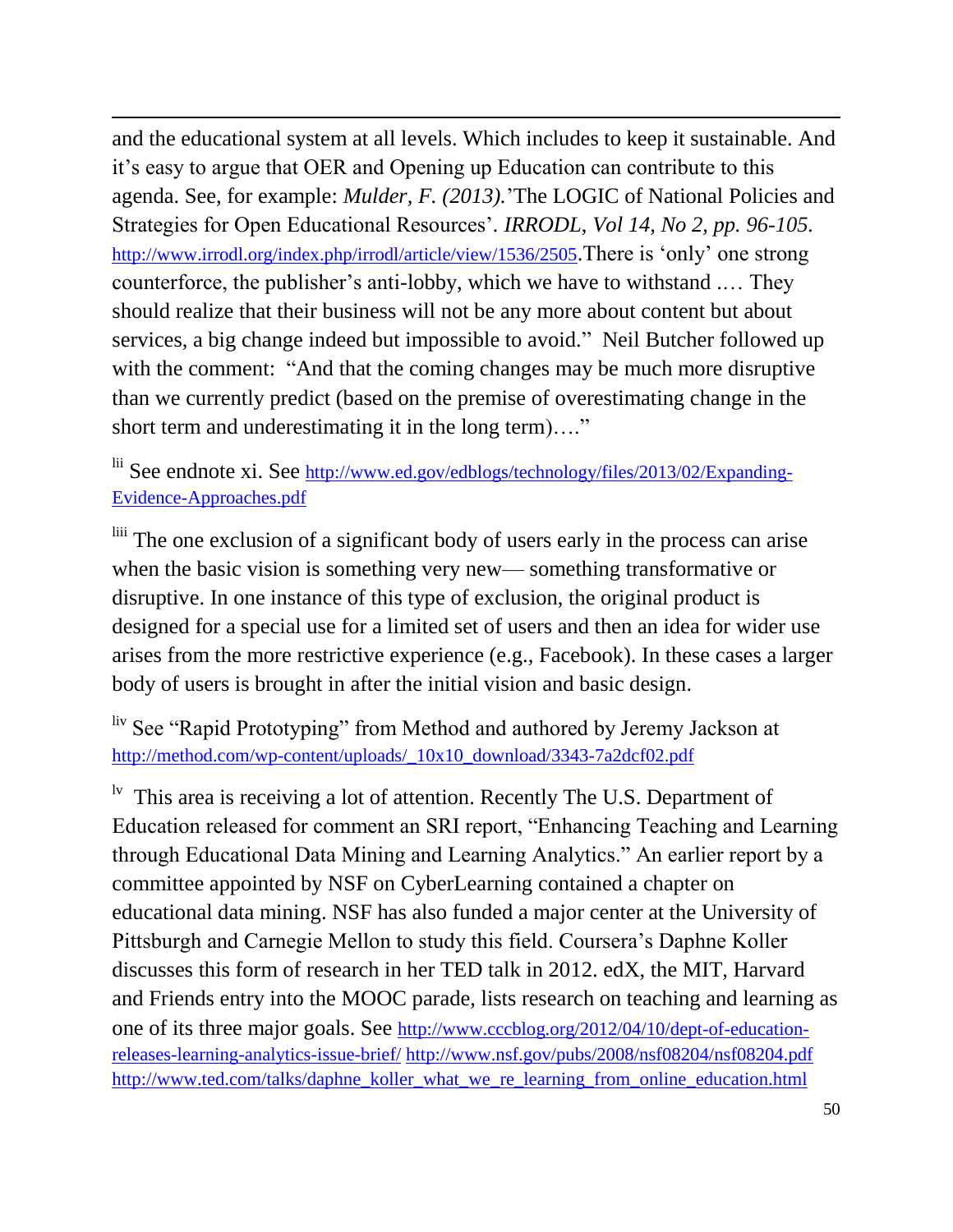and the educational system at all levels. Which includes to keep it sustainable. And it's easy to argue that OER and Opening up Education can contribute to this agenda. See, for example: *Mulder, F. (2013).*'The LOGIC of National Policies and Strategies for Open Educational Resources'*. IRRODL*, *Vol 14, No 2, pp. 96-105.*  <http://www.irrodl.org/index.php/irrodl/article/view/1536/2505>.There is 'only' one strong counterforce, the publisher's anti-lobby, which we have to withstand .… They should realize that their business will not be any more about content but about services, a big change indeed but impossible to avoid." Neil Butcher followed up with the comment: "And that the coming changes may be much more disruptive than we currently predict (based on the premise of overestimating change in the short term and underestimating it in the long term)…."

 $\overline{a}$ 

lii See endnote xi. See [http://www.ed.gov/edblogs/technology/files/2013/02/Expanding-](http://www.ed.gov/edblogs/technology/files/2013/02/Expanding-Evidence-Approaches.pdf)[Evidence-Approaches.pdf](http://www.ed.gov/edblogs/technology/files/2013/02/Expanding-Evidence-Approaches.pdf)

liii The one exclusion of a significant body of users early in the process can arise when the basic vision is something very new— something transformative or disruptive. In one instance of this type of exclusion, the original product is designed for a special use for a limited set of users and then an idea for wider use arises from the more restrictive experience (e.g., Facebook). In these cases a larger body of users is brought in after the initial vision and basic design.

liv See "Rapid Prototyping" from Method and authored by Jeremy Jackson at [http://method.com/wp-content/uploads/\\_10x10\\_download/3343-7a2dcf02.pdf](http://method.com/wp-content/uploads/_10x10_download/3343-7a2dcf02.pdf)

<sup>lv</sup> This area is receiving a lot of attention. Recently The U.S. Department of Education released for comment an SRI report, "Enhancing Teaching and Learning through Educational Data Mining and Learning Analytics." An earlier report by a committee appointed by NSF on CyberLearning contained a chapter on educational data mining. NSF has also funded a major center at the University of Pittsburgh and Carnegie Mellon to study this field. Coursera's Daphne Koller discusses this form of research in her TED talk in 2012. edX, the MIT, Harvard and Friends entry into the MOOC parade, lists research on teaching and learning as one of its three major goals. See [http://www.cccblog.org/2012/04/10/dept-of-education](http://www.cccblog.org/2012/04/10/dept-of-education-releases-learning-analytics-issue-brief/)[releases-learning-analytics-issue-brief/](http://www.cccblog.org/2012/04/10/dept-of-education-releases-learning-analytics-issue-brief/) <http://www.nsf.gov/pubs/2008/nsf08204/nsf08204.pdf> [http://www.ted.com/talks/daphne\\_koller\\_what\\_we\\_re\\_learning\\_from\\_online\\_education.html](http://www.ted.com/talks/daphne_koller_what_we_re_learning_from_online_education.html)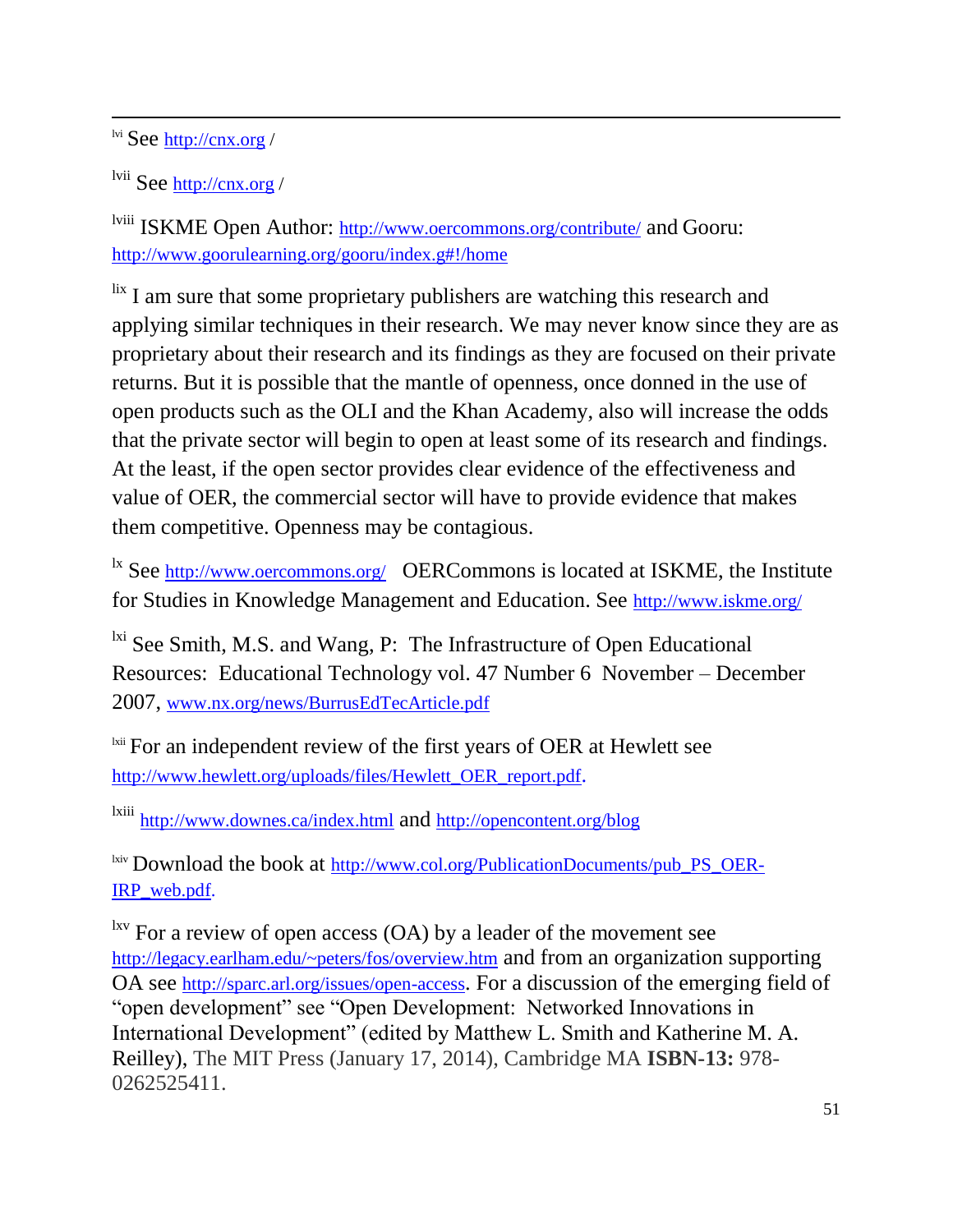lvi See [http://cnx.org](http://cnx.org/) /

 $\overline{a}$ 

lvii See [http://cnx.org](http://cnx.org/) /

lviii ISKME Open Author: <http://www.oercommons.org/contribute/> and Gooru: <http://www.goorulearning.org/gooru/index.g#!/home>

lix I am sure that some proprietary publishers are watching this research and applying similar techniques in their research. We may never know since they are as proprietary about their research and its findings as they are focused on their private returns. But it is possible that the mantle of openness, once donned in the use of open products such as the OLI and the Khan Academy, also will increase the odds that the private sector will begin to open at least some of its research and findings. At the least, if the open sector provides clear evidence of the effectiveness and value of OER, the commercial sector will have to provide evidence that makes them competitive. Openness may be contagious.

<sup>1x</sup> See <http://www.oercommons.org/> OERCommons is located at ISKME, the Institute for Studies in Knowledge Management and Education. See <http://www.iskme.org/>

 $\frac{dx}{dx}$  See Smith, M.S. and Wang, P: The Infrastructure of Open Educational Resources: Educational Technology vol. 47 Number 6 November – December 2007, [www.nx.org/news/BurrusEdTecArticle.pdf](http://www.nx.org/news/BurrusEdTecArticle.pdf)

<sup>1xii</sup> For an independent review of the first years of OER at Hewlett see [http://www.hewlett.org/uploads/files/Hewlett\\_OER\\_report.pdf](http://www.hewlett.org/uploads/files/Hewlett_OER_report.pdf).

lxiii <http://www.downes.ca/index.html> and <http://opencontent.org/blog>

<sup>lxiv</sup> Download the book at [http://www.col.org/PublicationDocuments/pub\\_PS\\_OER-](http://www.col.org/PublicationDocuments/pub_PS_OER-IRP_web.pdf)[IRP\\_web.pdf.](http://www.col.org/PublicationDocuments/pub_PS_OER-IRP_web.pdf)

 $\frac{1}{x}$  For a review of open access (OA) by a leader of the movement see <http://legacy.earlham.edu/~peters/fos/overview.htm> and from an organization supporting OA see <http://sparc.arl.org/issues/open-access>. For a discussion of the emerging field of "open development" see "Open Development: Networked Innovations in International Development" (edited by Matthew L. Smith and Katherine M. A. Reilley), The MIT Press (January 17, 2014), Cambridge MA **ISBN-13:** 978- 0262525411.